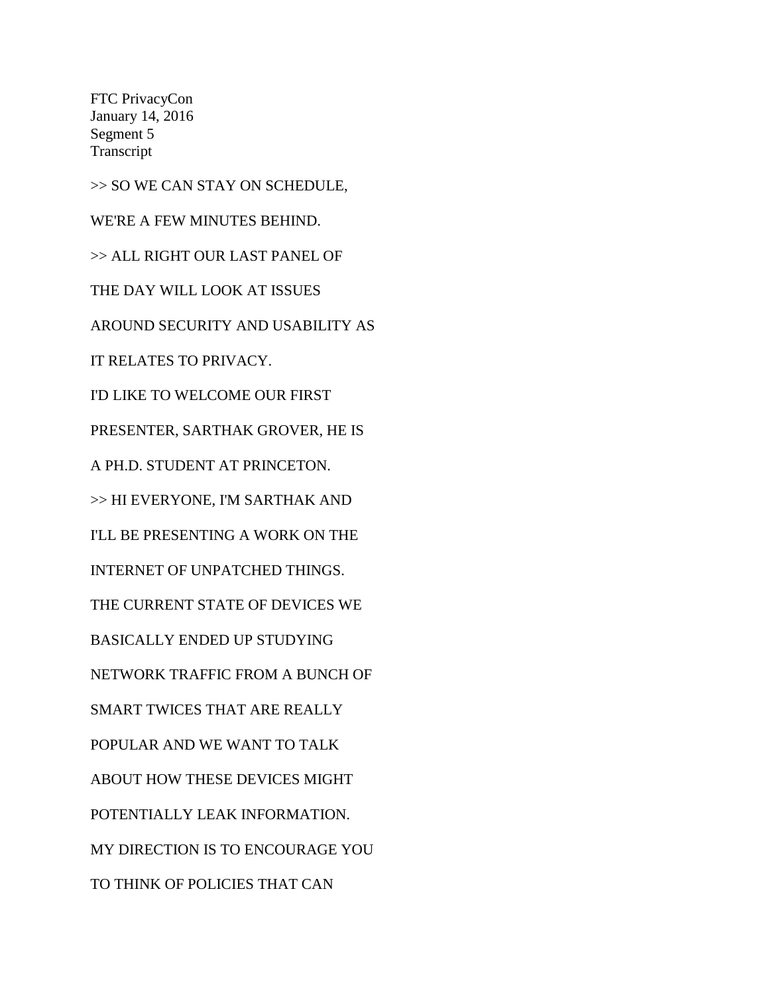FTC PrivacyCon January 14, 2016 Segment 5 Transcript

>> SO WE CAN STAY ON SCHEDULE, WE'RE A FEW MINUTES BEHIND. >> ALL RIGHT OUR LAST PANEL OF THE DAY WILL LOOK AT ISSUES AROUND SECURITY AND USABILITY AS IT RELATES TO PRIVACY. I'D LIKE TO WELCOME OUR FIRST PRESENTER, SARTHAK GROVER, HE IS A PH.D. STUDENT AT PRINCETON. >> HI EVERYONE, I'M SARTHAK AND I'LL BE PRESENTING A WORK ON THE INTERNET OF UNPATCHED THINGS. THE CURRENT STATE OF DEVICES WE BASICALLY ENDED UP STUDYING NETWORK TRAFFIC FROM A BUNCH OF SMART TWICES THAT ARE REALLY POPULAR AND WE WANT TO TALK ABOUT HOW THESE DEVICES MIGHT POTENTIALLY LEAK INFORMATION. MY DIRECTION IS TO ENCOURAGE YOU TO THINK OF POLICIES THAT CAN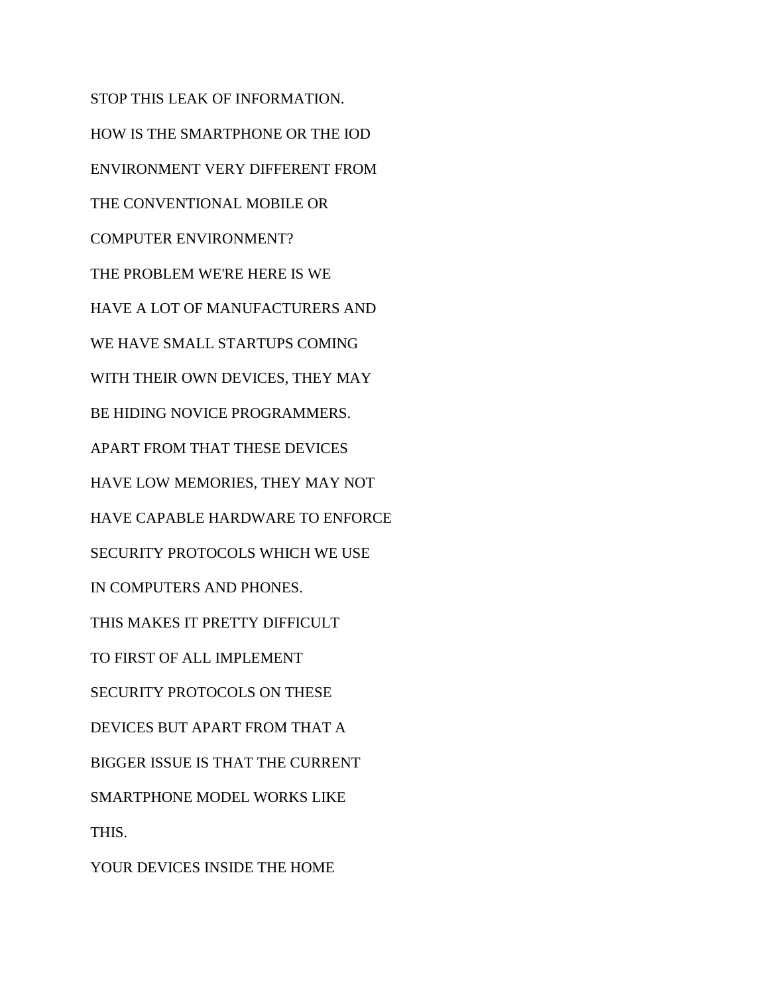STOP THIS LEAK OF INFORMATION. HOW IS THE SMARTPHONE OR THE IOD ENVIRONMENT VERY DIFFERENT FROM THE CONVENTIONAL MOBILE OR COMPUTER ENVIRONMENT? THE PROBLEM WE'RE HERE IS WE HAVE A LOT OF MANUFACTURERS AND WE HAVE SMALL STARTUPS COMING WITH THEIR OWN DEVICES, THEY MAY BE HIDING NOVICE PROGRAMMERS. APART FROM THAT THESE DEVICES HAVE LOW MEMORIES, THEY MAY NOT HAVE CAPABLE HARDWARE TO ENFORCE SECURITY PROTOCOLS WHICH WE USE IN COMPUTERS AND PHONES. THIS MAKES IT PRETTY DIFFICULT TO FIRST OF ALL IMPLEMENT SECURITY PROTOCOLS ON THESE DEVICES BUT APART FROM THAT A BIGGER ISSUE IS THAT THE CURRENT SMARTPHONE MODEL WORKS LIKE THIS. YOUR DEVICES INSIDE THE HOME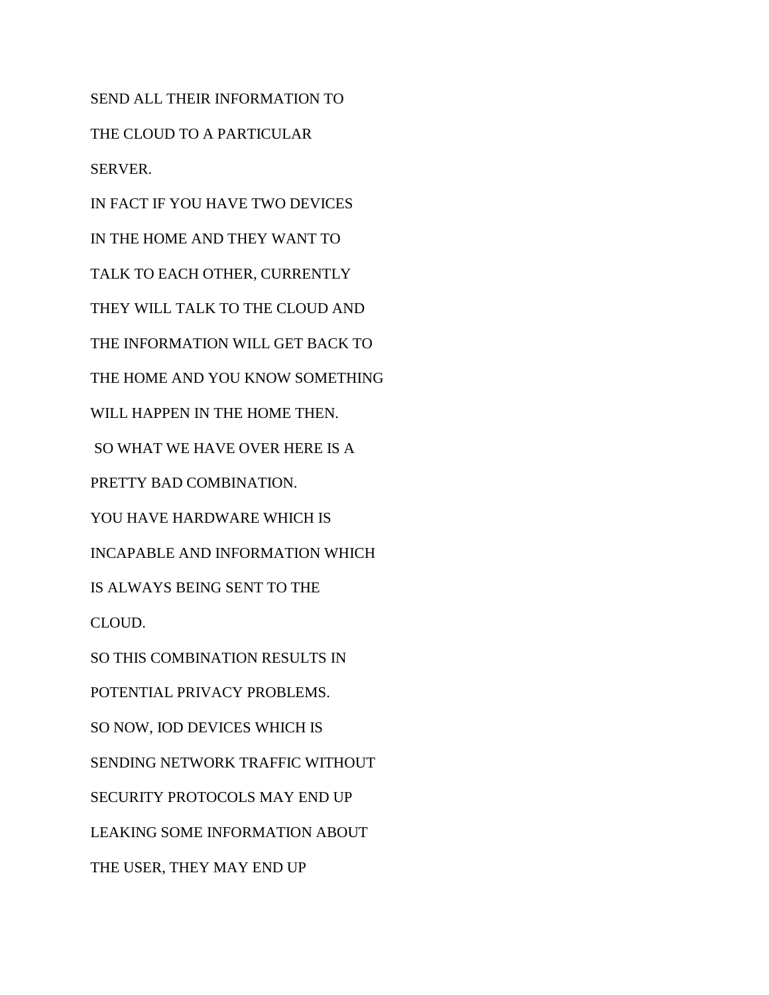SEND ALL THEIR INFORMATION TO THE CLOUD TO A PARTICULAR SERVER. IN FACT IF YOU HAVE TWO DEVICES IN THE HOME AND THEY WANT TO TALK TO EACH OTHER, CURRENTLY THEY WILL TALK TO THE CLOUD AND THE INFORMATION WILL GET BACK TO THE HOME AND YOU KNOW SOMETHING WILL HAPPEN IN THE HOME THEN. SO WHAT WE HAVE OVER HERE IS A PRETTY BAD COMBINATION. YOU HAVE HARDWARE WHICH IS INCAPABLE AND INFORMATION WHICH IS ALWAYS BEING SENT TO THE CLOUD. SO THIS COMBINATION RESULTS IN POTENTIAL PRIVACY PROBLEMS. SO NOW, IOD DEVICES WHICH IS SENDING NETWORK TRAFFIC WITHOUT SECURITY PROTOCOLS MAY END UP LEAKING SOME INFORMATION ABOUT THE USER, THEY MAY END UP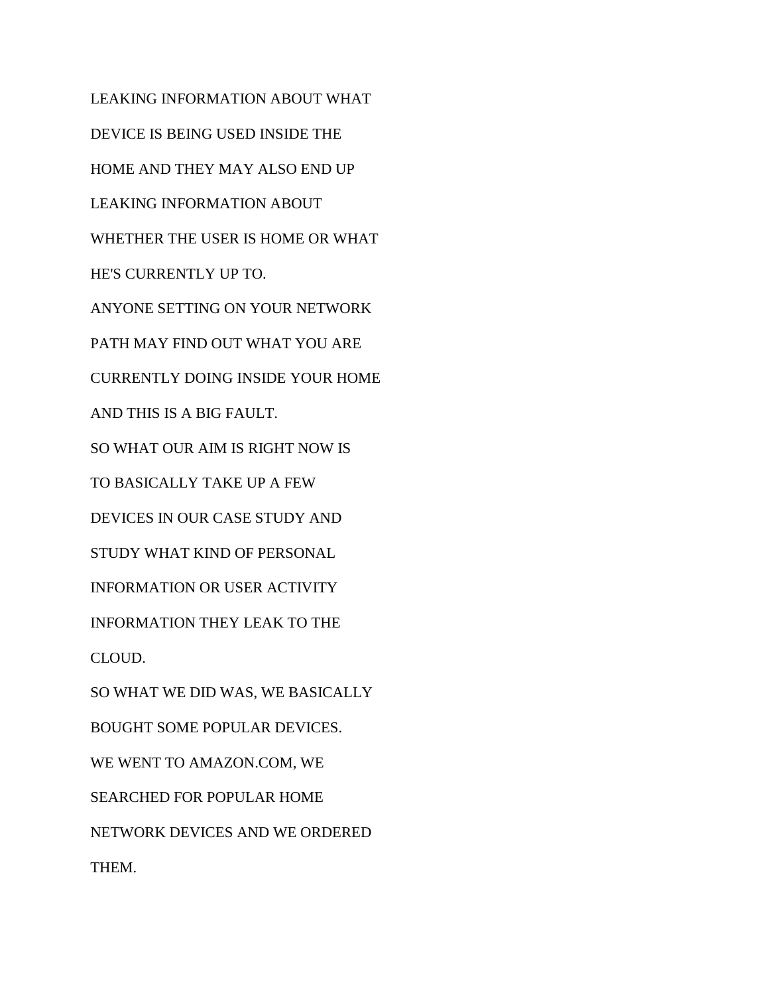LEAKING INFORMATION ABOUT WHAT DEVICE IS BEING USED INSIDE THE HOME AND THEY MAY ALSO END UP LEAKING INFORMATION ABOUT WHETHER THE USER IS HOME OR WHAT HE'S CURRENTLY UP TO. ANYONE SETTING ON YOUR NETWORK PATH MAY FIND OUT WHAT YOU ARE CURRENTLY DOING INSIDE YOUR HOME AND THIS IS A BIG FAULT. SO WHAT OUR AIM IS RIGHT NOW IS TO BASICALLY TAKE UP A FEW DEVICES IN OUR CASE STUDY AND STUDY WHAT KIND OF PERSONAL INFORMATION OR USER ACTIVITY INFORMATION THEY LEAK TO THE CLOUD. SO WHAT WE DID WAS, WE BASICALLY BOUGHT SOME POPULAR DEVICES. WE WENT TO AMAZON.COM, WE SEARCHED FOR POPULAR HOME NETWORK DEVICES AND WE ORDERED THEM.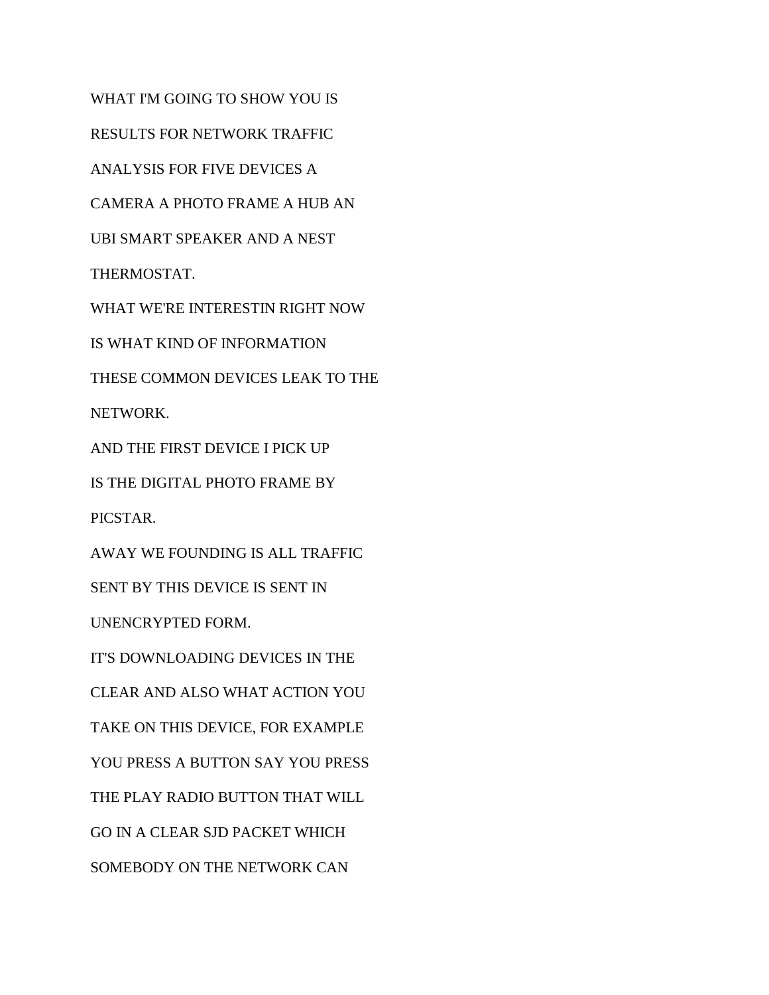WHAT I'M GOING TO SHOW YOU IS RESULTS FOR NETWORK TRAFFIC ANALYSIS FOR FIVE DEVICES A CAMERA A PHOTO FRAME A HUB AN UBI SMART SPEAKER AND A NEST THERMOSTAT. WHAT WE'RE INTERESTIN RIGHT NOW IS WHAT KIND OF INFORMATION THESE COMMON DEVICES LEAK TO THE NETWORK. AND THE FIRST DEVICE I PICK UP IS THE DIGITAL PHOTO FRAME BY PICSTAR. AWAY WE FOUNDING IS ALL TRAFFIC SENT BY THIS DEVICE IS SENT IN UNENCRYPTED FORM. IT'S DOWNLOADING DEVICES IN THE CLEAR AND ALSO WHAT ACTION YOU TAKE ON THIS DEVICE, FOR EXAMPLE YOU PRESS A BUTTON SAY YOU PRESS THE PLAY RADIO BUTTON THAT WILL GO IN A CLEAR SJD PACKET WHICH SOMEBODY ON THE NETWORK CAN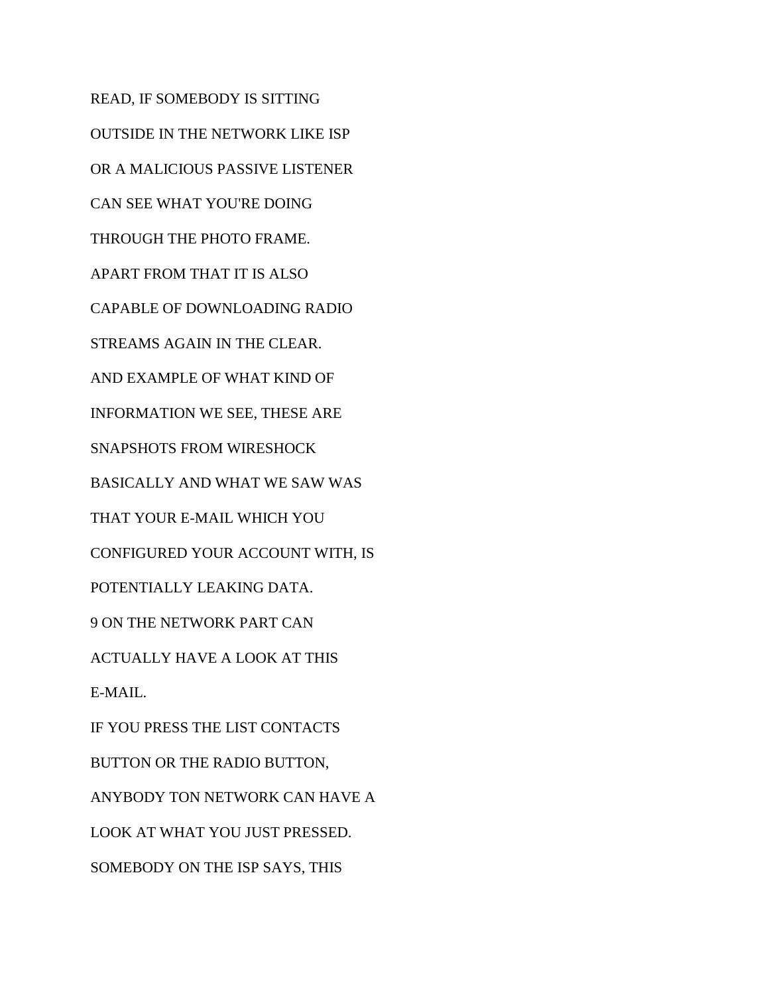READ, IF SOMEBODY IS SITTING OUTSIDE IN THE NETWORK LIKE ISP OR A MALICIOUS PASSIVE LISTENER CAN SEE WHAT YOU'RE DOING THROUGH THE PHOTO FRAME. APART FROM THAT IT IS ALSO CAPABLE OF DOWNLOADING RADIO STREAMS AGAIN IN THE CLEAR. AND EXAMPLE OF WHAT KIND OF INFORMATION WE SEE, THESE ARE SNAPSHOTS FROM WIRESHOCK BASICALLY AND WHAT WE SAW WAS THAT YOUR E-MAIL WHICH YOU CONFIGURED YOUR ACCOUNT WITH, IS POTENTIALLY LEAKING DATA. 9 ON THE NETWORK PART CAN ACTUALLY HAVE A LOOK AT THIS E-MAIL. IF YOU PRESS THE LIST CONTACTS BUTTON OR THE RADIO BUTTON, ANYBODY TON NETWORK CAN HAVE A LOOK AT WHAT YOU JUST PRESSED. SOMEBODY ON THE ISP SAYS, THIS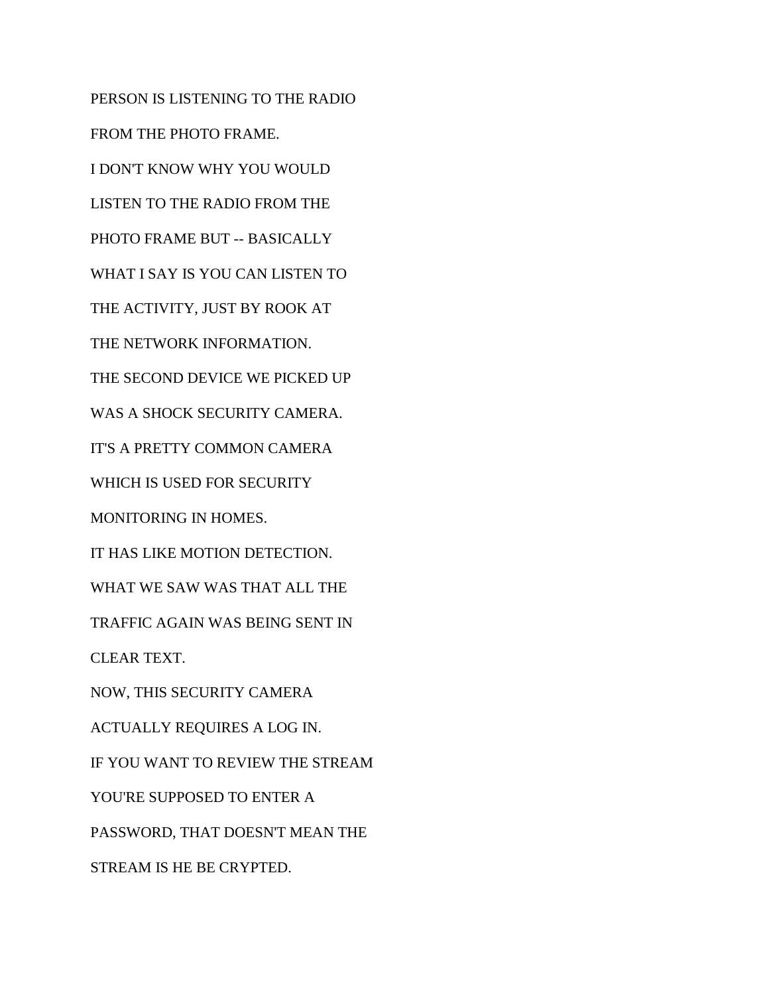PERSON IS LISTENING TO THE RADIO FROM THE PHOTO FRAME. I DON'T KNOW WHY YOU WOULD LISTEN TO THE RADIO FROM THE PHOTO FRAME BUT -- BASICALLY WHAT I SAY IS YOU CAN LISTEN TO THE ACTIVITY, JUST BY ROOK AT THE NETWORK INFORMATION. THE SECOND DEVICE WE PICKED UP WAS A SHOCK SECURITY CAMERA. IT'S A PRETTY COMMON CAMERA WHICH IS USED FOR SECURITY MONITORING IN HOMES. IT HAS LIKE MOTION DETECTION. WHAT WE SAW WAS THAT ALL THE TRAFFIC AGAIN WAS BEING SENT IN CLEAR TEXT. NOW, THIS SECURITY CAMERA ACTUALLY REQUIRES A LOG IN. IF YOU WANT TO REVIEW THE STREAM YOU'RE SUPPOSED TO ENTER A PASSWORD, THAT DOESN'T MEAN THE STREAM IS HE BE CRYPTED.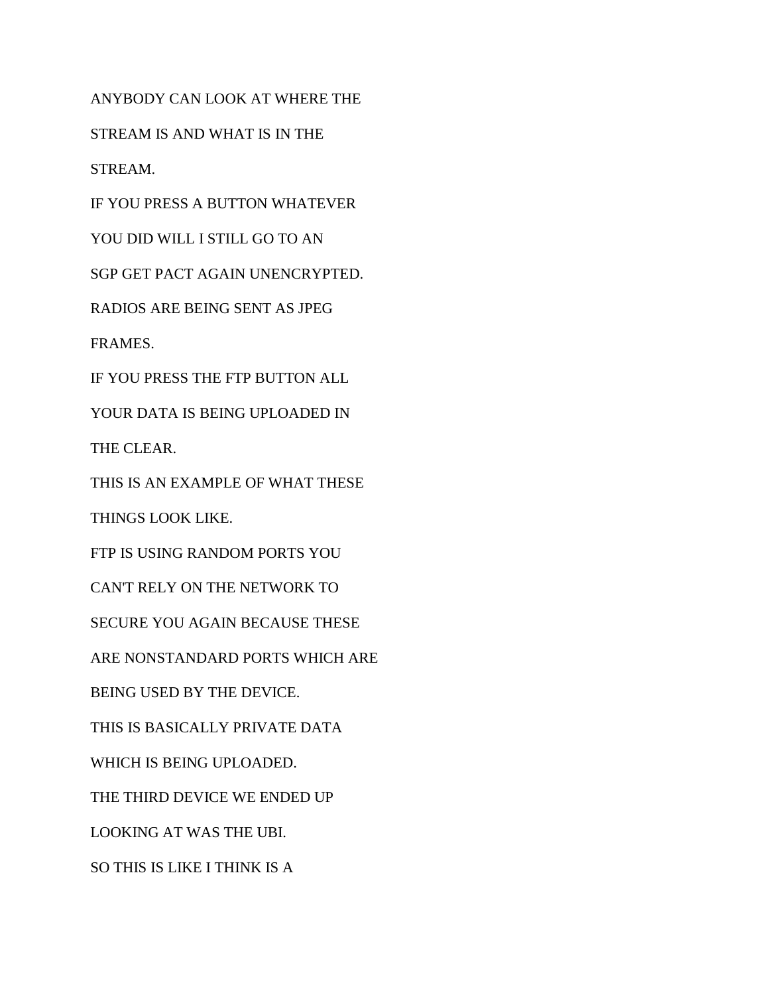ANYBODY CAN LOOK AT WHERE THE STREAM IS AND WHAT IS IN THE STREAM. IF YOU PRESS A BUTTON WHATEVER YOU DID WILL I STILL GO TO AN SGP GET PACT AGAIN UNENCRYPTED. RADIOS ARE BEING SENT AS JPEG FRAMES. IF YOU PRESS THE FTP BUTTON ALL YOUR DATA IS BEING UPLOADED IN THE CLEAR. THIS IS AN EXAMPLE OF WHAT THESE THINGS LOOK LIKE. FTP IS USING RANDOM PORTS YOU CAN'T RELY ON THE NETWORK TO SECURE YOU AGAIN BECAUSE THESE ARE NONSTANDARD PORTS WHICH ARE BEING USED BY THE DEVICE. THIS IS BASICALLY PRIVATE DATA WHICH IS BEING UPLOADED. THE THIRD DEVICE WE ENDED UP LOOKING AT WAS THE UBI. SO THIS IS LIKE I THINK IS A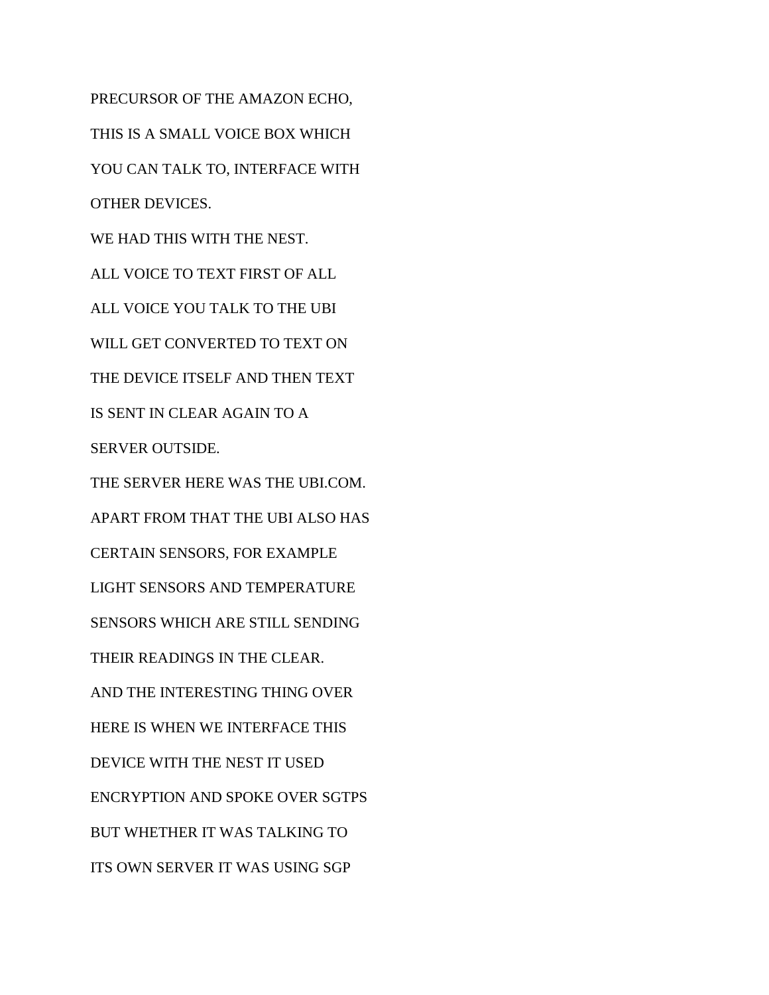PRECURSOR OF THE AMAZON ECHO, THIS IS A SMALL VOICE BOX WHICH YOU CAN TALK TO, INTERFACE WITH OTHER DEVICES. WE HAD THIS WITH THE NEST. ALL VOICE TO TEXT FIRST OF ALL ALL VOICE YOU TALK TO THE UBI WILL GET CONVERTED TO TEXT ON THE DEVICE ITSELF AND THEN TEXT IS SENT IN CLEAR AGAIN TO A SERVER OUTSIDE. THE SERVER HERE WAS THE UBI.COM. APART FROM THAT THE UBI ALSO HAS CERTAIN SENSORS, FOR EXAMPLE LIGHT SENSORS AND TEMPERATURE SENSORS WHICH ARE STILL SENDING THEIR READINGS IN THE CLEAR. AND THE INTERESTING THING OVER HERE IS WHEN WE INTERFACE THIS DEVICE WITH THE NEST IT USED ENCRYPTION AND SPOKE OVER SGTPS BUT WHETHER IT WAS TALKING TO ITS OWN SERVER IT WAS USING SGP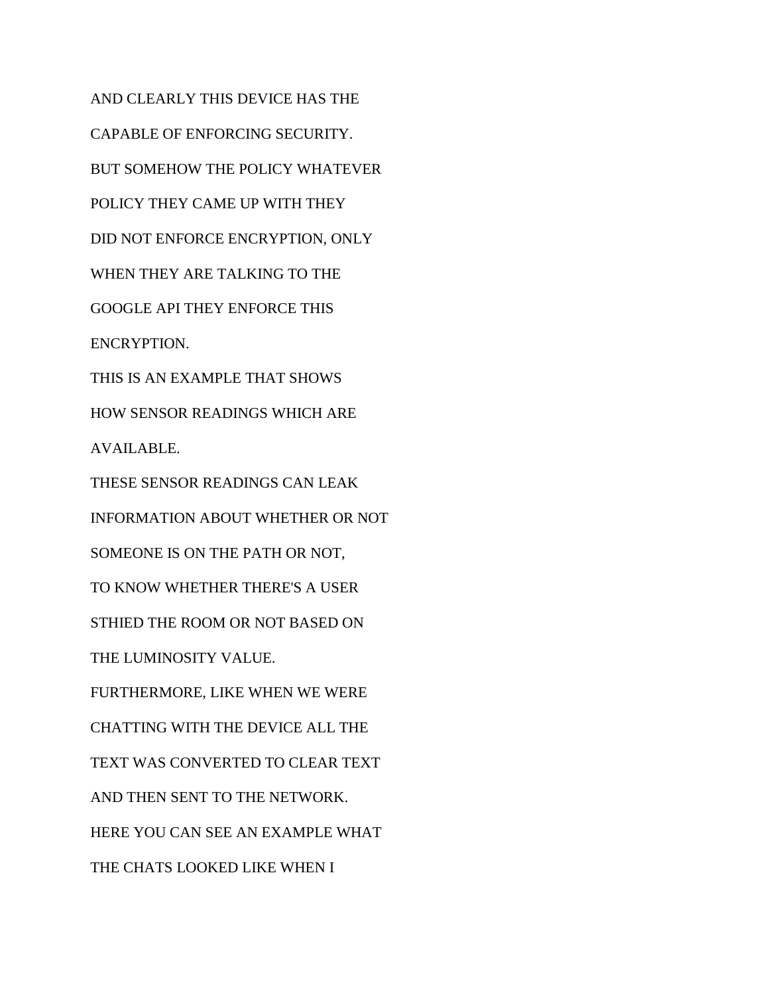AND CLEARLY THIS DEVICE HAS THE CAPABLE OF ENFORCING SECURITY. BUT SOMEHOW THE POLICY WHATEVER POLICY THEY CAME UP WITH THEY DID NOT ENFORCE ENCRYPTION, ONLY WHEN THEY ARE TALKING TO THE GOOGLE API THEY ENFORCE THIS ENCRYPTION. THIS IS AN EXAMPLE THAT SHOWS HOW SENSOR READINGS WHICH ARE AVAILABLE. THESE SENSOR READINGS CAN LEAK INFORMATION ABOUT WHETHER OR NOT SOMEONE IS ON THE PATH OR NOT, TO KNOW WHETHER THERE'S A USER STHIED THE ROOM OR NOT BASED ON THE LUMINOSITY VALUE. FURTHERMORE, LIKE WHEN WE WERE CHATTING WITH THE DEVICE ALL THE TEXT WAS CONVERTED TO CLEAR TEXT AND THEN SENT TO THE NETWORK. HERE YOU CAN SEE AN EXAMPLE WHAT THE CHATS LOOKED LIKE WHEN I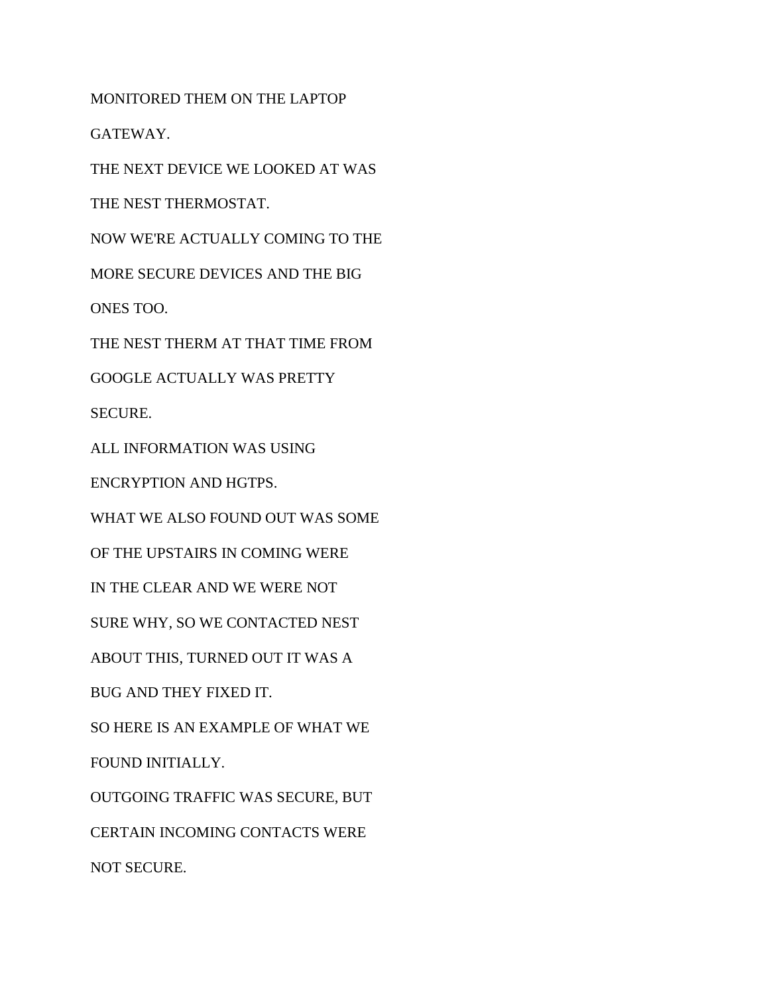MONITORED THEM ON THE LAPTOP GATEWAY. THE NEXT DEVICE WE LOOKED AT WAS THE NEST THERMOSTAT. NOW WE'RE ACTUALLY COMING TO THE MORE SECURE DEVICES AND THE BIG ONES TOO. THE NEST THERM AT THAT TIME FROM GOOGLE ACTUALLY WAS PRETTY SECURE. ALL INFORMATION WAS USING ENCRYPTION AND HGTPS. WHAT WE ALSO FOUND OUT WAS SOME OF THE UPSTAIRS IN COMING WERE IN THE CLEAR AND WE WERE NOT SURE WHY, SO WE CONTACTED NEST ABOUT THIS, TURNED OUT IT WAS A BUG AND THEY FIXED IT. SO HERE IS AN EXAMPLE OF WHAT WE FOUND INITIALLY. OUTGOING TRAFFIC WAS SECURE, BUT CERTAIN INCOMING CONTACTS WERE NOT SECURE.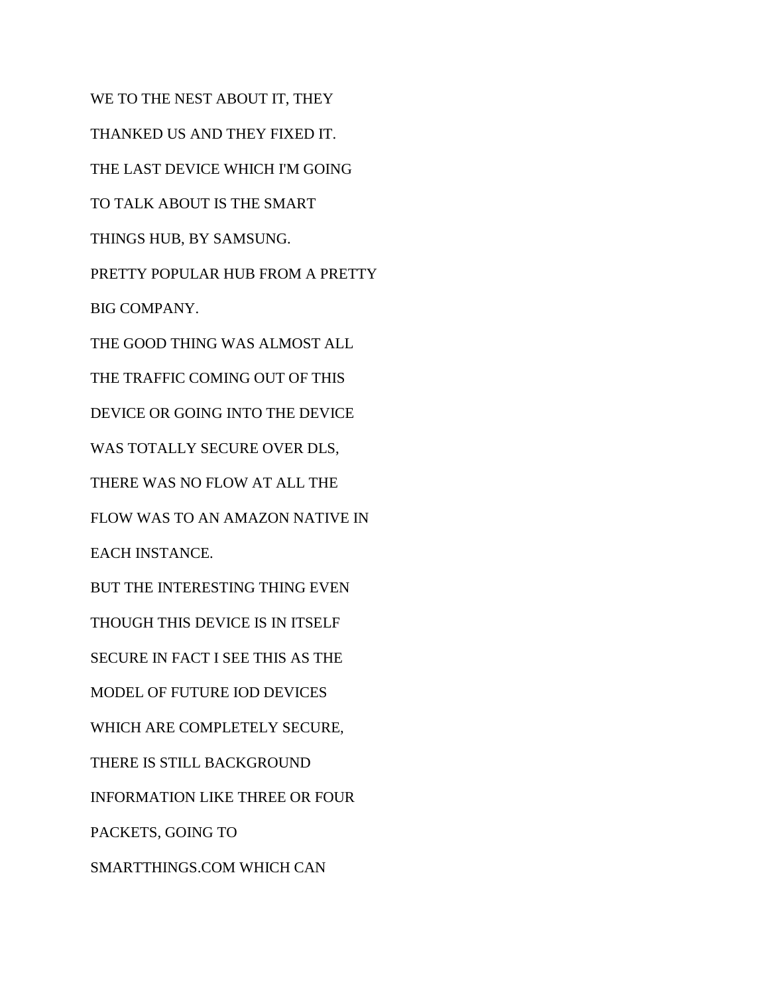WE TO THE NEST ABOUT IT, THEY THANKED US AND THEY FIXED IT. THE LAST DEVICE WHICH I'M GOING TO TALK ABOUT IS THE SMART THINGS HUB, BY SAMSUNG. PRETTY POPULAR HUB FROM A PRETTY BIG COMPANY. THE GOOD THING WAS ALMOST ALL THE TRAFFIC COMING OUT OF THIS DEVICE OR GOING INTO THE DEVICE WAS TOTALLY SECURE OVER DLS, THERE WAS NO FLOW AT ALL THE FLOW WAS TO AN AMAZON NATIVE IN EACH INSTANCE. BUT THE INTERESTING THING EVEN THOUGH THIS DEVICE IS IN ITSELF SECURE IN FACT I SEE THIS AS THE MODEL OF FUTURE IOD DEVICES WHICH ARE COMPLETELY SECURE, THERE IS STILL BACKGROUND INFORMATION LIKE THREE OR FOUR PACKETS, GOING TO SMARTTHINGS.COM WHICH CAN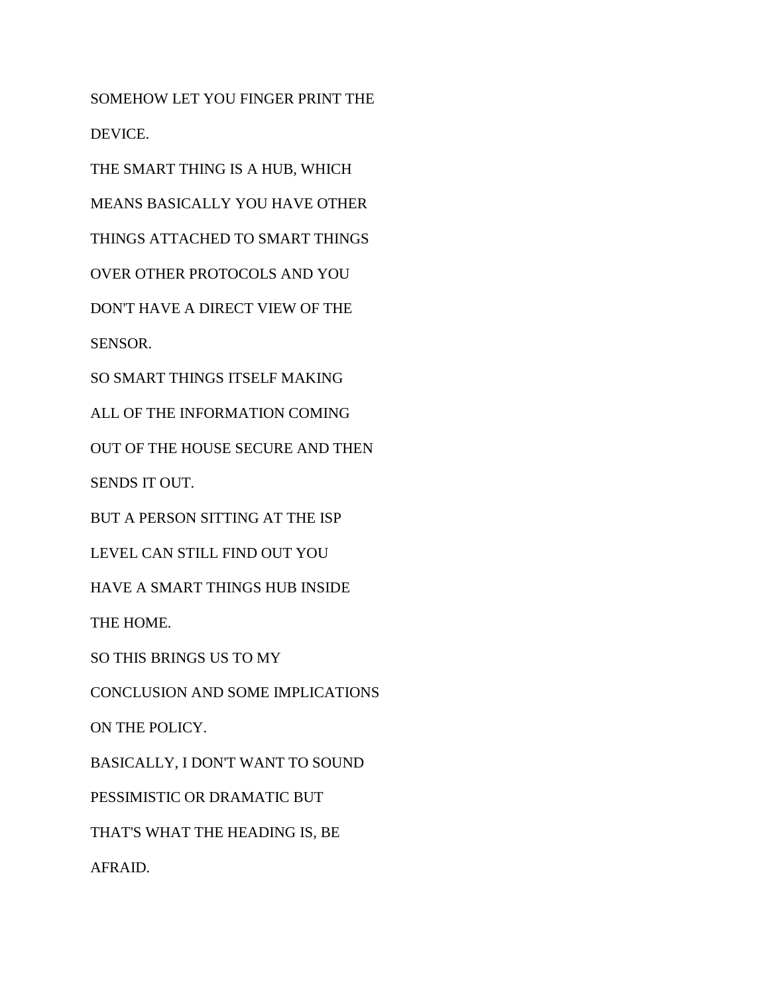SOMEHOW LET YOU FINGER PRINT THE DEVICE.

THE SMART THING IS A HUB, WHICH

MEANS BASICALLY YOU HAVE OTHER

THINGS ATTACHED TO SMART THINGS

OVER OTHER PROTOCOLS AND YOU

DON'T HAVE A DIRECT VIEW OF THE

SENSOR.

SO SMART THINGS ITSELF MAKING

ALL OF THE INFORMATION COMING

OUT OF THE HOUSE SECURE AND THEN

SENDS IT OUT.

BUT A PERSON SITTING AT THE ISP

LEVEL CAN STILL FIND OUT YOU

HAVE A SMART THINGS HUB INSIDE

THE HOME.

SO THIS BRINGS US TO MY

CONCLUSION AND SOME IMPLICATIONS

ON THE POLICY.

BASICALLY, I DON'T WANT TO SOUND

PESSIMISTIC OR DRAMATIC BUT

THAT'S WHAT THE HEADING IS, BE

AFRAID.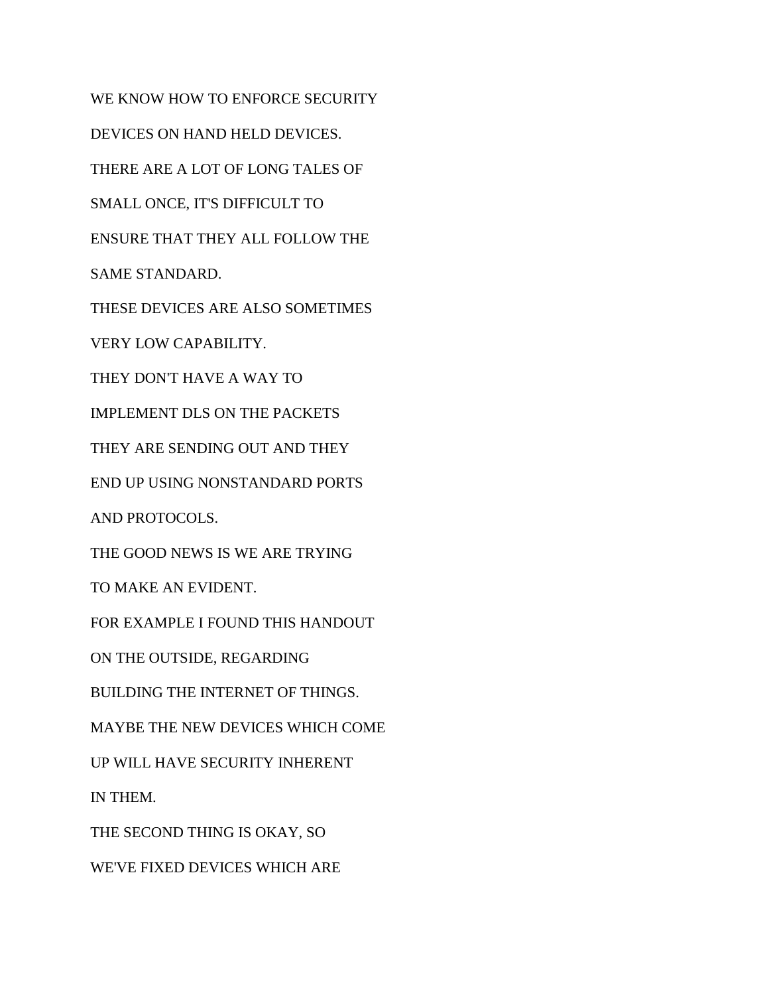WE KNOW HOW TO ENFORCE SECURITY DEVICES ON HAND HELD DEVICES. THERE ARE A LOT OF LONG TALES OF SMALL ONCE, IT'S DIFFICULT TO ENSURE THAT THEY ALL FOLLOW THE SAME STANDARD. THESE DEVICES ARE ALSO SOMETIMES VERY LOW CAPABILITY. THEY DON'T HAVE A WAY TO IMPLEMENT DLS ON THE PACKETS THEY ARE SENDING OUT AND THEY END UP USING NONSTANDARD PORTS AND PROTOCOLS. THE GOOD NEWS IS WE ARE TRYING TO MAKE AN EVIDENT. FOR EXAMPLE I FOUND THIS HANDOUT ON THE OUTSIDE, REGARDING BUILDING THE INTERNET OF THINGS. MAYBE THE NEW DEVICES WHICH COME UP WILL HAVE SECURITY INHERENT IN THEM. THE SECOND THING IS OKAY, SO WE'VE FIXED DEVICES WHICH ARE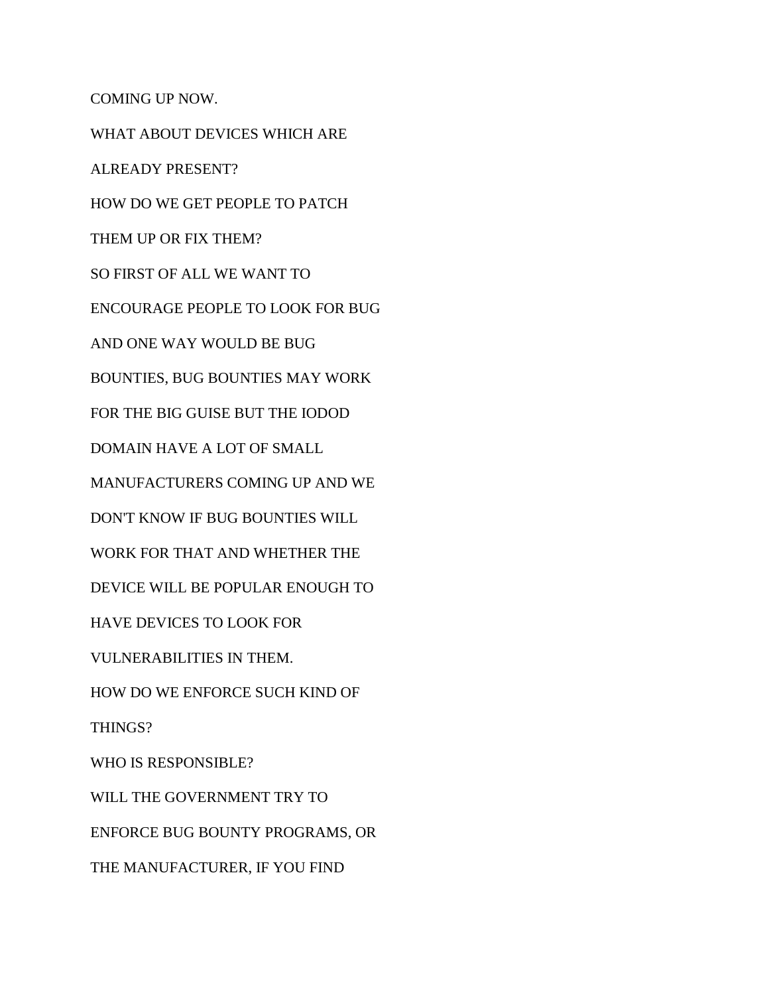COMING UP NOW.

WHAT ABOUT DEVICES WHICH ARE ALREADY PRESENT? HOW DO WE GET PEOPLE TO PATCH THEM UP OR FIX THEM? SO FIRST OF ALL WE WANT TO ENCOURAGE PEOPLE TO LOOK FOR BUG AND ONE WAY WOULD BE BUG BOUNTIES, BUG BOUNTIES MAY WORK FOR THE BIG GUISE BUT THE IODOD DOMAIN HAVE A LOT OF SMALL MANUFACTURERS COMING UP AND WE DON'T KNOW IF BUG BOUNTIES WILL WORK FOR THAT AND WHETHER THE DEVICE WILL BE POPULAR ENOUGH TO HAVE DEVICES TO LOOK FOR VULNERABILITIES IN THEM. HOW DO WE ENFORCE SUCH KIND OF THINGS? WHO IS RESPONSIBLE? WILL THE GOVERNMENT TRY TO ENFORCE BUG BOUNTY PROGRAMS, OR THE MANUFACTURER, IF YOU FIND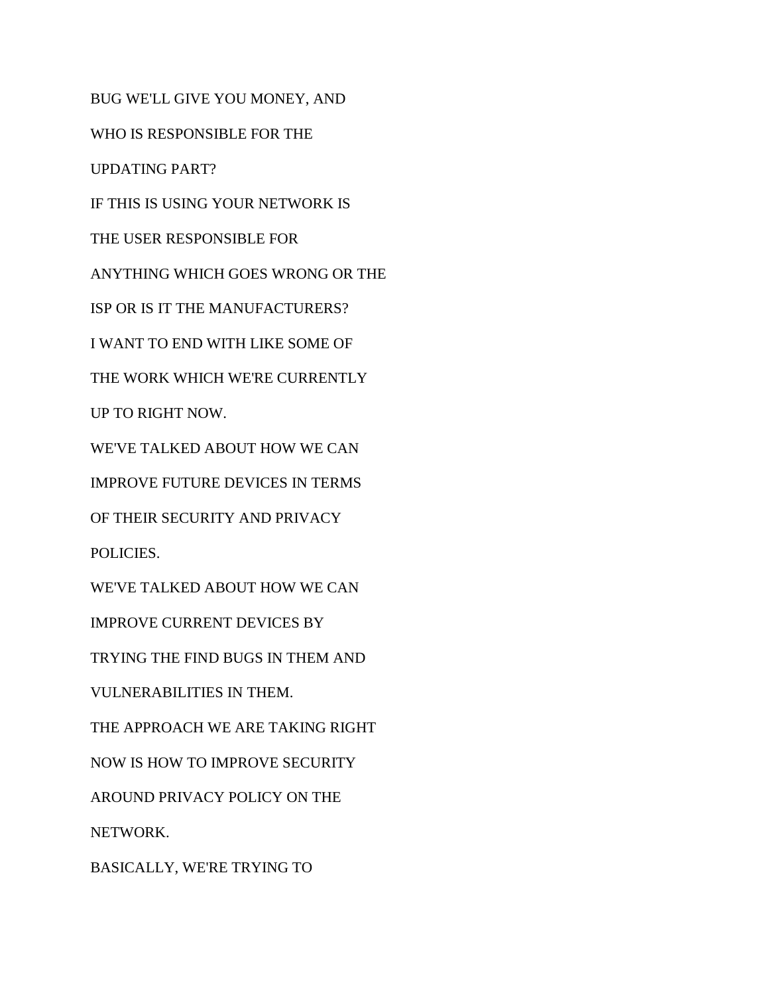BUG WE'LL GIVE YOU MONEY, AND WHO IS RESPONSIBLE FOR THE UPDATING PART? IF THIS IS USING YOUR NETWORK IS THE USER RESPONSIBLE FOR ANYTHING WHICH GOES WRONG OR THE ISP OR IS IT THE MANUFACTURERS? I WANT TO END WITH LIKE SOME OF THE WORK WHICH WE'RE CURRENTLY UP TO RIGHT NOW. WE'VE TALKED ABOUT HOW WE CAN IMPROVE FUTURE DEVICES IN TERMS OF THEIR SECURITY AND PRIVACY POLICIES. WE'VE TALKED ABOUT HOW WE CAN IMPROVE CURRENT DEVICES BY TRYING THE FIND BUGS IN THEM AND VULNERABILITIES IN THEM. THE APPROACH WE ARE TAKING RIGHT NOW IS HOW TO IMPROVE SECURITY AROUND PRIVACY POLICY ON THE NETWORK. BASICALLY, WE'RE TRYING TO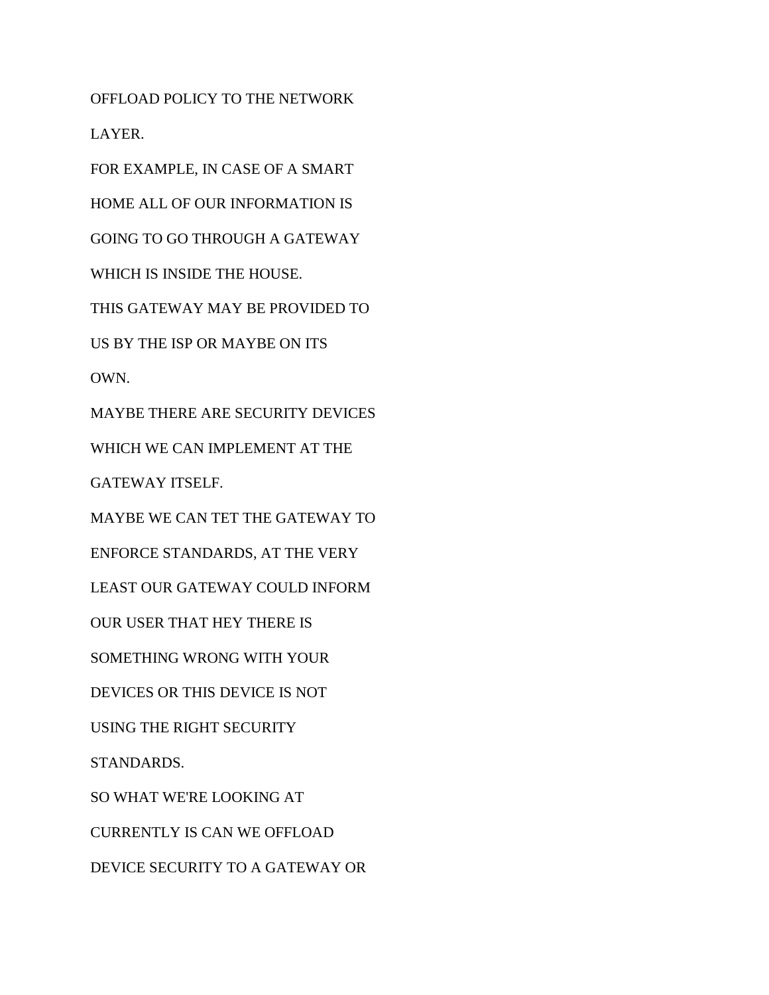OFFLOAD POLICY TO THE NETWORK LAYER. FOR EXAMPLE, IN CASE OF A SMART HOME ALL OF OUR INFORMATION IS GOING TO GO THROUGH A GATEWAY WHICH IS INSIDE THE HOUSE. THIS GATEWAY MAY BE PROVIDED TO US BY THE ISP OR MAYBE ON ITS OWN. MAYBE THERE ARE SECURITY DEVICES WHICH WE CAN IMPLEMENT AT THE GATEWAY ITSELF. MAYBE WE CAN TET THE GATEWAY TO ENFORCE STANDARDS, AT THE VERY LEAST OUR GATEWAY COULD INFORM OUR USER THAT HEY THERE IS SOMETHING WRONG WITH YOUR DEVICES OR THIS DEVICE IS NOT USING THE RIGHT SECURITY STANDARDS. SO WHAT WE'RE LOOKING AT CURRENTLY IS CAN WE OFFLOAD DEVICE SECURITY TO A GATEWAY OR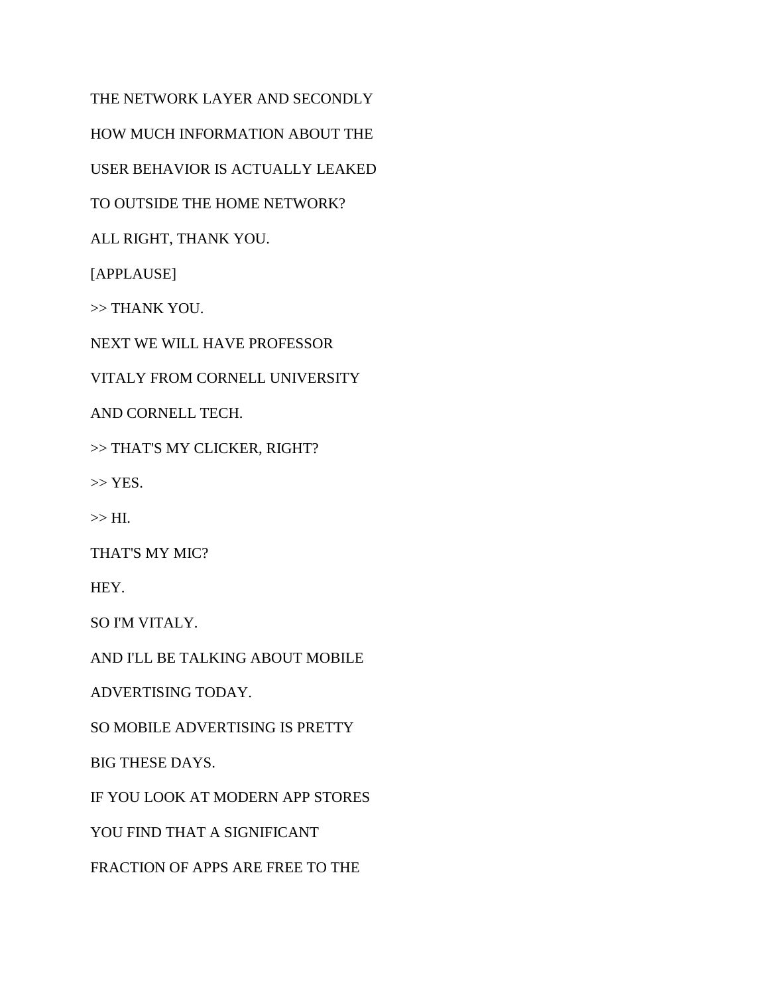THE NETWORK LAYER AND SECONDLY

HOW MUCH INFORMATION ABOUT THE

USER BEHAVIOR IS ACTUALLY LEAKED

TO OUTSIDE THE HOME NETWORK?

ALL RIGHT, THANK YOU.

[APPLAUSE]

>> THANK YOU.

NEXT WE WILL HAVE PROFESSOR

VITALY FROM CORNELL UNIVERSITY

AND CORNELL TECH.

>> THAT'S MY CLICKER, RIGHT?

 $>>$  YES.

 $>> HI$ .

THAT'S MY MIC?

HEY.

SO I'M VITALY.

AND I'LL BE TALKING ABOUT MOBILE

ADVERTISING TODAY.

SO MOBILE ADVERTISING IS PRETTY

BIG THESE DAYS.

IF YOU LOOK AT MODERN APP STORES

YOU FIND THAT A SIGNIFICANT

FRACTION OF APPS ARE FREE TO THE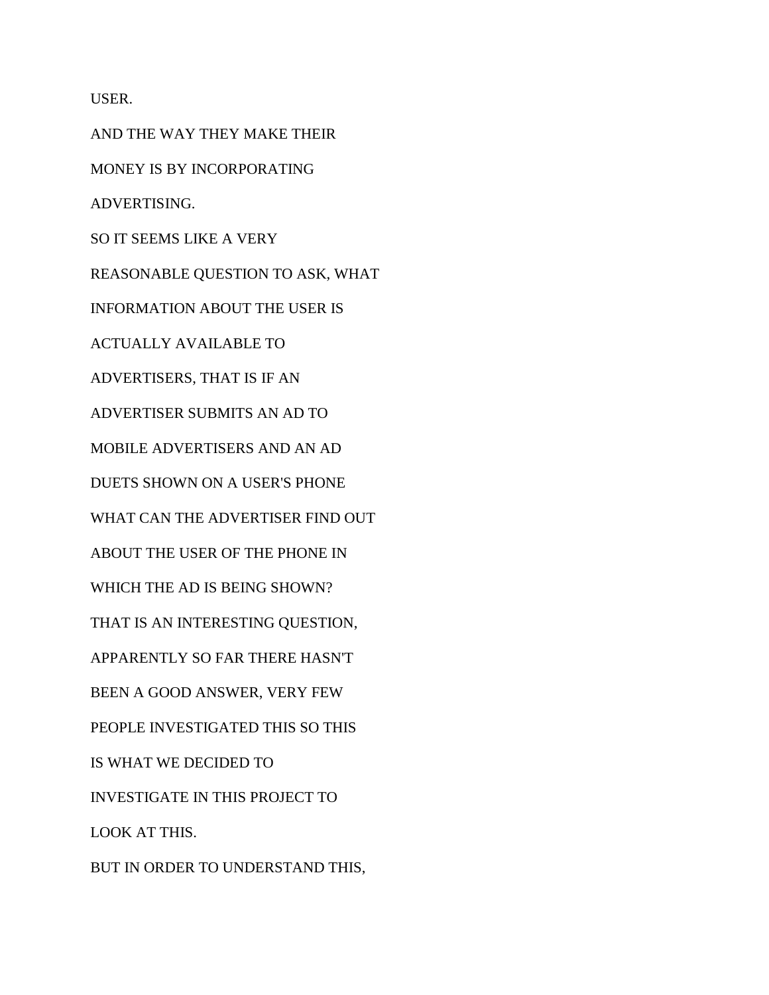USER.

AND THE WAY THEY MAKE THEIR MONEY IS BY INCORPORATING ADVERTISING. SO IT SEEMS LIKE A VERY REASONABLE QUESTION TO ASK, WHAT INFORMATION ABOUT THE USER IS ACTUALLY AVAILABLE TO ADVERTISERS, THAT IS IF AN ADVERTISER SUBMITS AN AD TO MOBILE ADVERTISERS AND AN AD DUETS SHOWN ON A USER'S PHONE WHAT CAN THE ADVERTISER FIND OUT ABOUT THE USER OF THE PHONE IN WHICH THE AD IS BEING SHOWN? THAT IS AN INTERESTING QUESTION, APPARENTLY SO FAR THERE HASN'T BEEN A GOOD ANSWER, VERY FEW PEOPLE INVESTIGATED THIS SO THIS IS WHAT WE DECIDED TO INVESTIGATE IN THIS PROJECT TO LOOK AT THIS. BUT IN ORDER TO UNDERSTAND THIS,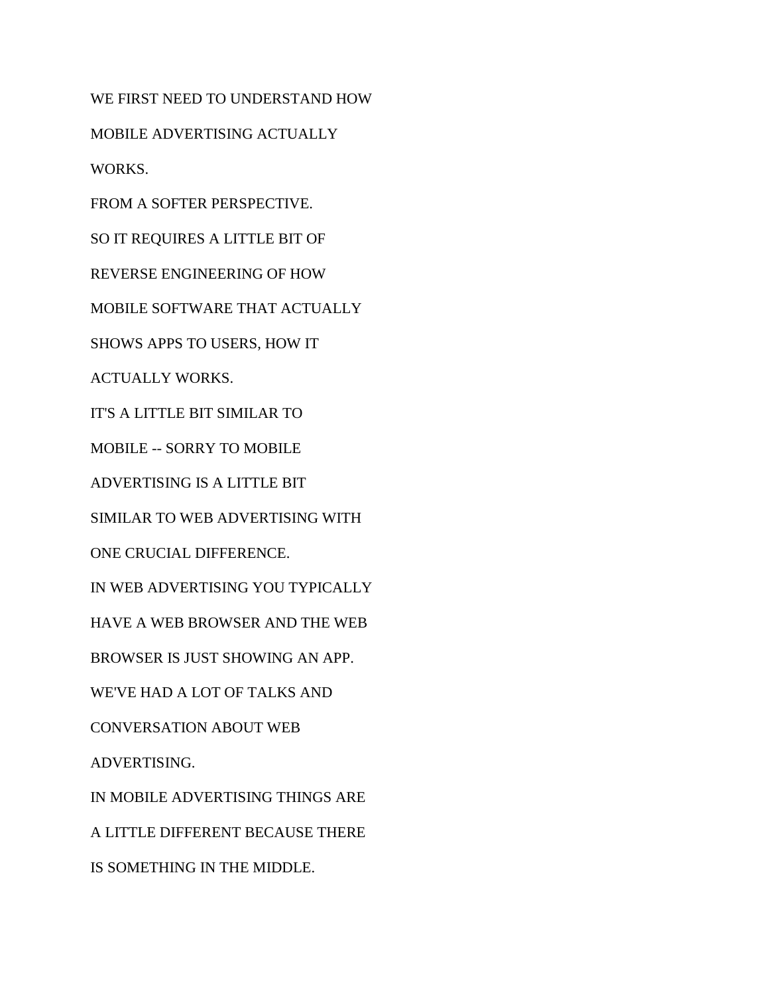WE FIRST NEED TO UNDERSTAND HOW

MOBILE ADVERTISING ACTUALLY

WORKS.

FROM A SOFTER PERSPECTIVE.

SO IT REQUIRES A LITTLE BIT OF

REVERSE ENGINEERING OF HOW

MOBILE SOFTWARE THAT ACTUALLY

SHOWS APPS TO USERS, HOW IT

ACTUALLY WORKS.

IT'S A LITTLE BIT SIMILAR TO

MOBILE -- SORRY TO MOBILE

ADVERTISING IS A LITTLE BIT

SIMILAR TO WEB ADVERTISING WITH

ONE CRUCIAL DIFFERENCE.

IN WEB ADVERTISING YOU TYPICALLY

HAVE A WEB BROWSER AND THE WEB

BROWSER IS JUST SHOWING AN APP.

WE'VE HAD A LOT OF TALKS AND

CONVERSATION ABOUT WEB

ADVERTISING.

IN MOBILE ADVERTISING THINGS ARE

A LITTLE DIFFERENT BECAUSE THERE

IS SOMETHING IN THE MIDDLE.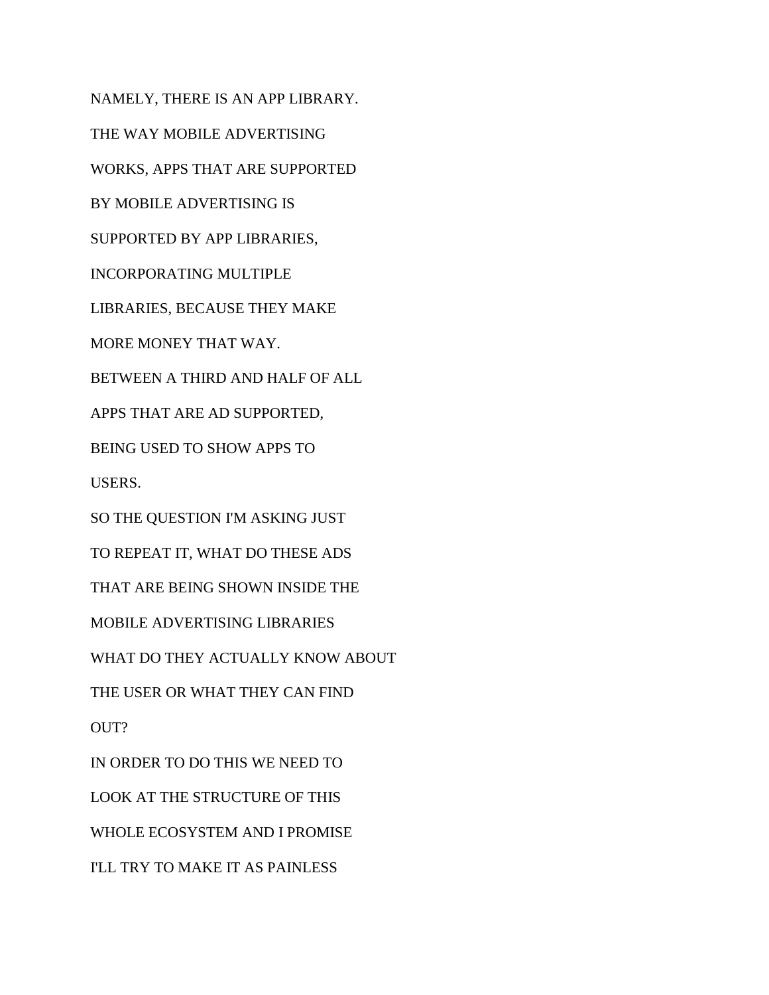NAMELY, THERE IS AN APP LIBRARY. THE WAY MOBILE ADVERTISING WORKS, APPS THAT ARE SUPPORTED BY MOBILE ADVERTISING IS SUPPORTED BY APP LIBRARIES, INCORPORATING MULTIPLE LIBRARIES, BECAUSE THEY MAKE MORE MONEY THAT WAY. BETWEEN A THIRD AND HALF OF ALL APPS THAT ARE AD SUPPORTED, BEING USED TO SHOW APPS TO USERS. SO THE QUESTION I'M ASKING JUST TO REPEAT IT, WHAT DO THESE ADS THAT ARE BEING SHOWN INSIDE THE MOBILE ADVERTISING LIBRARIES WHAT DO THEY ACTUALLY KNOW ABOUT THE USER OR WHAT THEY CAN FIND OUT? IN ORDER TO DO THIS WE NEED TO LOOK AT THE STRUCTURE OF THIS WHOLE ECOSYSTEM AND I PROMISE I'LL TRY TO MAKE IT AS PAINLESS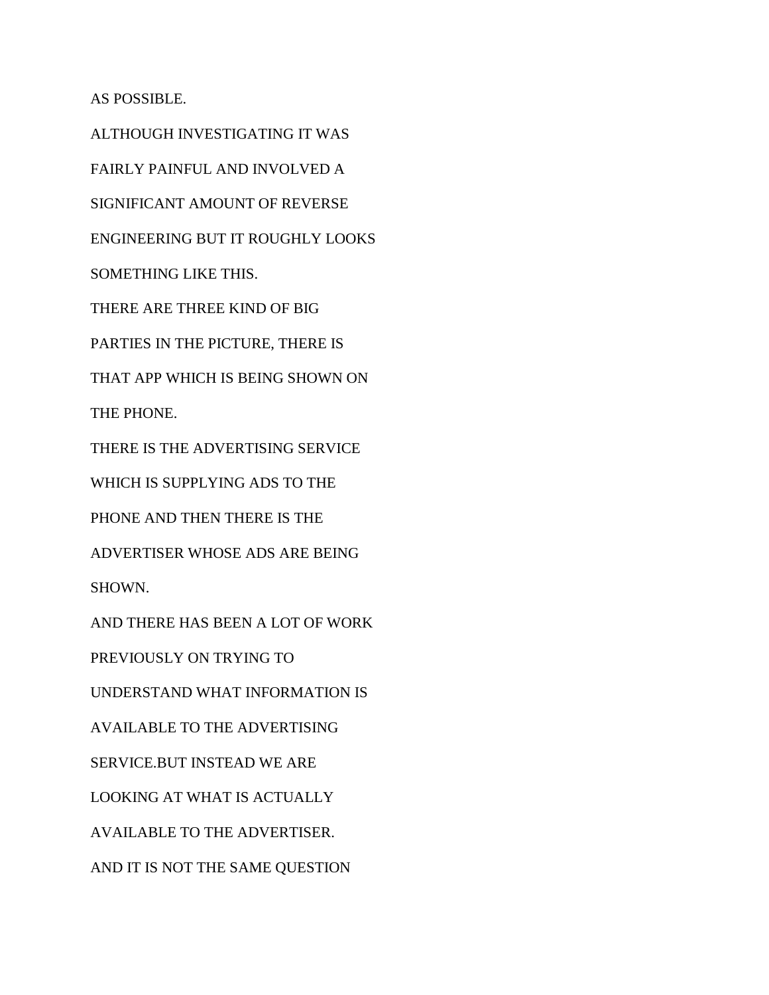AS POSSIBLE.

ALTHOUGH INVESTIGATING IT WAS FAIRLY PAINFUL AND INVOLVED A SIGNIFICANT AMOUNT OF REVERSE ENGINEERING BUT IT ROUGHLY LOOKS SOMETHING LIKE THIS. THERE ARE THREE KIND OF BIG PARTIES IN THE PICTURE, THERE IS THAT APP WHICH IS BEING SHOWN ON THE PHONE. THERE IS THE ADVERTISING SERVICE WHICH IS SUPPLYING ADS TO THE PHONE AND THEN THERE IS THE ADVERTISER WHOSE ADS ARE BEING SHOWN. AND THERE HAS BEEN A LOT OF WORK PREVIOUSLY ON TRYING TO UNDERSTAND WHAT INFORMATION IS AVAILABLE TO THE ADVERTISING SERVICE.BUT INSTEAD WE ARE LOOKING AT WHAT IS ACTUALLY AVAILABLE TO THE ADVERTISER. AND IT IS NOT THE SAME QUESTION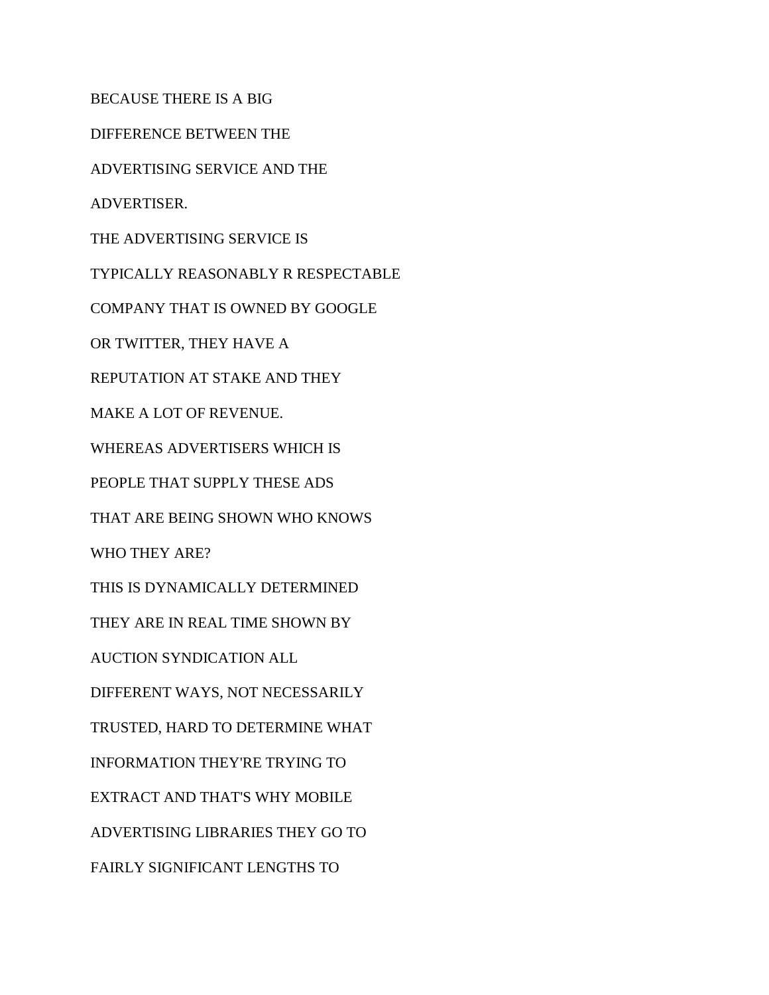BECAUSE THERE IS A BIG

DIFFERENCE BETWEEN THE

ADVERTISING SERVICE AND THE

ADVERTISER.

THE ADVERTISING SERVICE IS

TYPICALLY REASONABLY R RESPECTABLE

COMPANY THAT IS OWNED BY GOOGLE

OR TWITTER, THEY HAVE A

REPUTATION AT STAKE AND THEY

MAKE A LOT OF REVENUE.

WHEREAS ADVERTISERS WHICH IS

PEOPLE THAT SUPPLY THESE ADS

THAT ARE BEING SHOWN WHO KNOWS

WHO THEY ARE?

THIS IS DYNAMICALLY DETERMINED

THEY ARE IN REAL TIME SHOWN BY

AUCTION SYNDICATION ALL

DIFFERENT WAYS, NOT NECESSARILY

TRUSTED, HARD TO DETERMINE WHAT

INFORMATION THEY'RE TRYING TO

EXTRACT AND THAT'S WHY MOBILE

ADVERTISING LIBRARIES THEY GO TO

FAIRLY SIGNIFICANT LENGTHS TO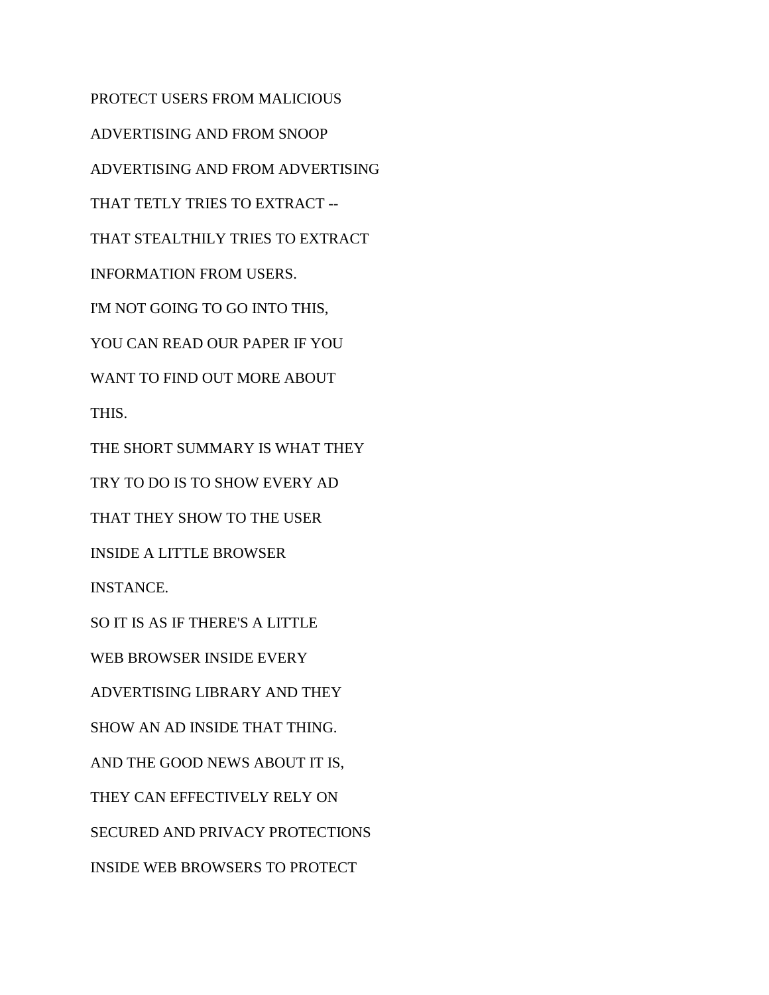PROTECT USERS FROM MALICIOUS ADVERTISING AND FROM SNOOP ADVERTISING AND FROM ADVERTISING THAT TETLY TRIES TO EXTRACT -- THAT STEALTHILY TRIES TO EXTRACT INFORMATION FROM USERS. I'M NOT GOING TO GO INTO THIS, YOU CAN READ OUR PAPER IF YOU WANT TO FIND OUT MORE ABOUT THIS. THE SHORT SUMMARY IS WHAT THEY TRY TO DO IS TO SHOW EVERY AD THAT THEY SHOW TO THE USER INSIDE A LITTLE BROWSER INSTANCE. SO IT IS AS IF THERE'S A LITTLE WEB BROWSER INSIDE EVERY ADVERTISING LIBRARY AND THEY SHOW AN AD INSIDE THAT THING. AND THE GOOD NEWS ABOUT IT IS, THEY CAN EFFECTIVELY RELY ON SECURED AND PRIVACY PROTECTIONS INSIDE WEB BROWSERS TO PROTECT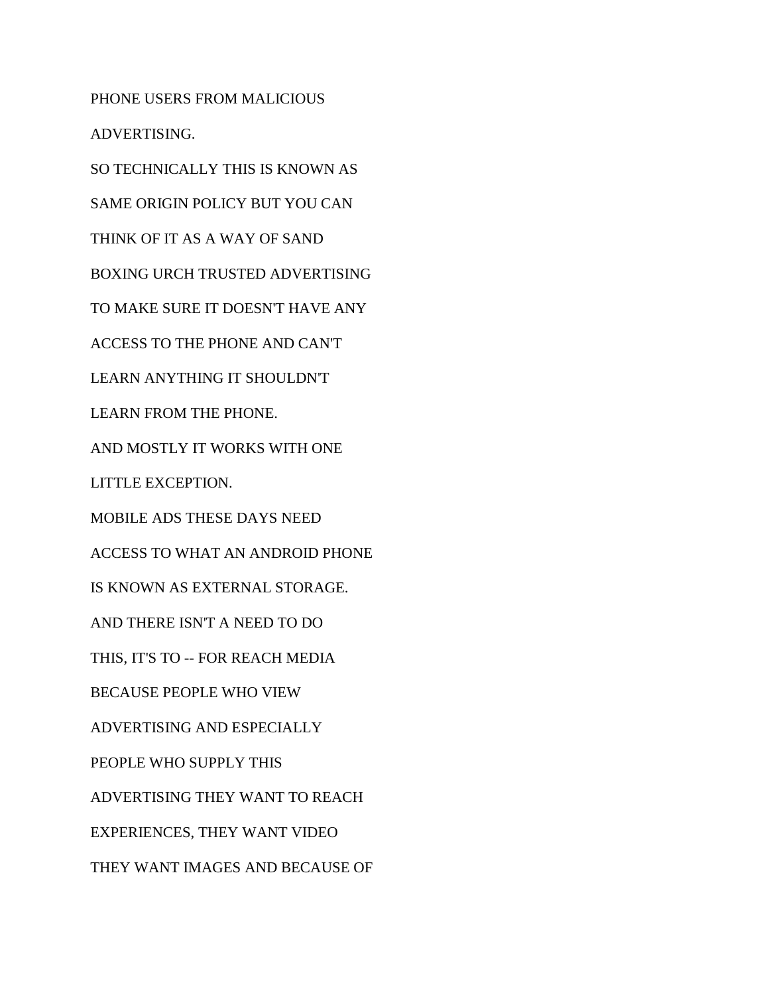PHONE USERS FROM MALICIOUS ADVERTISING. SO TECHNICALLY THIS IS KNOWN AS SAME ORIGIN POLICY BUT YOU CAN THINK OF IT AS A WAY OF SAND BOXING URCH TRUSTED ADVERTISING TO MAKE SURE IT DOESN'T HAVE ANY ACCESS TO THE PHONE AND CAN'T LEARN ANYTHING IT SHOULDN'T LEARN FROM THE PHONE. AND MOSTLY IT WORKS WITH ONE LITTLE EXCEPTION. MOBILE ADS THESE DAYS NEED ACCESS TO WHAT AN ANDROID PHONE IS KNOWN AS EXTERNAL STORAGE. AND THERE ISN'T A NEED TO DO THIS, IT'S TO -- FOR REACH MEDIA BECAUSE PEOPLE WHO VIEW ADVERTISING AND ESPECIALLY PEOPLE WHO SUPPLY THIS ADVERTISING THEY WANT TO REACH EXPERIENCES, THEY WANT VIDEO THEY WANT IMAGES AND BECAUSE OF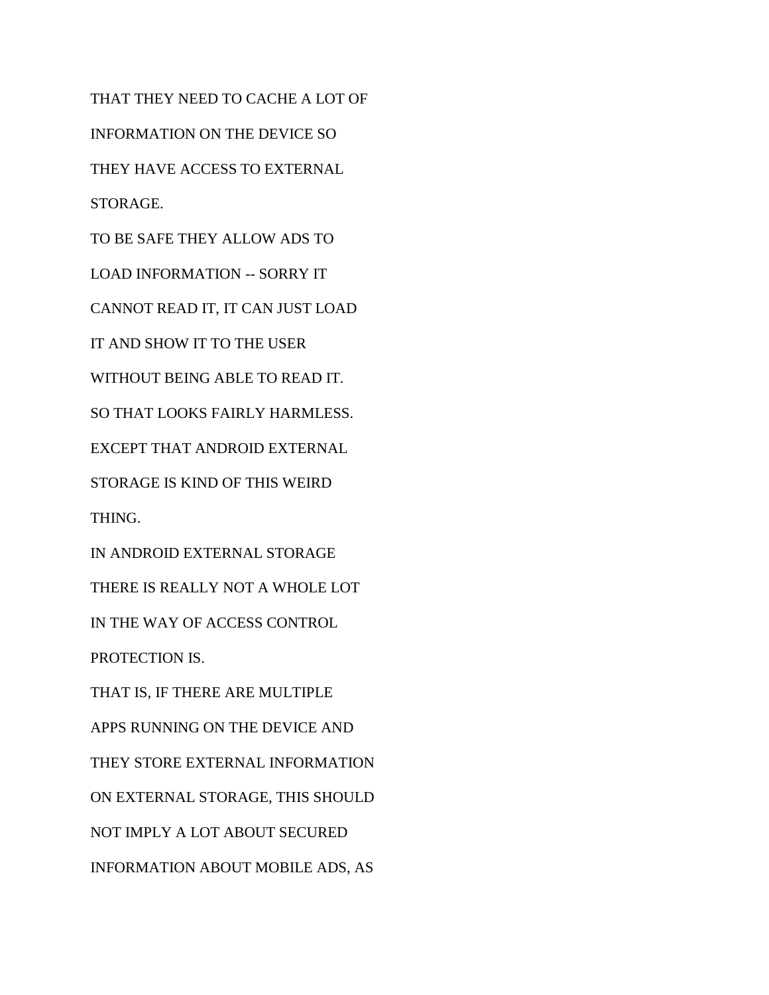THAT THEY NEED TO CACHE A LOT OF INFORMATION ON THE DEVICE SO THEY HAVE ACCESS TO EXTERNAL STORAGE. TO BE SAFE THEY ALLOW ADS TO LOAD INFORMATION -- SORRY IT CANNOT READ IT, IT CAN JUST LOAD IT AND SHOW IT TO THE USER WITHOUT BEING ABLE TO READ IT. SO THAT LOOKS FAIRLY HARMLESS. EXCEPT THAT ANDROID EXTERNAL STORAGE IS KIND OF THIS WEIRD THING. IN ANDROID EXTERNAL STORAGE THERE IS REALLY NOT A WHOLE LOT IN THE WAY OF ACCESS CONTROL PROTECTION IS. THAT IS, IF THERE ARE MULTIPLE APPS RUNNING ON THE DEVICE AND THEY STORE EXTERNAL INFORMATION ON EXTERNAL STORAGE, THIS SHOULD NOT IMPLY A LOT ABOUT SECURED INFORMATION ABOUT MOBILE ADS, AS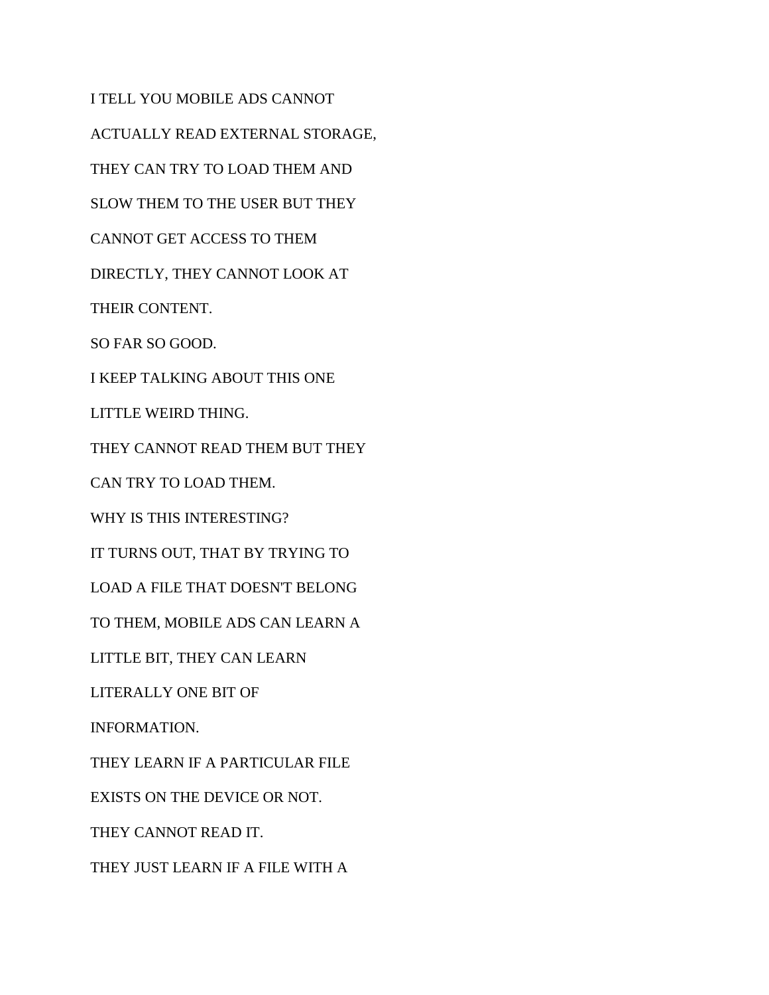I TELL YOU MOBILE ADS CANNOT ACTUALLY READ EXTERNAL STORAGE, THEY CAN TRY TO LOAD THEM AND SLOW THEM TO THE USER BUT THEY CANNOT GET ACCESS TO THEM DIRECTLY, THEY CANNOT LOOK AT THEIR CONTENT. SO FAR SO GOOD. I KEEP TALKING ABOUT THIS ONE LITTLE WEIRD THING. THEY CANNOT READ THEM BUT THEY CAN TRY TO LOAD THEM. WHY IS THIS INTERESTING? IT TURNS OUT, THAT BY TRYING TO LOAD A FILE THAT DOESN'T BELONG TO THEM, MOBILE ADS CAN LEARN A LITTLE BIT, THEY CAN LEARN LITERALLY ONE BIT OF INFORMATION. THEY LEARN IF A PARTICULAR FILE EXISTS ON THE DEVICE OR NOT. THEY CANNOT READ IT. THEY JUST LEARN IF A FILE WITH A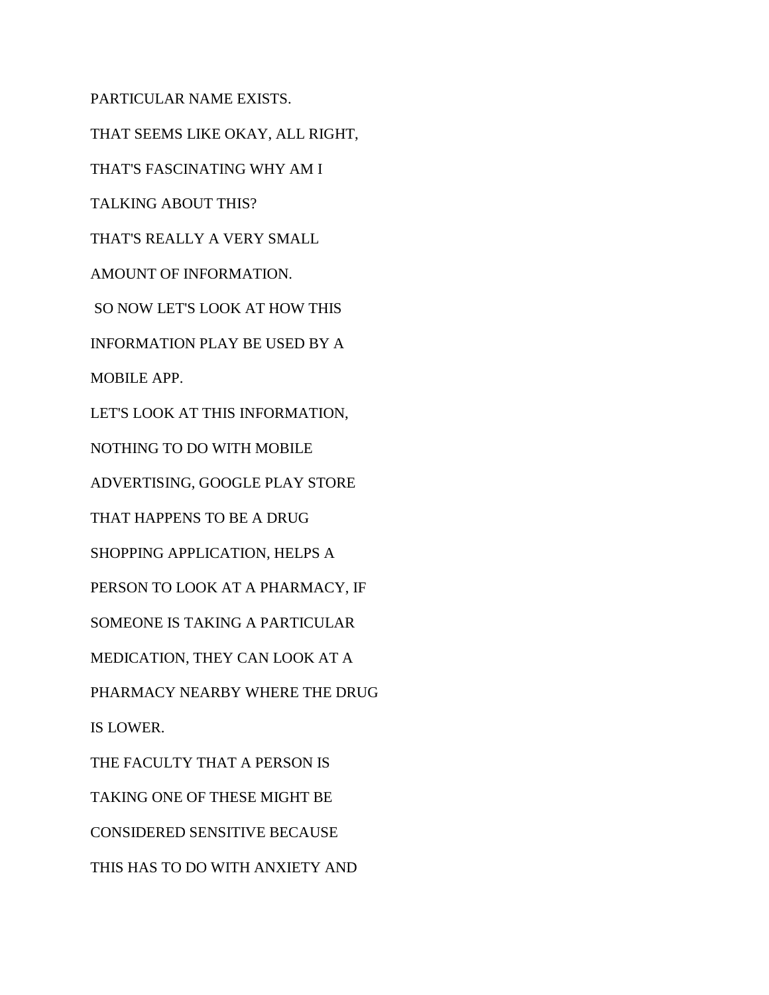PARTICULAR NAME EXISTS.

THAT SEEMS LIKE OKAY, ALL RIGHT, THAT'S FASCINATING WHY AM I TALKING ABOUT THIS? THAT'S REALLY A VERY SMALL AMOUNT OF INFORMATION. SO NOW LET'S LOOK AT HOW THIS INFORMATION PLAY BE USED BY A MOBILE APP. LET'S LOOK AT THIS INFORMATION, NOTHING TO DO WITH MOBILE ADVERTISING, GOOGLE PLAY STORE THAT HAPPENS TO BE A DRUG SHOPPING APPLICATION, HELPS A PERSON TO LOOK AT A PHARMACY, IF SOMEONE IS TAKING A PARTICULAR MEDICATION, THEY CAN LOOK AT A PHARMACY NEARBY WHERE THE DRUG IS LOWER. THE FACULTY THAT A PERSON IS TAKING ONE OF THESE MIGHT BE CONSIDERED SENSITIVE BECAUSE

THIS HAS TO DO WITH ANXIETY AND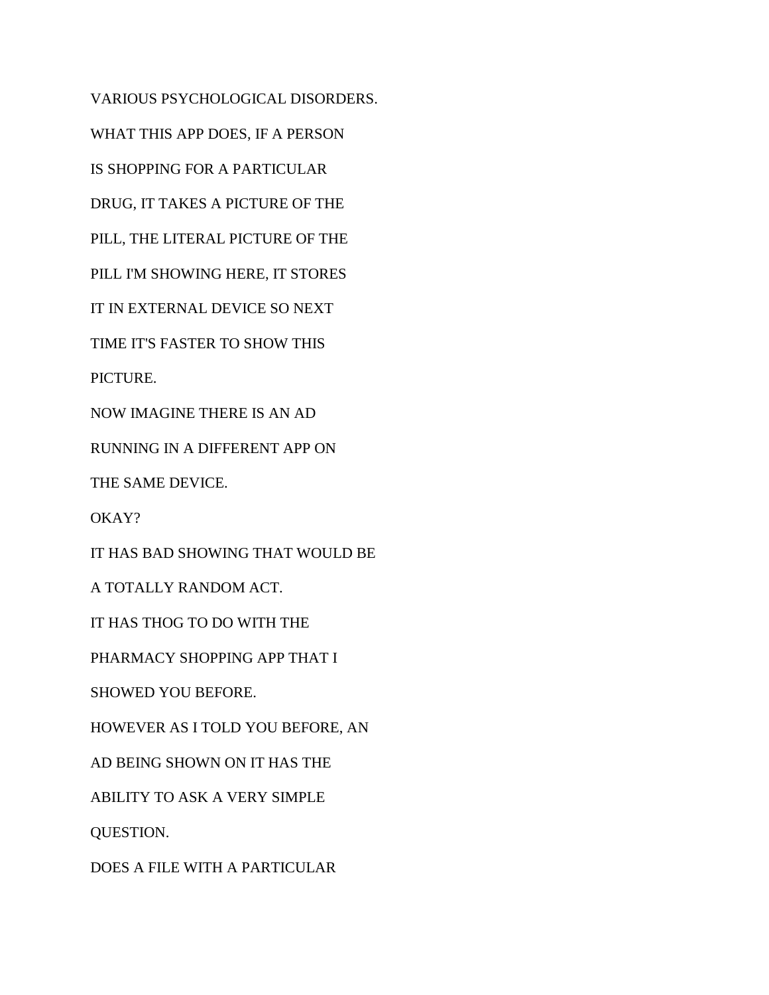VARIOUS PSYCHOLOGICAL DISORDERS. WHAT THIS APP DOES, IF A PERSON IS SHOPPING FOR A PARTICULAR DRUG, IT TAKES A PICTURE OF THE PILL, THE LITERAL PICTURE OF THE PILL I'M SHOWING HERE, IT STORES IT IN EXTERNAL DEVICE SO NEXT TIME IT'S FASTER TO SHOW THIS PICTURE. NOW IMAGINE THERE IS AN AD RUNNING IN A DIFFERENT APP ON THE SAME DEVICE. OKAY? IT HAS BAD SHOWING THAT WOULD BE A TOTALLY RANDOM ACT. IT HAS THOG TO DO WITH THE PHARMACY SHOPPING APP THAT I SHOWED YOU BEFORE. HOWEVER AS I TOLD YOU BEFORE, AN AD BEING SHOWN ON IT HAS THE ABILITY TO ASK A VERY SIMPLE QUESTION. DOES A FILE WITH A PARTICULAR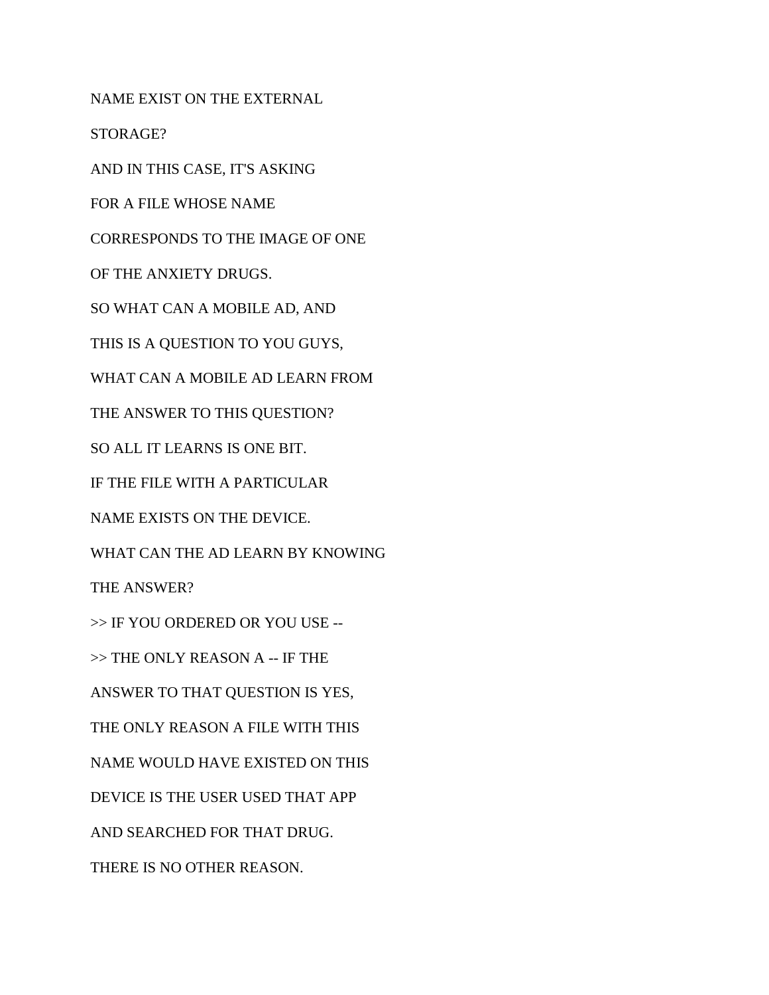NAME EXIST ON THE EXTERNAL

STORAGE?

AND IN THIS CASE, IT'S ASKING

FOR A FILE WHOSE NAME

CORRESPONDS TO THE IMAGE OF ONE

OF THE ANXIETY DRUGS.

SO WHAT CAN A MOBILE AD, AND

THIS IS A QUESTION TO YOU GUYS,

WHAT CAN A MOBILE AD LEARN FROM

THE ANSWER TO THIS QUESTION?

SO ALL IT LEARNS IS ONE BIT.

IF THE FILE WITH A PARTICULAR

NAME EXISTS ON THE DEVICE.

WHAT CAN THE AD LEARN BY KNOWING

THE ANSWER?

>> IF YOU ORDERED OR YOU USE --

>> THE ONLY REASON A -- IF THE

ANSWER TO THAT QUESTION IS YES,

THE ONLY REASON A FILE WITH THIS

NAME WOULD HAVE EXISTED ON THIS

DEVICE IS THE USER USED THAT APP

AND SEARCHED FOR THAT DRUG.

THERE IS NO OTHER REASON.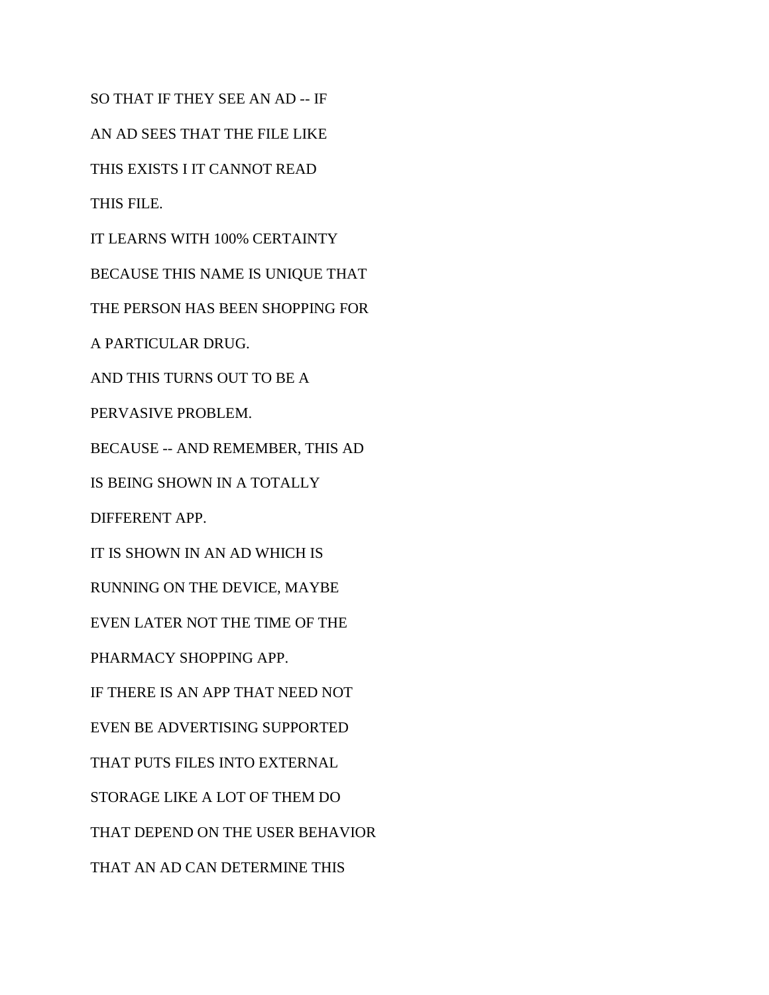SO THAT IF THEY SEE AN AD -- IF

AN AD SEES THAT THE FILE LIKE

THIS EXISTS I IT CANNOT READ

THIS FILE.

IT LEARNS WITH 100% CERTAINTY BECAUSE THIS NAME IS UNIQUE THAT THE PERSON HAS BEEN SHOPPING FOR A PARTICULAR DRUG. AND THIS TURNS OUT TO BE A PERVASIVE PROBLEM. BECAUSE -- AND REMEMBER, THIS AD IS BEING SHOWN IN A TOTALLY DIFFERENT APP. IT IS SHOWN IN AN AD WHICH IS RUNNING ON THE DEVICE, MAYBE EVEN LATER NOT THE TIME OF THE PHARMACY SHOPPING APP. IF THERE IS AN APP THAT NEED NOT EVEN BE ADVERTISING SUPPORTED THAT PUTS FILES INTO EXTERNAL STORAGE LIKE A LOT OF THEM DO THAT DEPEND ON THE USER BEHAVIOR

THAT AN AD CAN DETERMINE THIS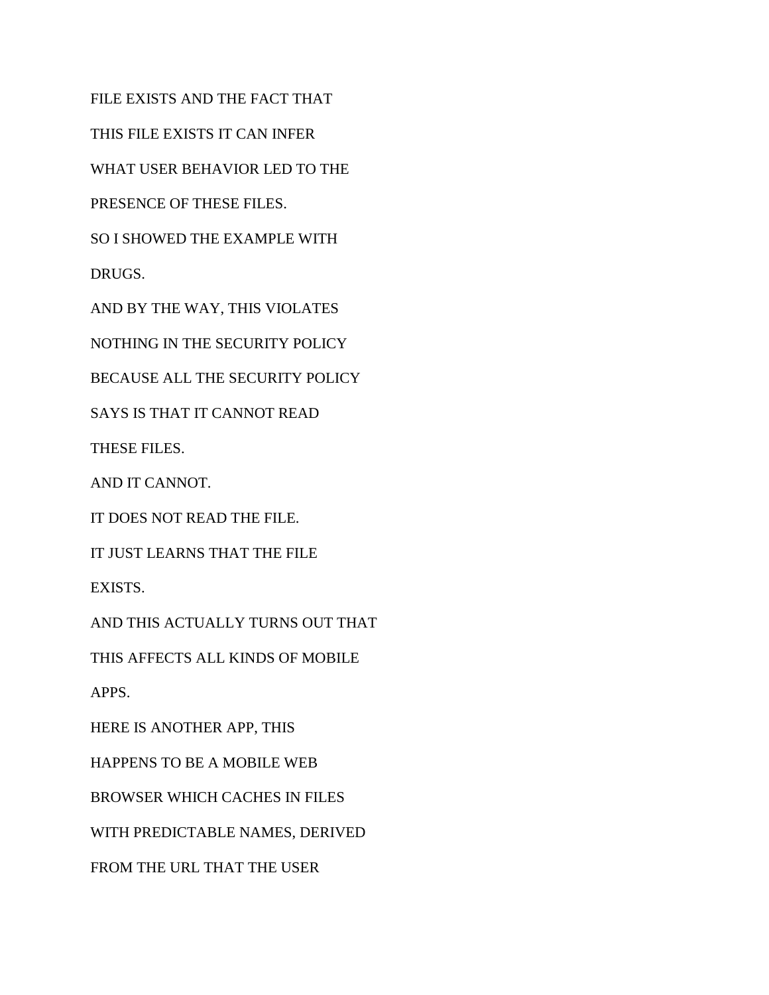FILE EXISTS AND THE FACT THAT

THIS FILE EXISTS IT CAN INFER

WHAT USER BEHAVIOR LED TO THE

PRESENCE OF THESE FILES.

SO I SHOWED THE EXAMPLE WITH

DRUGS.

AND BY THE WAY, THIS VIOLATES

NOTHING IN THE SECURITY POLICY

BECAUSE ALL THE SECURITY POLICY

SAYS IS THAT IT CANNOT READ

THESE FILES.

AND IT CANNOT.

IT DOES NOT READ THE FILE.

IT JUST LEARNS THAT THE FILE

EXISTS.

AND THIS ACTUALLY TURNS OUT THAT

THIS AFFECTS ALL KINDS OF MOBILE

APPS.

HERE IS ANOTHER APP, THIS

HAPPENS TO BE A MOBILE WEB

BROWSER WHICH CACHES IN FILES

WITH PREDICTABLE NAMES, DERIVED

FROM THE URL THAT THE USER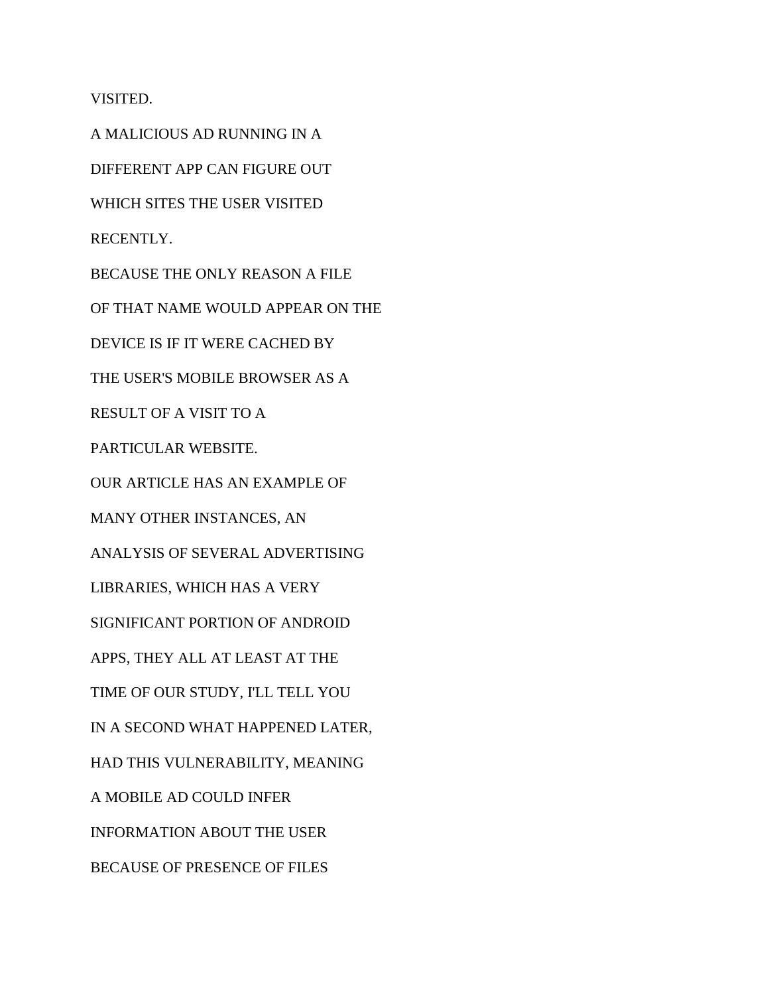VISITED.

A MALICIOUS AD RUNNING IN A DIFFERENT APP CAN FIGURE OUT WHICH SITES THE USER VISITED RECENTLY. BECAUSE THE ONLY REASON A FILE OF THAT NAME WOULD APPEAR ON THE DEVICE IS IF IT WERE CACHED BY THE USER'S MOBILE BROWSER AS A RESULT OF A VISIT TO A PARTICULAR WEBSITE. OUR ARTICLE HAS AN EXAMPLE OF MANY OTHER INSTANCES, AN ANALYSIS OF SEVERAL ADVERTISING LIBRARIES, WHICH HAS A VERY SIGNIFICANT PORTION OF ANDROID APPS, THEY ALL AT LEAST AT THE TIME OF OUR STUDY, I'LL TELL YOU IN A SECOND WHAT HAPPENED LATER, HAD THIS VULNERABILITY, MEANING A MOBILE AD COULD INFER INFORMATION ABOUT THE USER BECAUSE OF PRESENCE OF FILES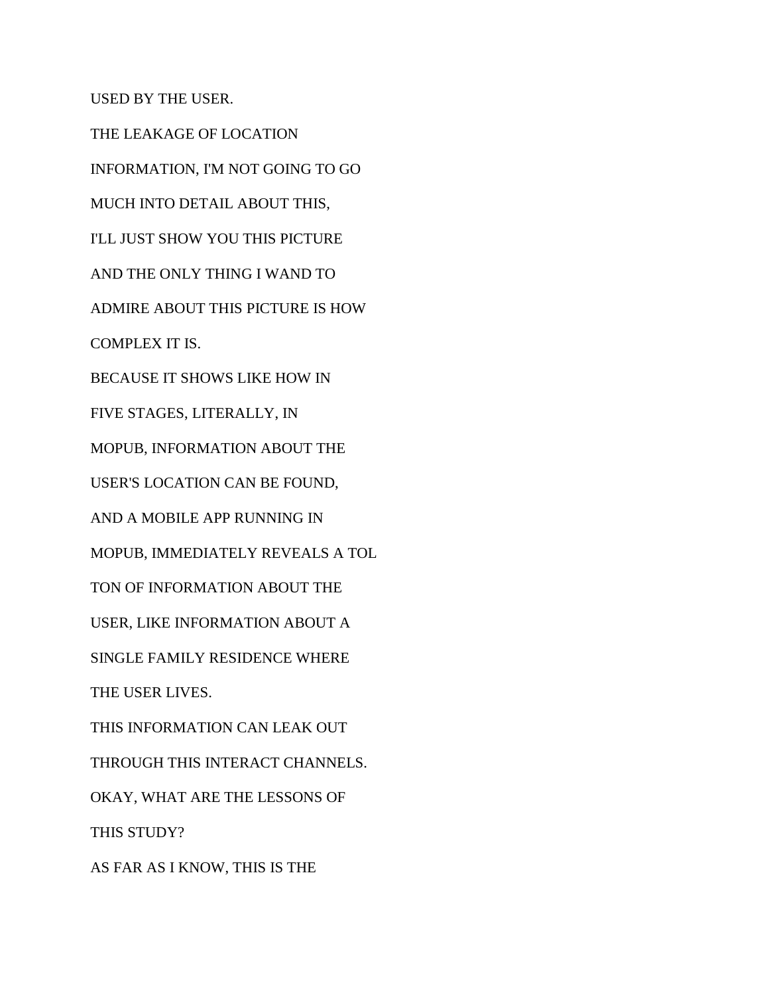USED BY THE USER.

THE LEAKAGE OF LOCATION INFORMATION, I'M NOT GOING TO GO MUCH INTO DETAIL ABOUT THIS, I'LL JUST SHOW YOU THIS PICTURE AND THE ONLY THING I WAND TO ADMIRE ABOUT THIS PICTURE IS HOW COMPLEX IT IS. BECAUSE IT SHOWS LIKE HOW IN FIVE STAGES, LITERALLY, IN MOPUB, INFORMATION ABOUT THE USER'S LOCATION CAN BE FOUND, AND A MOBILE APP RUNNING IN MOPUB, IMMEDIATELY REVEALS A TOL TON OF INFORMATION ABOUT THE USER, LIKE INFORMATION ABOUT A SINGLE FAMILY RESIDENCE WHERE THE USER LIVES. THIS INFORMATION CAN LEAK OUT THROUGH THIS INTERACT CHANNELS. OKAY, WHAT ARE THE LESSONS OF THIS STUDY? AS FAR AS I KNOW, THIS IS THE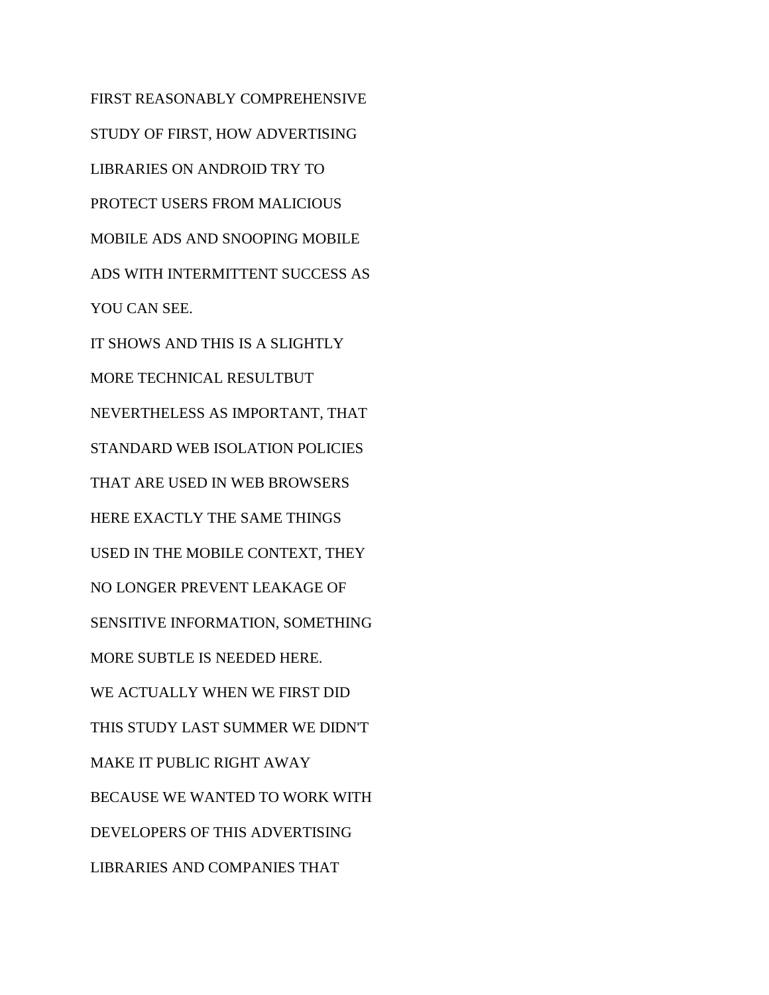FIRST REASONABLY COMPREHENSIVE STUDY OF FIRST, HOW ADVERTISING LIBRARIES ON ANDROID TRY TO PROTECT USERS FROM MALICIOUS MOBILE ADS AND SNOOPING MOBILE ADS WITH INTERMITTENT SUCCESS AS YOU CAN SEE. IT SHOWS AND THIS IS A SLIGHTLY MORE TECHNICAL RESULTBUT NEVERTHELESS AS IMPORTANT, THAT STANDARD WEB ISOLATION POLICIES THAT ARE USED IN WEB BROWSERS HERE EXACTLY THE SAME THINGS USED IN THE MOBILE CONTEXT, THEY NO LONGER PREVENT LEAKAGE OF SENSITIVE INFORMATION, SOMETHING MORE SUBTLE IS NEEDED HERE. WE ACTUALLY WHEN WE FIRST DID THIS STUDY LAST SUMMER WE DIDN'T MAKE IT PUBLIC RIGHT AWAY BECAUSE WE WANTED TO WORK WITH DEVELOPERS OF THIS ADVERTISING LIBRARIES AND COMPANIES THAT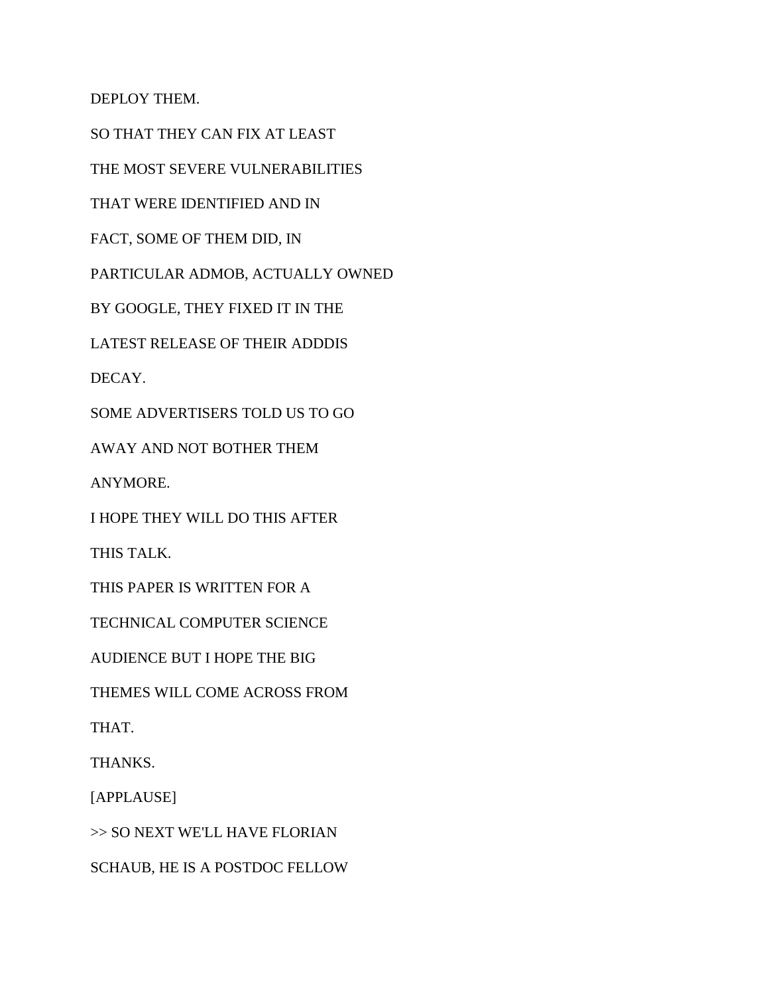DEPLOY THEM.

SO THAT THEY CAN FIX AT LEAST

THE MOST SEVERE VULNERABILITIES

THAT WERE IDENTIFIED AND IN

FACT, SOME OF THEM DID, IN

PARTICULAR ADMOB, ACTUALLY OWNED

BY GOOGLE, THEY FIXED IT IN THE

LATEST RELEASE OF THEIR ADDDIS

DECAY.

SOME ADVERTISERS TOLD US TO GO

AWAY AND NOT BOTHER THEM

ANYMORE.

I HOPE THEY WILL DO THIS AFTER

THIS TALK.

THIS PAPER IS WRITTEN FOR A

TECHNICAL COMPUTER SCIENCE

AUDIENCE BUT I HOPE THE BIG

THEMES WILL COME ACROSS FROM

THAT.

THANKS.

[APPLAUSE]

>> SO NEXT WE'LL HAVE FLORIAN

SCHAUB, HE IS A POSTDOC FELLOW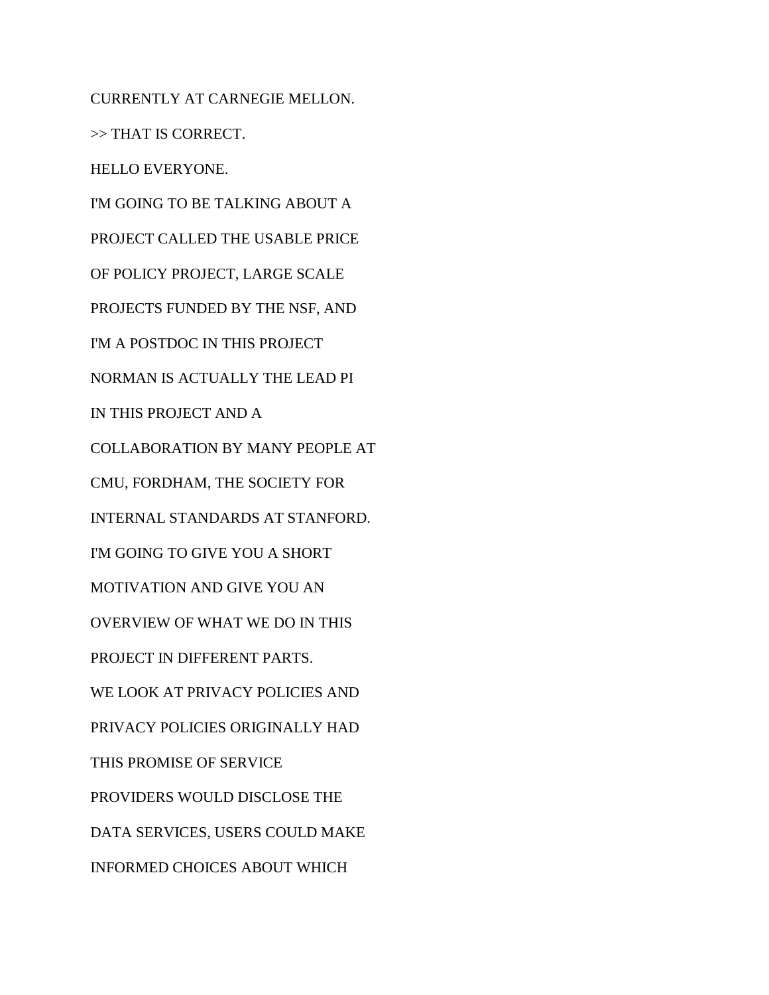CURRENTLY AT CARNEGIE MELLON. >> THAT IS CORRECT. HELLO EVERYONE. I'M GOING TO BE TALKING ABOUT A PROJECT CALLED THE USABLE PRICE OF POLICY PROJECT, LARGE SCALE PROJECTS FUNDED BY THE NSF, AND I'M A POSTDOC IN THIS PROJECT NORMAN IS ACTUALLY THE LEAD PI IN THIS PROJECT AND A COLLABORATION BY MANY PEOPLE AT CMU, FORDHAM, THE SOCIETY FOR INTERNAL STANDARDS AT STANFORD. I'M GOING TO GIVE YOU A SHORT MOTIVATION AND GIVE YOU AN OVERVIEW OF WHAT WE DO IN THIS PROJECT IN DIFFERENT PARTS. WE LOOK AT PRIVACY POLICIES AND PRIVACY POLICIES ORIGINALLY HAD THIS PROMISE OF SERVICE PROVIDERS WOULD DISCLOSE THE DATA SERVICES, USERS COULD MAKE INFORMED CHOICES ABOUT WHICH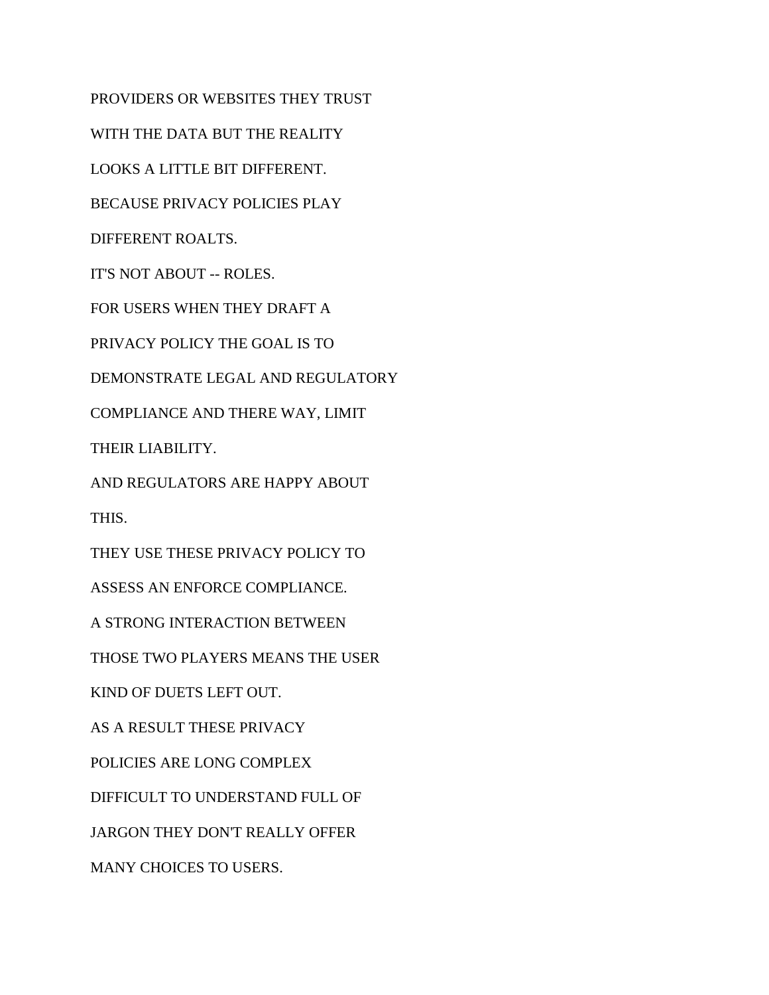PROVIDERS OR WEBSITES THEY TRUST WITH THE DATA BUT THE REALITY LOOKS A LITTLE BIT DIFFERENT. BECAUSE PRIVACY POLICIES PLAY DIFFERENT ROALTS. IT'S NOT ABOUT -- ROLES. FOR USERS WHEN THEY DRAFT A PRIVACY POLICY THE GOAL IS TO DEMONSTRATE LEGAL AND REGULATORY COMPLIANCE AND THERE WAY, LIMIT THEIR LIABILITY. AND REGULATORS ARE HAPPY ABOUT THIS. THEY USE THESE PRIVACY POLICY TO ASSESS AN ENFORCE COMPLIANCE. A STRONG INTERACTION BETWEEN THOSE TWO PLAYERS MEANS THE USER KIND OF DUETS LEFT OUT. AS A RESULT THESE PRIVACY POLICIES ARE LONG COMPLEX DIFFICULT TO UNDERSTAND FULL OF JARGON THEY DON'T REALLY OFFER MANY CHOICES TO USERS.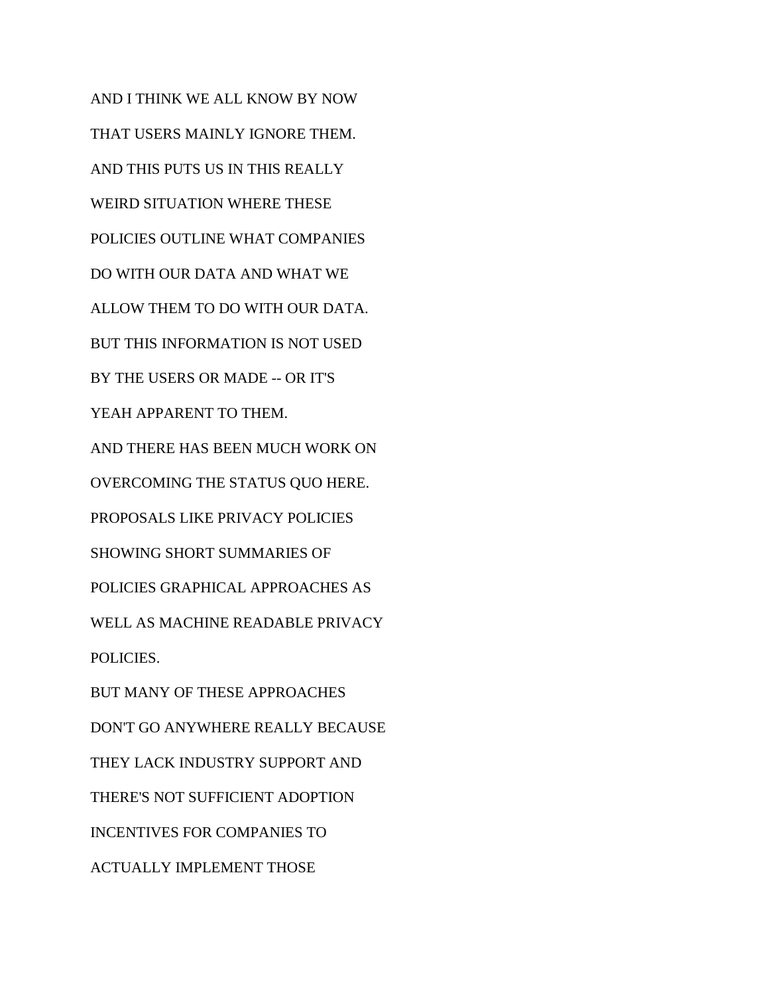AND I THINK WE ALL KNOW BY NOW THAT USERS MAINLY IGNORE THEM. AND THIS PUTS US IN THIS REALLY WEIRD SITUATION WHERE THESE POLICIES OUTLINE WHAT COMPANIES DO WITH OUR DATA AND WHAT WE ALLOW THEM TO DO WITH OUR DATA. BUT THIS INFORMATION IS NOT USED BY THE USERS OR MADE -- OR IT'S YEAH APPARENT TO THEM. AND THERE HAS BEEN MUCH WORK ON OVERCOMING THE STATUS QUO HERE. PROPOSALS LIKE PRIVACY POLICIES SHOWING SHORT SUMMARIES OF POLICIES GRAPHICAL APPROACHES AS WELL AS MACHINE READABLE PRIVACY POLICIES. BUT MANY OF THESE APPROACHES DON'T GO ANYWHERE REALLY BECAUSE THEY LACK INDUSTRY SUPPORT AND THERE'S NOT SUFFICIENT ADOPTION INCENTIVES FOR COMPANIES TO ACTUALLY IMPLEMENT THOSE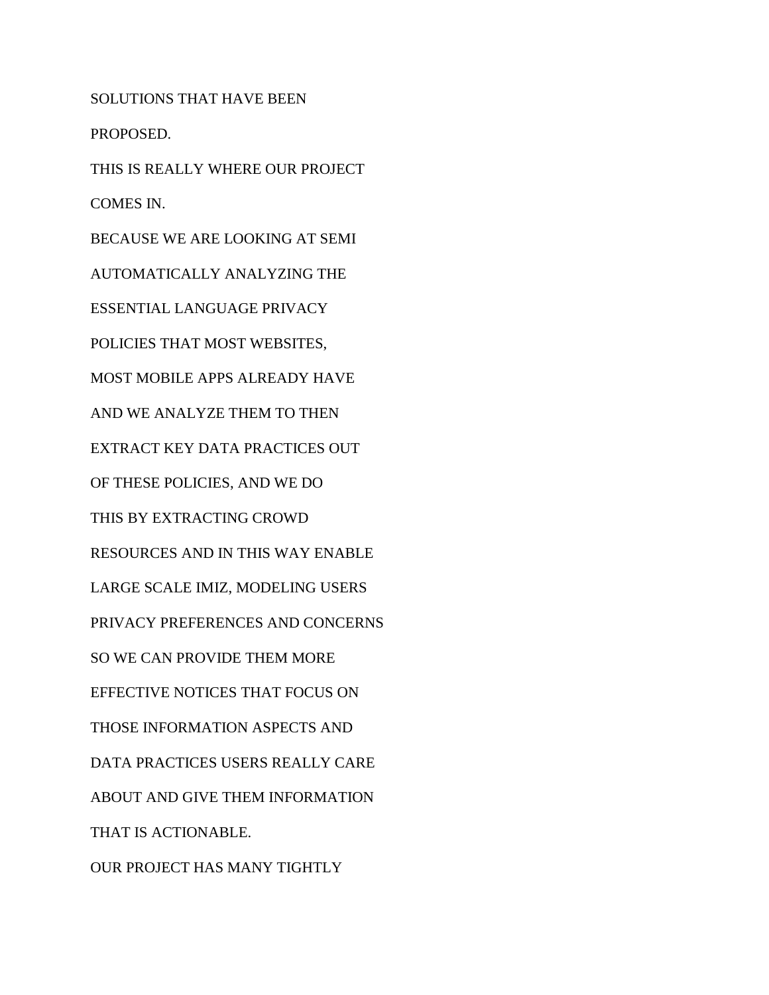PROPOSED. THIS IS REALLY WHERE OUR PROJECT COMES IN. BECAUSE WE ARE LOOKING AT SEMI AUTOMATICALLY ANALYZING THE ESSENTIAL LANGUAGE PRIVACY POLICIES THAT MOST WEBSITES, MOST MOBILE APPS ALREADY HAVE AND WE ANALYZE THEM TO THEN EXTRACT KEY DATA PRACTICES OUT OF THESE POLICIES, AND WE DO THIS BY EXTRACTING CROWD RESOURCES AND IN THIS WAY ENABLE LARGE SCALE IMIZ, MODELING USERS PRIVACY PREFERENCES AND CONCERNS SO WE CAN PROVIDE THEM MORE EFFECTIVE NOTICES THAT FOCUS ON THOSE INFORMATION ASPECTS AND DATA PRACTICES USERS REALLY CARE ABOUT AND GIVE THEM INFORMATION THAT IS ACTIONABLE. OUR PROJECT HAS MANY TIGHTLY

SOLUTIONS THAT HAVE BEEN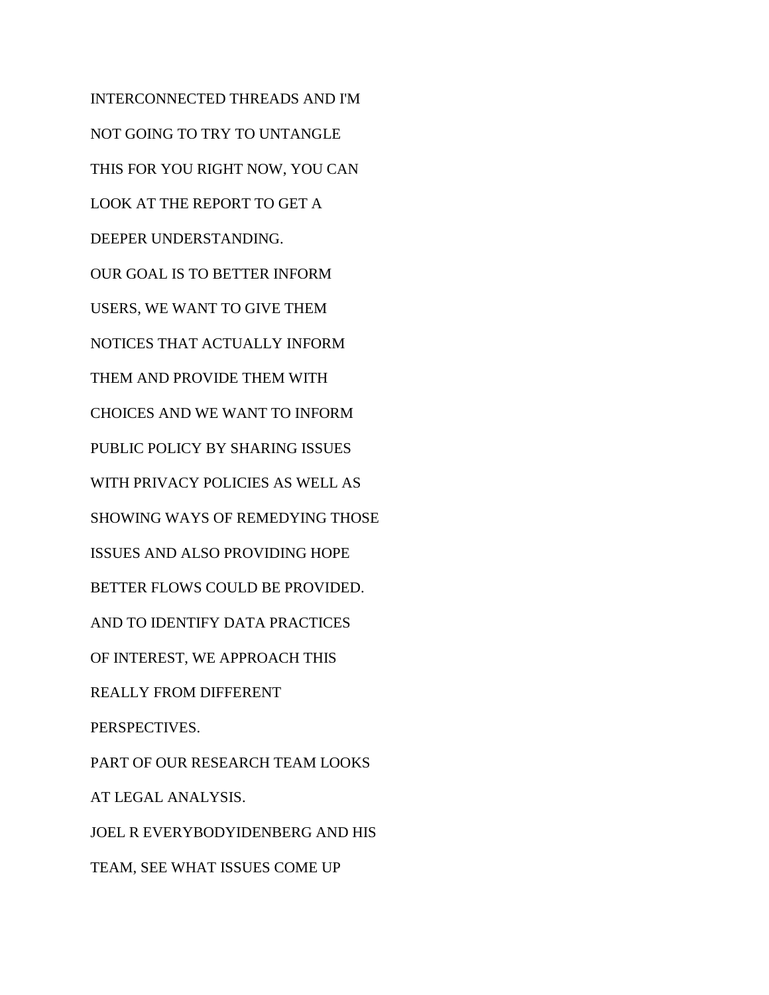INTERCONNECTED THREADS AND I'M NOT GOING TO TRY TO UNTANGLE THIS FOR YOU RIGHT NOW, YOU CAN LOOK AT THE REPORT TO GET A DEEPER UNDERSTANDING. OUR GOAL IS TO BETTER INFORM USERS, WE WANT TO GIVE THEM NOTICES THAT ACTUALLY INFORM THEM AND PROVIDE THEM WITH CHOICES AND WE WANT TO INFORM PUBLIC POLICY BY SHARING ISSUES WITH PRIVACY POLICIES AS WELL AS SHOWING WAYS OF REMEDYING THOSE ISSUES AND ALSO PROVIDING HOPE BETTER FLOWS COULD BE PROVIDED. AND TO IDENTIFY DATA PRACTICES OF INTEREST, WE APPROACH THIS REALLY FROM DIFFERENT PERSPECTIVES. PART OF OUR RESEARCH TEAM LOOKS AT LEGAL ANALYSIS. JOEL R EVERYBODYIDENBERG AND HIS TEAM, SEE WHAT ISSUES COME UP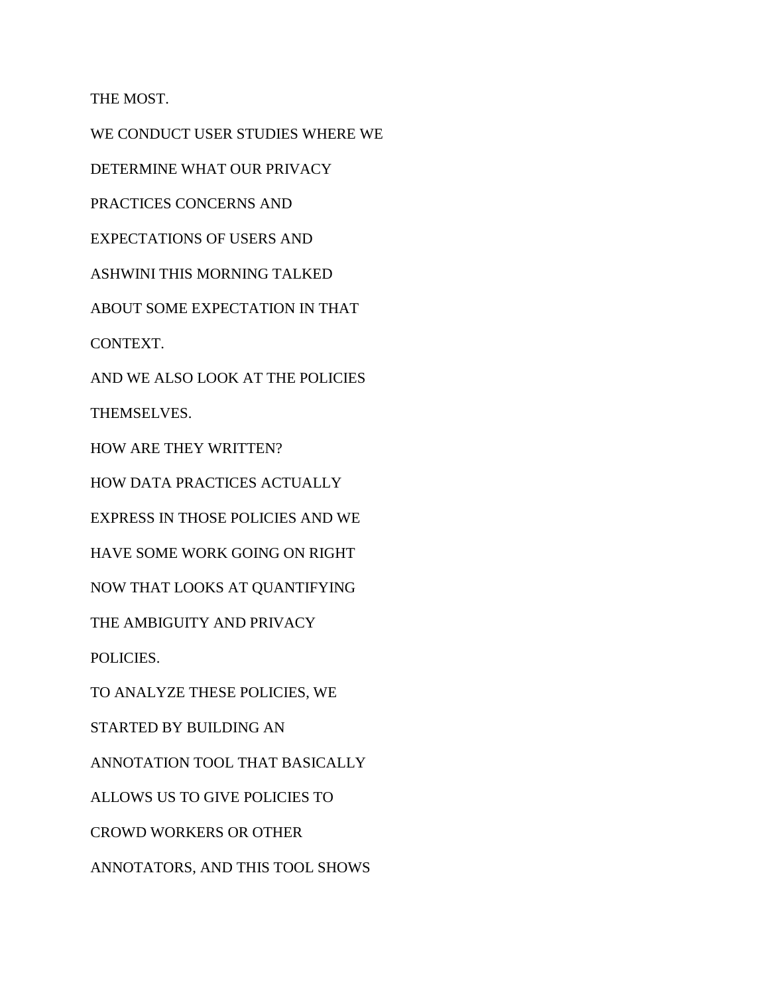THE MOST.

WE CONDUCT USER STUDIES WHERE WE DETERMINE WHAT OUR PRIVACY PRACTICES CONCERNS AND EXPECTATIONS OF USERS AND ASHWINI THIS MORNING TALKED ABOUT SOME EXPECTATION IN THAT CONTEXT. AND WE ALSO LOOK AT THE POLICIES THEMSELVES. HOW ARE THEY WRITTEN? HOW DATA PRACTICES ACTUALLY EXPRESS IN THOSE POLICIES AND WE HAVE SOME WORK GOING ON RIGHT NOW THAT LOOKS AT QUANTIFYING THE AMBIGUITY AND PRIVACY POLICIES. TO ANALYZE THESE POLICIES, WE STARTED BY BUILDING AN ANNOTATION TOOL THAT BASICALLY ALLOWS US TO GIVE POLICIES TO CROWD WORKERS OR OTHER ANNOTATORS, AND THIS TOOL SHOWS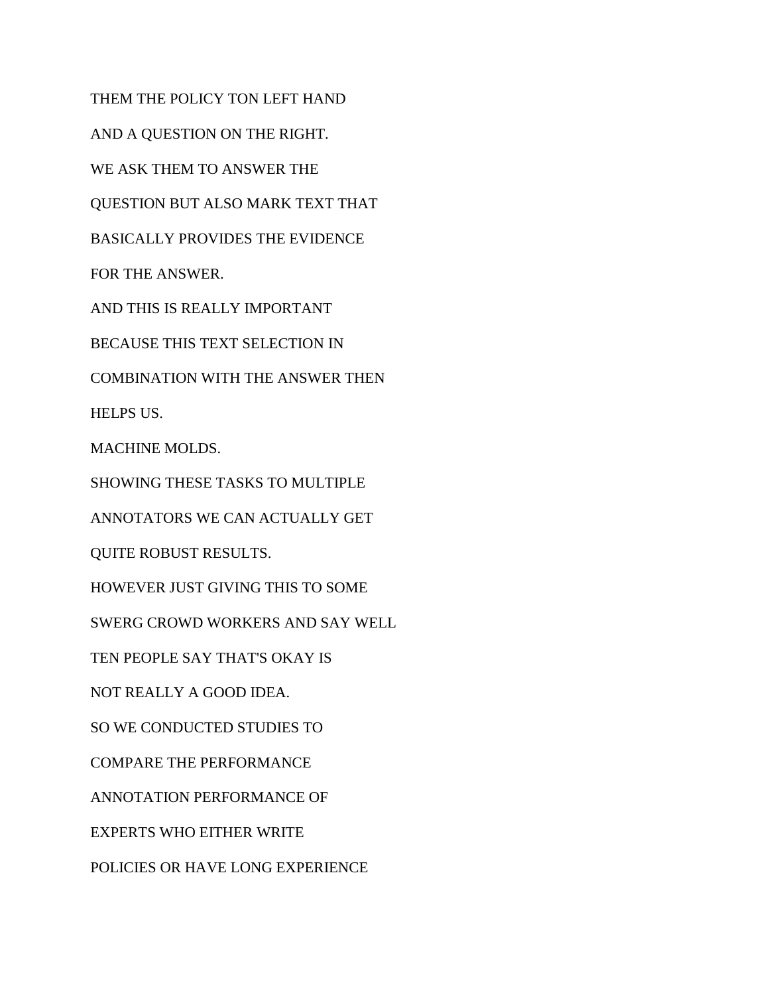THEM THE POLICY TON LEFT HAND AND A QUESTION ON THE RIGHT. WE ASK THEM TO ANSWER THE QUESTION BUT ALSO MARK TEXT THAT BASICALLY PROVIDES THE EVIDENCE FOR THE ANSWER. AND THIS IS REALLY IMPORTANT BECAUSE THIS TEXT SELECTION IN COMBINATION WITH THE ANSWER THEN HELPS US. MACHINE MOLDS. SHOWING THESE TASKS TO MULTIPLE ANNOTATORS WE CAN ACTUALLY GET QUITE ROBUST RESULTS. HOWEVER JUST GIVING THIS TO SOME SWERG CROWD WORKERS AND SAY WELL TEN PEOPLE SAY THAT'S OKAY IS NOT REALLY A GOOD IDEA. SO WE CONDUCTED STUDIES TO COMPARE THE PERFORMANCE ANNOTATION PERFORMANCE OF EXPERTS WHO EITHER WRITE POLICIES OR HAVE LONG EXPERIENCE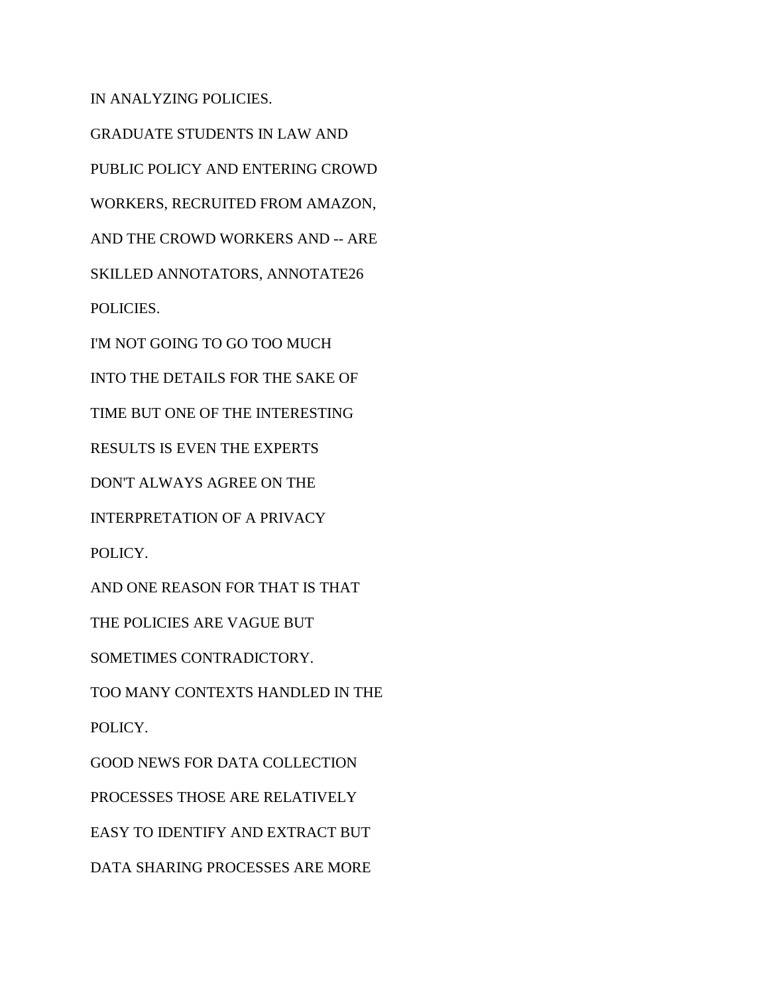IN ANALYZING POLICIES.

GRADUATE STUDENTS IN LAW AND PUBLIC POLICY AND ENTERING CROWD WORKERS, RECRUITED FROM AMAZON, AND THE CROWD WORKERS AND -- ARE SKILLED ANNOTATORS, ANNOTATE26 POLICIES. I'M NOT GOING TO GO TOO MUCH INTO THE DETAILS FOR THE SAKE OF TIME BUT ONE OF THE INTERESTING RESULTS IS EVEN THE EXPERTS DON'T ALWAYS AGREE ON THE INTERPRETATION OF A PRIVACY POLICY. AND ONE REASON FOR THAT IS THAT THE POLICIES ARE VAGUE BUT SOMETIMES CONTRADICTORY. TOO MANY CONTEXTS HANDLED IN THE POLICY. GOOD NEWS FOR DATA COLLECTION PROCESSES THOSE ARE RELATIVELY EASY TO IDENTIFY AND EXTRACT BUT

DATA SHARING PROCESSES ARE MORE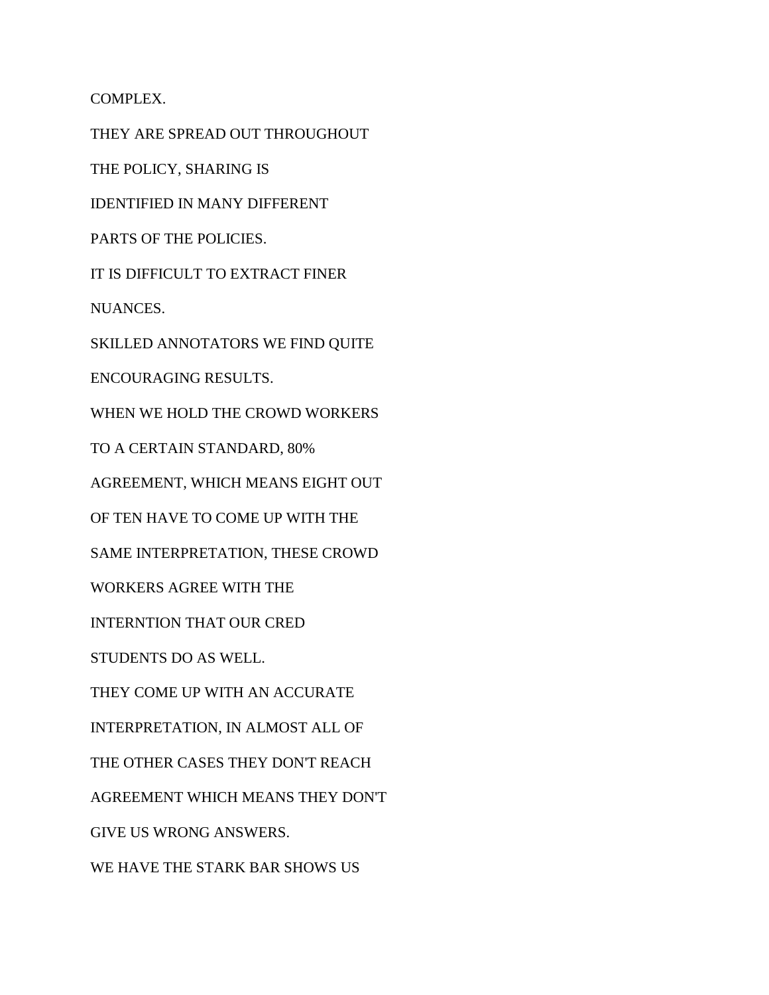COMPLEX.

THEY ARE SPREAD OUT THROUGHOUT THE POLICY, SHARING IS IDENTIFIED IN MANY DIFFERENT PARTS OF THE POLICIES. IT IS DIFFICULT TO EXTRACT FINER NUANCES. SKILLED ANNOTATORS WE FIND QUITE ENCOURAGING RESULTS. WHEN WE HOLD THE CROWD WORKERS TO A CERTAIN STANDARD, 80% AGREEMENT, WHICH MEANS EIGHT OUT OF TEN HAVE TO COME UP WITH THE SAME INTERPRETATION, THESE CROWD WORKERS AGREE WITH THE INTERNTION THAT OUR CRED STUDENTS DO AS WELL. THEY COME UP WITH AN ACCURATE INTERPRETATION, IN ALMOST ALL OF THE OTHER CASES THEY DON'T REACH AGREEMENT WHICH MEANS THEY DON'T GIVE US WRONG ANSWERS. WE HAVE THE STARK BAR SHOWS US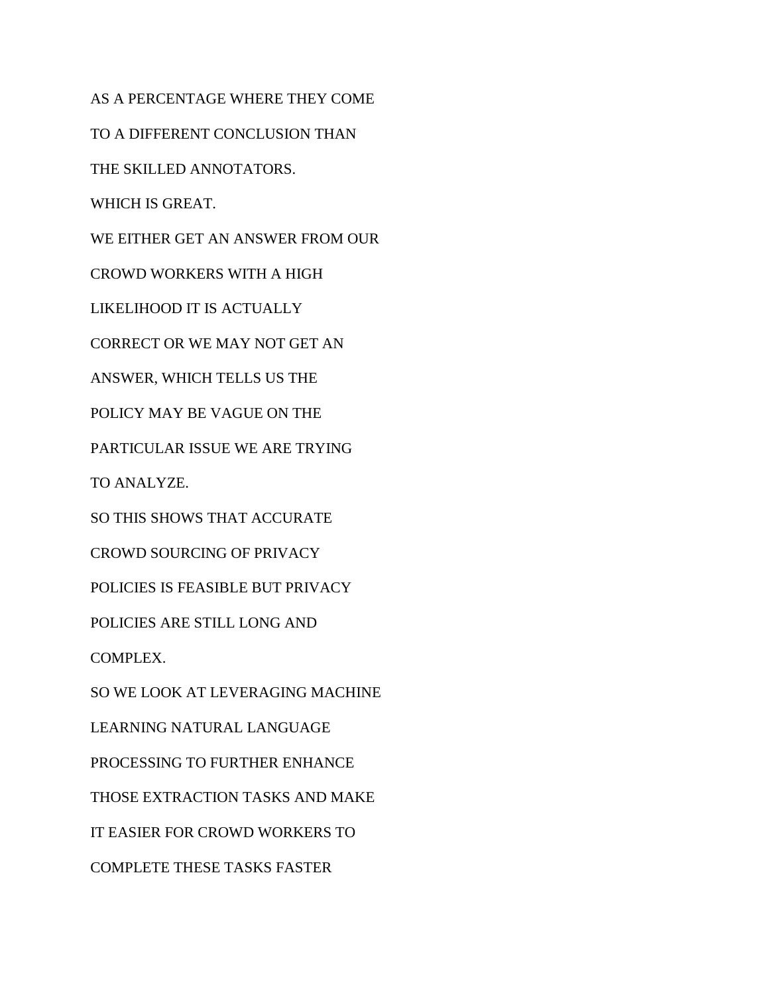AS A PERCENTAGE WHERE THEY COME TO A DIFFERENT CONCLUSION THAN THE SKILLED ANNOTATORS. WHICH IS GREAT. WE EITHER GET AN ANSWER FROM OUR CROWD WORKERS WITH A HIGH LIKELIHOOD IT IS ACTUALLY CORRECT OR WE MAY NOT GET AN ANSWER, WHICH TELLS US THE POLICY MAY BE VAGUE ON THE PARTICULAR ISSUE WE ARE TRYING TO ANALYZE. SO THIS SHOWS THAT ACCURATE CROWD SOURCING OF PRIVACY POLICIES IS FEASIBLE BUT PRIVACY POLICIES ARE STILL LONG AND COMPLEX. SO WE LOOK AT LEVERAGING MACHINE LEARNING NATURAL LANGUAGE PROCESSING TO FURTHER ENHANCE THOSE EXTRACTION TASKS AND MAKE IT EASIER FOR CROWD WORKERS TO COMPLETE THESE TASKS FASTER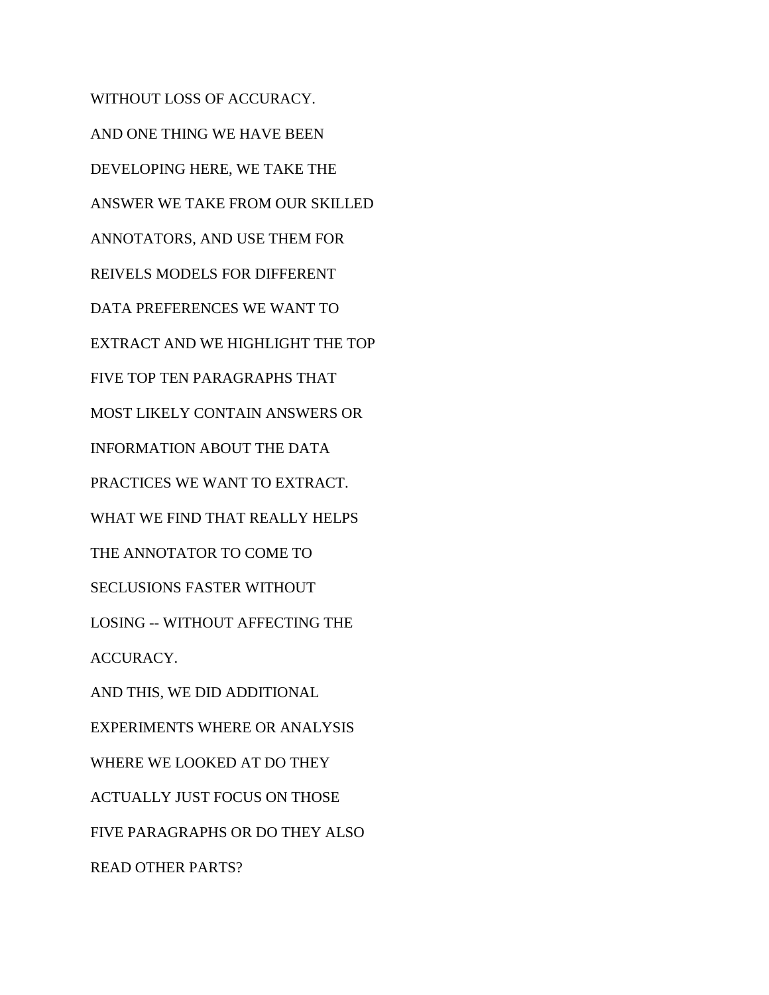WITHOUT LOSS OF ACCURACY. AND ONE THING WE HAVE BEEN DEVELOPING HERE, WE TAKE THE ANSWER WE TAKE FROM OUR SKILLED ANNOTATORS, AND USE THEM FOR REIVELS MODELS FOR DIFFERENT DATA PREFERENCES WE WANT TO EXTRACT AND WE HIGHLIGHT THE TOP FIVE TOP TEN PARAGRAPHS THAT MOST LIKELY CONTAIN ANSWERS OR INFORMATION ABOUT THE DATA PRACTICES WE WANT TO EXTRACT. WHAT WE FIND THAT REALLY HELPS THE ANNOTATOR TO COME TO SECLUSIONS FASTER WITHOUT LOSING -- WITHOUT AFFECTING THE ACCURACY. AND THIS, WE DID ADDITIONAL EXPERIMENTS WHERE OR ANALYSIS WHERE WE LOOKED AT DO THEY ACTUALLY JUST FOCUS ON THOSE FIVE PARAGRAPHS OR DO THEY ALSO READ OTHER PARTS?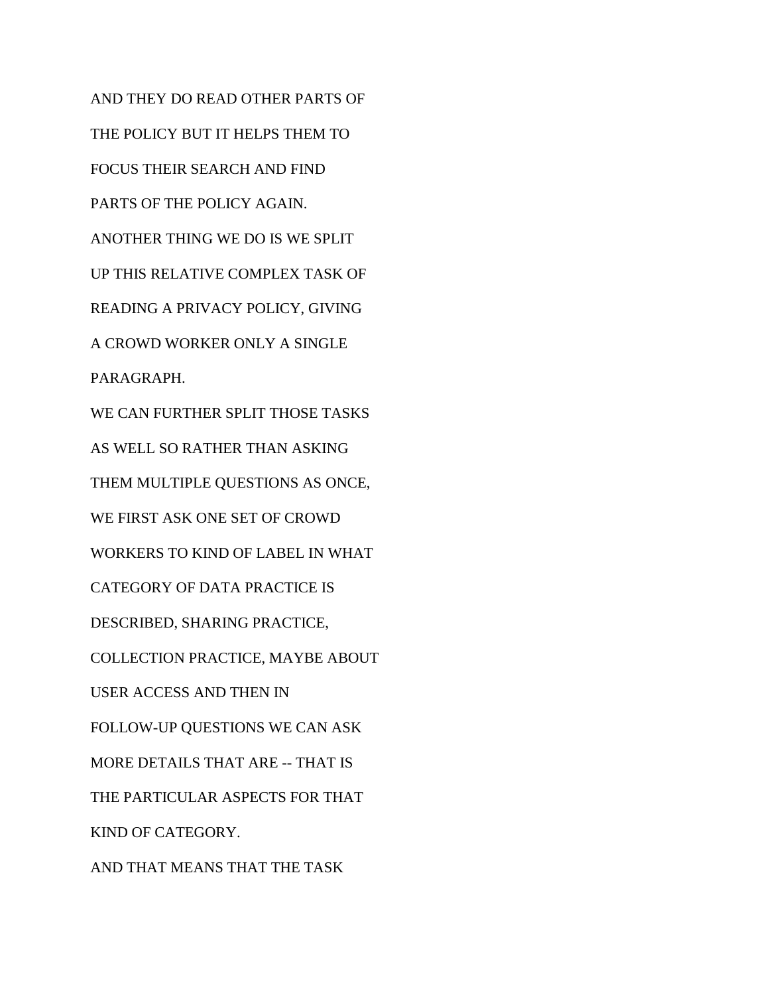AND THEY DO READ OTHER PARTS OF THE POLICY BUT IT HELPS THEM TO FOCUS THEIR SEARCH AND FIND PARTS OF THE POLICY AGAIN. ANOTHER THING WE DO IS WE SPLIT UP THIS RELATIVE COMPLEX TASK OF READING A PRIVACY POLICY, GIVING A CROWD WORKER ONLY A SINGLE PARAGRAPH. WE CAN FURTHER SPLIT THOSE TASKS AS WELL SO RATHER THAN ASKING THEM MULTIPLE QUESTIONS AS ONCE, WE FIRST ASK ONE SET OF CROWD WORKERS TO KIND OF LABEL IN WHAT CATEGORY OF DATA PRACTICE IS DESCRIBED, SHARING PRACTICE, COLLECTION PRACTICE, MAYBE ABOUT USER ACCESS AND THEN IN FOLLOW-UP QUESTIONS WE CAN ASK MORE DETAILS THAT ARE -- THAT IS THE PARTICULAR ASPECTS FOR THAT KIND OF CATEGORY. AND THAT MEANS THAT THE TASK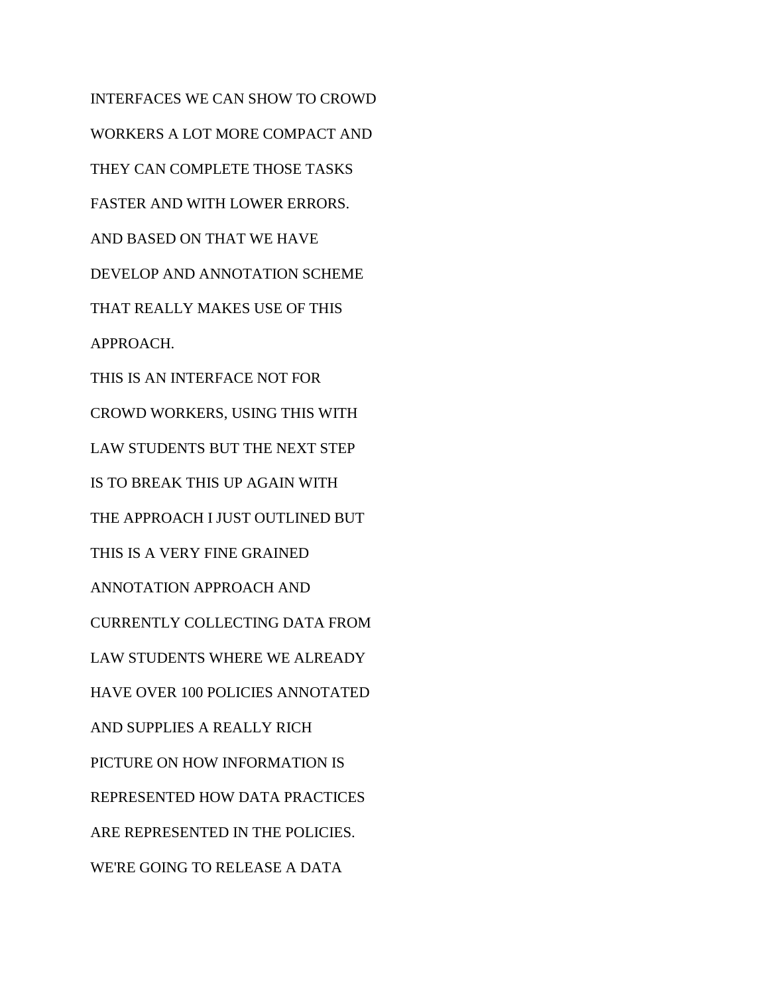INTERFACES WE CAN SHOW TO CROWD WORKERS A LOT MORE COMPACT AND THEY CAN COMPLETE THOSE TASKS FASTER AND WITH LOWER ERRORS. AND BASED ON THAT WE HAVE DEVELOP AND ANNOTATION SCHEME THAT REALLY MAKES USE OF THIS APPROACH. THIS IS AN INTERFACE NOT FOR CROWD WORKERS, USING THIS WITH LAW STUDENTS BUT THE NEXT STEP IS TO BREAK THIS UP AGAIN WITH THE APPROACH I JUST OUTLINED BUT THIS IS A VERY FINE GRAINED ANNOTATION APPROACH AND CURRENTLY COLLECTING DATA FROM LAW STUDENTS WHERE WE ALREADY HAVE OVER 100 POLICIES ANNOTATED AND SUPPLIES A REALLY RICH PICTURE ON HOW INFORMATION IS REPRESENTED HOW DATA PRACTICES ARE REPRESENTED IN THE POLICIES. WE'RE GOING TO RELEASE A DATA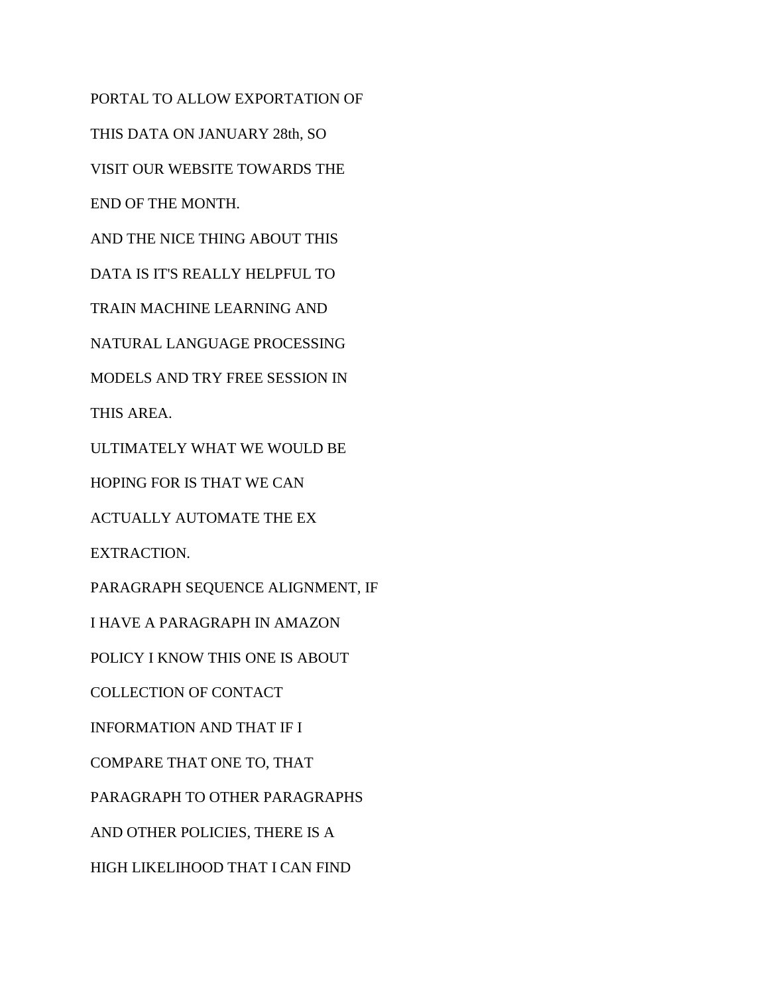PORTAL TO ALLOW EXPORTATION OF THIS DATA ON JANUARY 28th, SO VISIT OUR WEBSITE TOWARDS THE END OF THE MONTH. AND THE NICE THING ABOUT THIS DATA IS IT'S REALLY HELPFUL TO TRAIN MACHINE LEARNING AND NATURAL LANGUAGE PROCESSING MODELS AND TRY FREE SESSION IN THIS AREA. ULTIMATELY WHAT WE WOULD BE HOPING FOR IS THAT WE CAN ACTUALLY AUTOMATE THE EX EXTRACTION. PARAGRAPH SEQUENCE ALIGNMENT, IF I HAVE A PARAGRAPH IN AMAZON POLICY I KNOW THIS ONE IS ABOUT COLLECTION OF CONTACT INFORMATION AND THAT IF I COMPARE THAT ONE TO, THAT PARAGRAPH TO OTHER PARAGRAPHS AND OTHER POLICIES, THERE IS A HIGH LIKELIHOOD THAT I CAN FIND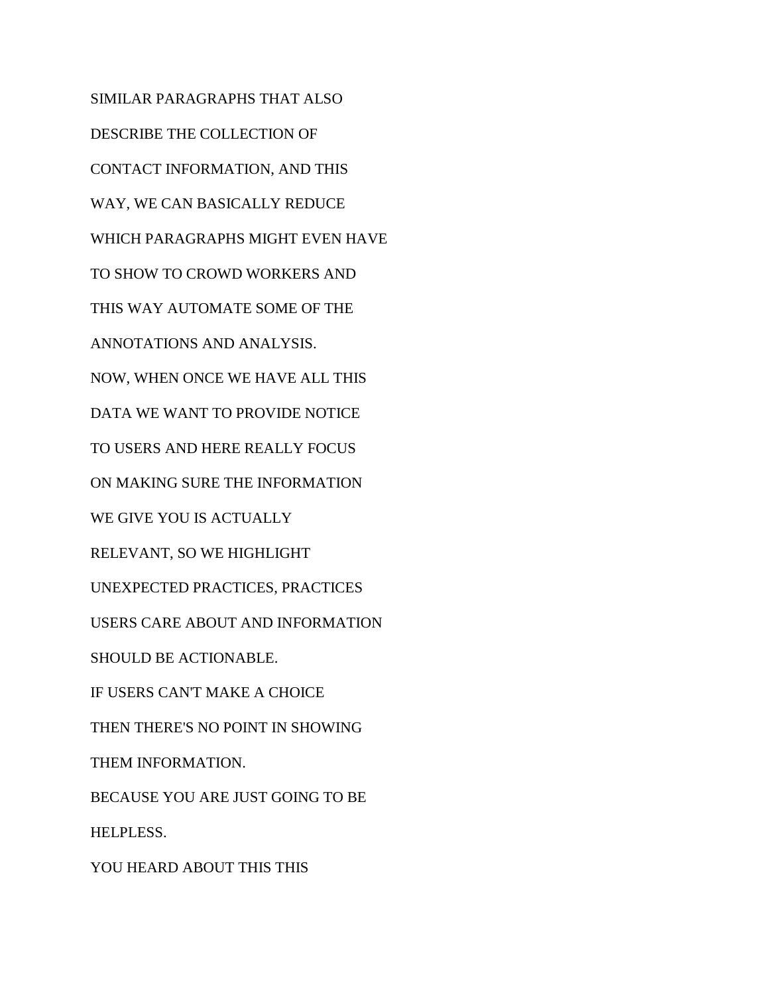SIMILAR PARAGRAPHS THAT ALSO DESCRIBE THE COLLECTION OF CONTACT INFORMATION, AND THIS WAY, WE CAN BASICALLY REDUCE WHICH PARAGRAPHS MIGHT EVEN HAVE TO SHOW TO CROWD WORKERS AND THIS WAY AUTOMATE SOME OF THE ANNOTATIONS AND ANALYSIS. NOW, WHEN ONCE WE HAVE ALL THIS DATA WE WANT TO PROVIDE NOTICE TO USERS AND HERE REALLY FOCUS ON MAKING SURE THE INFORMATION WE GIVE YOU IS ACTUALLY RELEVANT, SO WE HIGHLIGHT UNEXPECTED PRACTICES, PRACTICES USERS CARE ABOUT AND INFORMATION SHOULD BE ACTIONABLE. IF USERS CAN'T MAKE A CHOICE THEN THERE'S NO POINT IN SHOWING THEM INFORMATION. BECAUSE YOU ARE JUST GOING TO BE HELPLESS. YOU HEARD ABOUT THIS THIS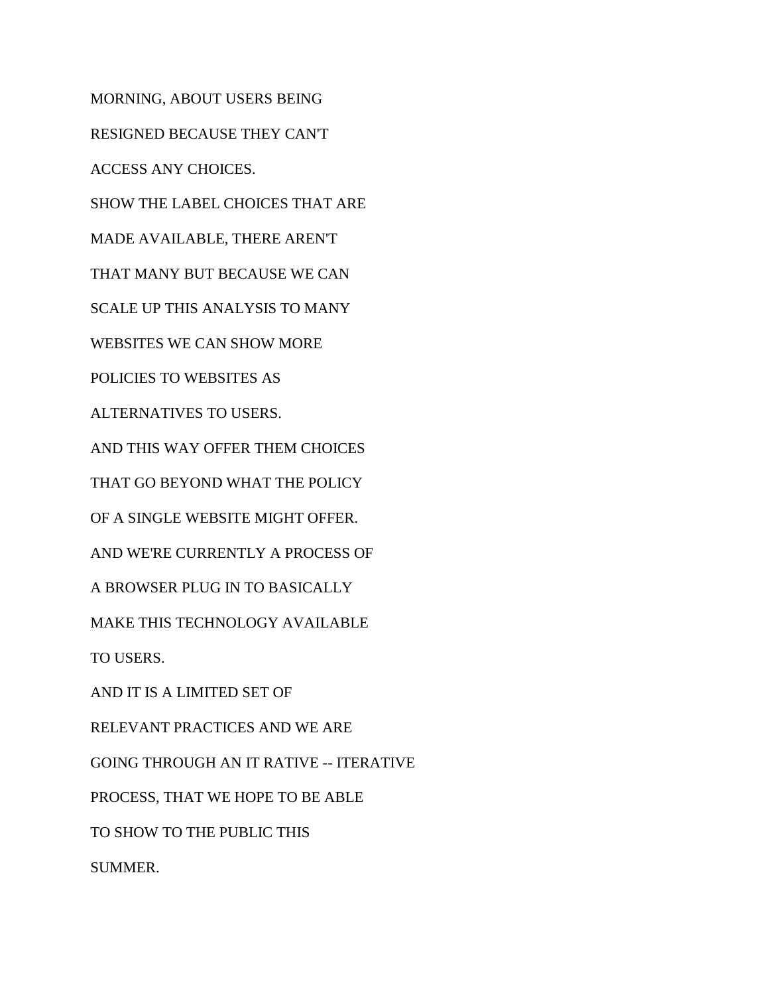MORNING, ABOUT USERS BEING RESIGNED BECAUSE THEY CAN'T ACCESS ANY CHOICES. SHOW THE LABEL CHOICES THAT ARE MADE AVAILABLE, THERE AREN'T THAT MANY BUT BECAUSE WE CAN SCALE UP THIS ANALYSIS TO MANY WEBSITES WE CAN SHOW MORE POLICIES TO WEBSITES AS ALTERNATIVES TO USERS. AND THIS WAY OFFER THEM CHOICES THAT GO BEYOND WHAT THE POLICY OF A SINGLE WEBSITE MIGHT OFFER. AND WE'RE CURRENTLY A PROCESS OF A BROWSER PLUG IN TO BASICALLY MAKE THIS TECHNOLOGY AVAILABLE TO USERS. AND IT IS A LIMITED SET OF RELEVANT PRACTICES AND WE ARE GOING THROUGH AN IT RATIVE -- ITERATIVE PROCESS, THAT WE HOPE TO BE ABLE TO SHOW TO THE PUBLIC THIS SUMMER.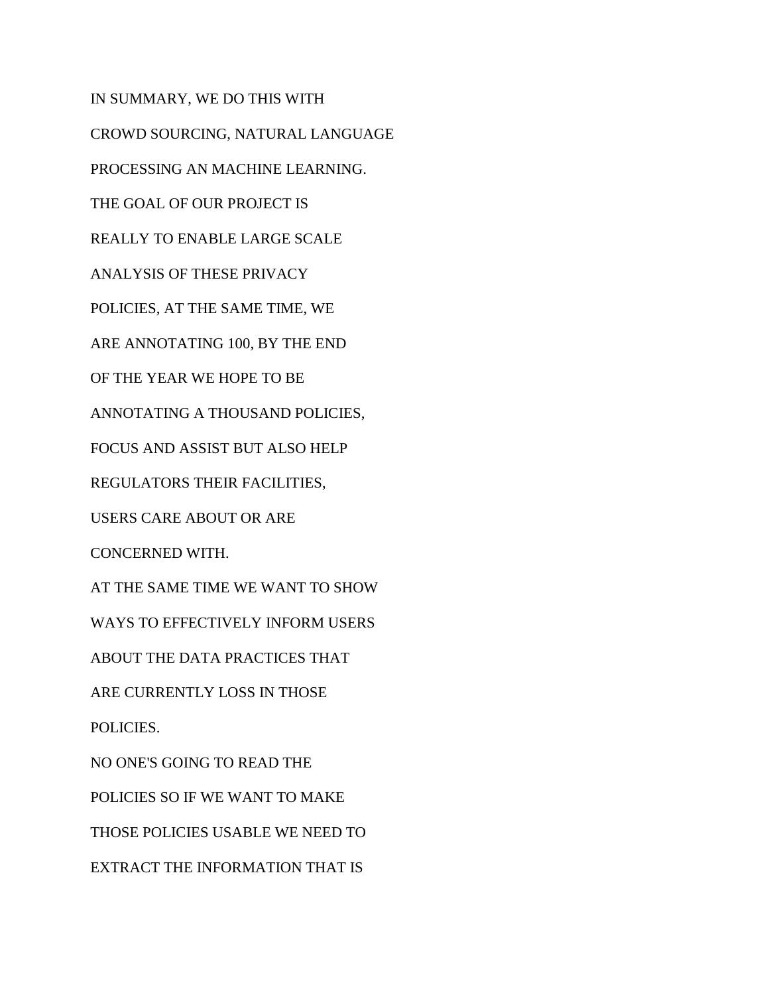IN SUMMARY, WE DO THIS WITH CROWD SOURCING, NATURAL LANGUAGE PROCESSING AN MACHINE LEARNING. THE GOAL OF OUR PROJECT IS REALLY TO ENABLE LARGE SCALE ANALYSIS OF THESE PRIVACY POLICIES, AT THE SAME TIME, WE ARE ANNOTATING 100, BY THE END OF THE YEAR WE HOPE TO BE ANNOTATING A THOUSAND POLICIES, FOCUS AND ASSIST BUT ALSO HELP REGULATORS THEIR FACILITIES, USERS CARE ABOUT OR ARE CONCERNED WITH. AT THE SAME TIME WE WANT TO SHOW WAYS TO EFFECTIVELY INFORM USERS ABOUT THE DATA PRACTICES THAT ARE CURRENTLY LOSS IN THOSE POLICIES. NO ONE'S GOING TO READ THE POLICIES SO IF WE WANT TO MAKE THOSE POLICIES USABLE WE NEED TO EXTRACT THE INFORMATION THAT IS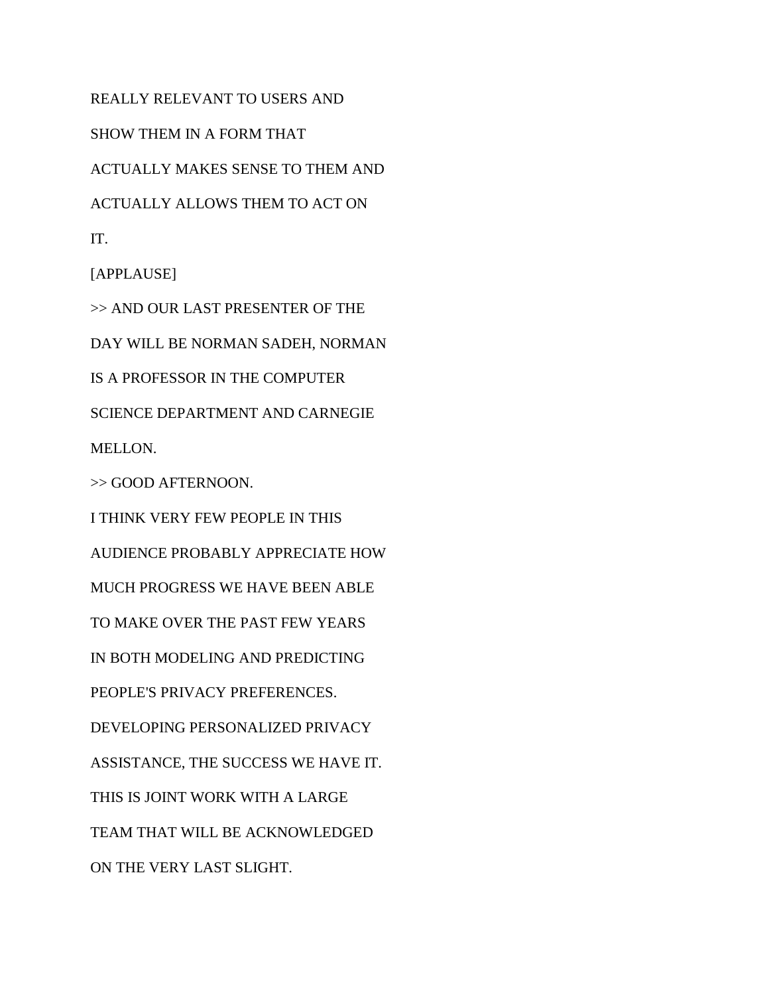REALLY RELEVANT TO USERS AND

SHOW THEM IN A FORM THAT

ACTUALLY MAKES SENSE TO THEM AND

ACTUALLY ALLOWS THEM TO ACT ON

IT.

[APPLAUSE]

>> AND OUR LAST PRESENTER OF THE

DAY WILL BE NORMAN SADEH, NORMAN

IS A PROFESSOR IN THE COMPUTER

SCIENCE DEPARTMENT AND CARNEGIE

MELLON.

>> GOOD AFTERNOON.

I THINK VERY FEW PEOPLE IN THIS AUDIENCE PROBABLY APPRECIATE HOW MUCH PROGRESS WE HAVE BEEN ABLE TO MAKE OVER THE PAST FEW YEARS IN BOTH MODELING AND PREDICTING PEOPLE'S PRIVACY PREFERENCES. DEVELOPING PERSONALIZED PRIVACY ASSISTANCE, THE SUCCESS WE HAVE IT. THIS IS JOINT WORK WITH A LARGE TEAM THAT WILL BE ACKNOWLEDGED ON THE VERY LAST SLIGHT.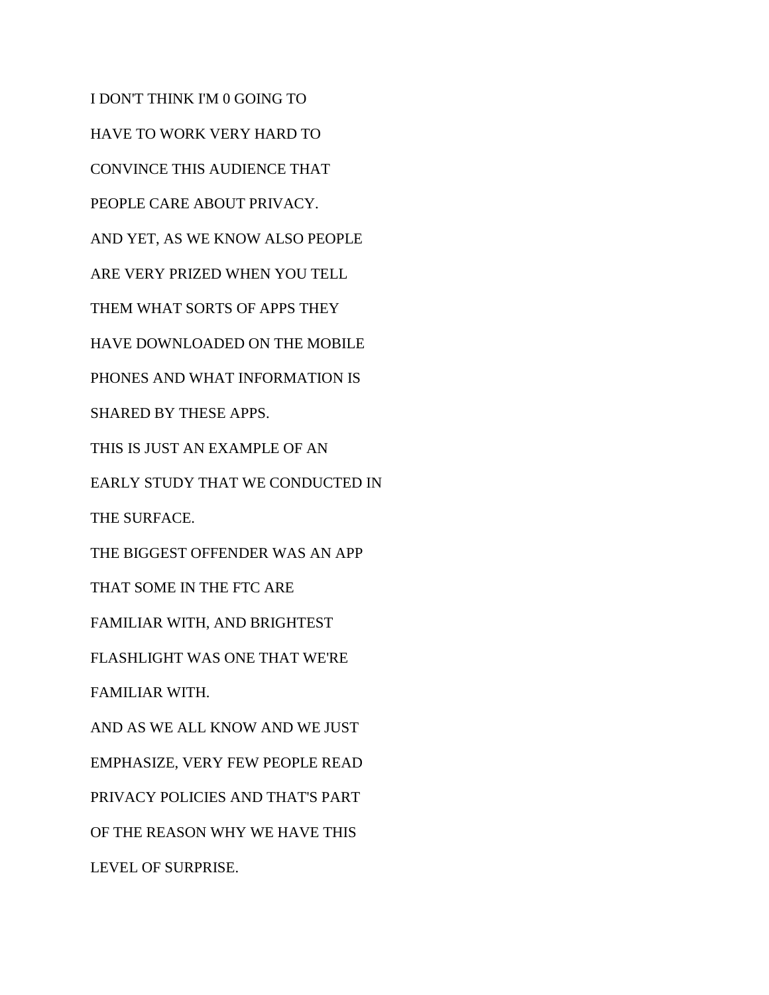I DON'T THINK I'M 0 GOING TO HAVE TO WORK VERY HARD TO CONVINCE THIS AUDIENCE THAT PEOPLE CARE ABOUT PRIVACY. AND YET, AS WE KNOW ALSO PEOPLE ARE VERY PRIZED WHEN YOU TELL THEM WHAT SORTS OF APPS THEY HAVE DOWNLOADED ON THE MOBILE PHONES AND WHAT INFORMATION IS SHARED BY THESE APPS. THIS IS JUST AN EXAMPLE OF AN EARLY STUDY THAT WE CONDUCTED IN THE SURFACE. THE BIGGEST OFFENDER WAS AN APP THAT SOME IN THE FTC ARE FAMILIAR WITH, AND BRIGHTEST FLASHLIGHT WAS ONE THAT WE'RE FAMILIAR WITH. AND AS WE ALL KNOW AND WE JUST EMPHASIZE, VERY FEW PEOPLE READ PRIVACY POLICIES AND THAT'S PART OF THE REASON WHY WE HAVE THIS LEVEL OF SURPRISE.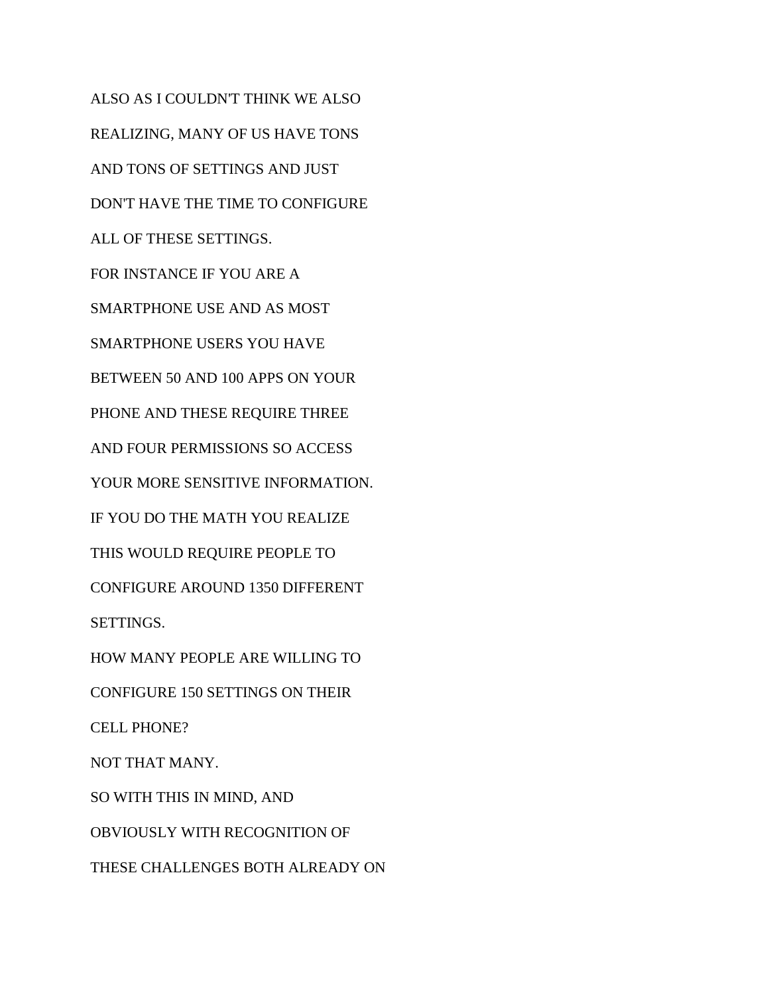ALSO AS I COULDN'T THINK WE ALSO REALIZING, MANY OF US HAVE TONS AND TONS OF SETTINGS AND JUST DON'T HAVE THE TIME TO CONFIGURE ALL OF THESE SETTINGS. FOR INSTANCE IF YOU ARE A SMARTPHONE USE AND AS MOST SMARTPHONE USERS YOU HAVE BETWEEN 50 AND 100 APPS ON YOUR PHONE AND THESE REQUIRE THREE AND FOUR PERMISSIONS SO ACCESS YOUR MORE SENSITIVE INFORMATION. IF YOU DO THE MATH YOU REALIZE THIS WOULD REQUIRE PEOPLE TO CONFIGURE AROUND 1350 DIFFERENT SETTINGS. HOW MANY PEOPLE ARE WILLING TO CONFIGURE 150 SETTINGS ON THEIR CELL PHONE? NOT THAT MANY. SO WITH THIS IN MIND, AND OBVIOUSLY WITH RECOGNITION OF THESE CHALLENGES BOTH ALREADY ON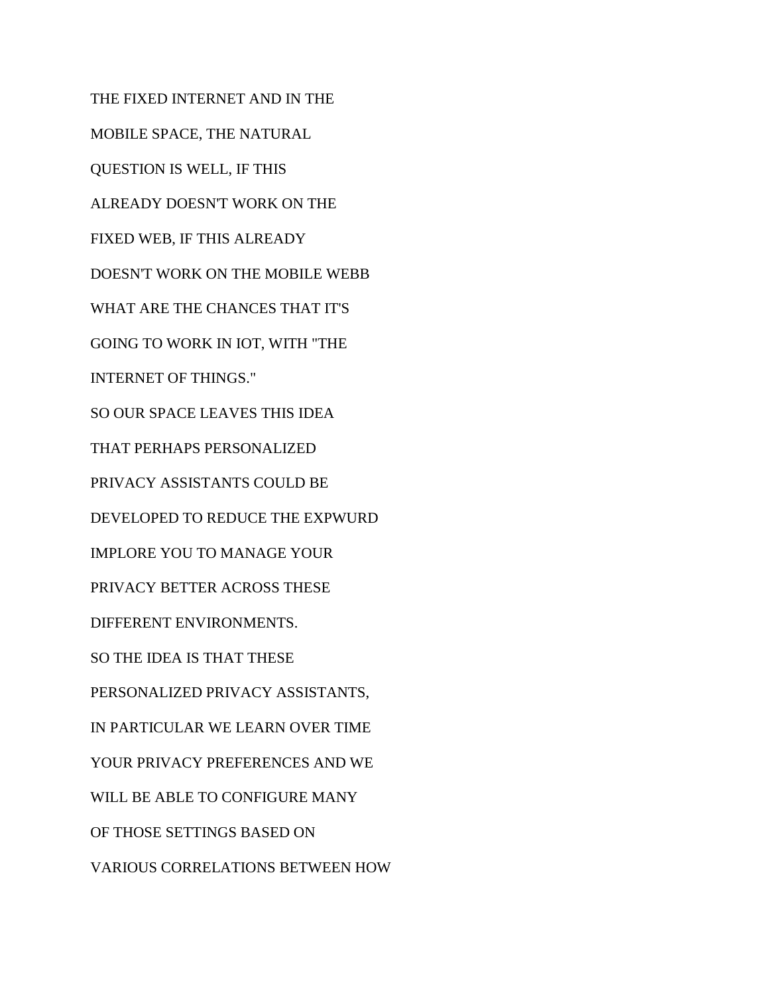THE FIXED INTERNET AND IN THE MOBILE SPACE, THE NATURAL QUESTION IS WELL, IF THIS ALREADY DOESN'T WORK ON THE FIXED WEB, IF THIS ALREADY DOESN'T WORK ON THE MOBILE WEBB WHAT ARE THE CHANCES THAT IT'S GOING TO WORK IN IOT, WITH "THE INTERNET OF THINGS." SO OUR SPACE LEAVES THIS IDEA THAT PERHAPS PERSONALIZED PRIVACY ASSISTANTS COULD BE DEVELOPED TO REDUCE THE EXPWURD IMPLORE YOU TO MANAGE YOUR PRIVACY BETTER ACROSS THESE DIFFERENT ENVIRONMENTS. SO THE IDEA IS THAT THESE PERSONALIZED PRIVACY ASSISTANTS, IN PARTICULAR WE LEARN OVER TIME YOUR PRIVACY PREFERENCES AND WE WILL BE ABLE TO CONFIGURE MANY OF THOSE SETTINGS BASED ON VARIOUS CORRELATIONS BETWEEN HOW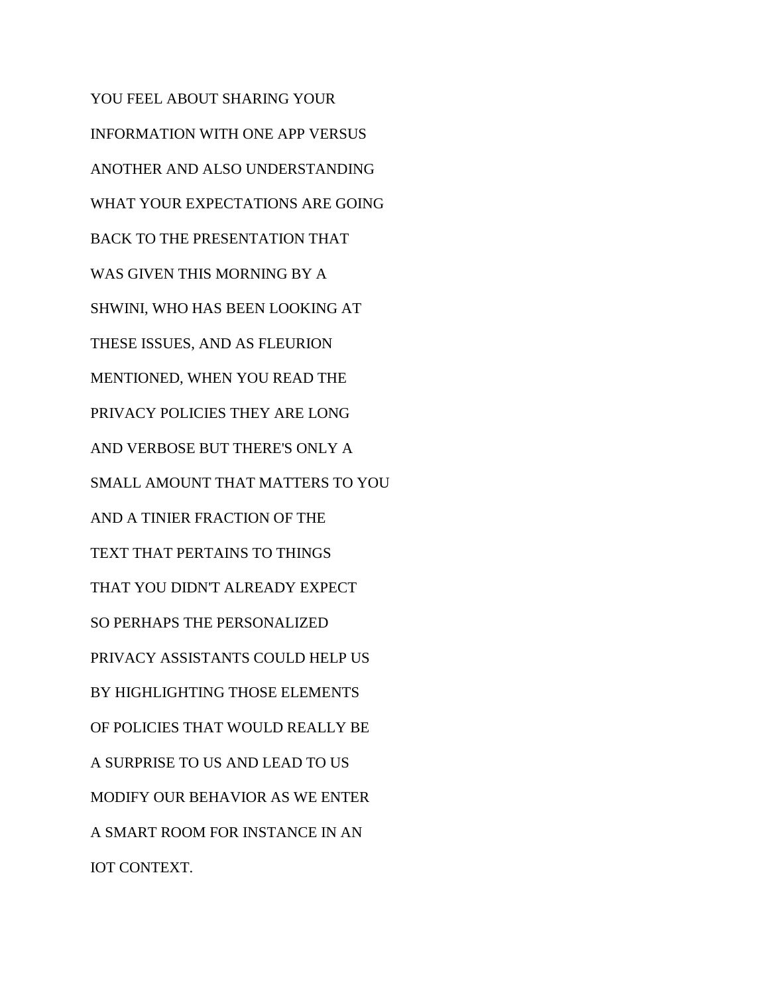YOU FEEL ABOUT SHARING YOUR INFORMATION WITH ONE APP VERSUS ANOTHER AND ALSO UNDERSTANDING WHAT YOUR EXPECTATIONS ARE GOING BACK TO THE PRESENTATION THAT WAS GIVEN THIS MORNING BY A SHWINI, WHO HAS BEEN LOOKING AT THESE ISSUES, AND AS FLEURION MENTIONED, WHEN YOU READ THE PRIVACY POLICIES THEY ARE LONG AND VERBOSE BUT THERE'S ONLY A SMALL AMOUNT THAT MATTERS TO YOU AND A TINIER FRACTION OF THE TEXT THAT PERTAINS TO THINGS THAT YOU DIDN'T ALREADY EXPECT SO PERHAPS THE PERSONALIZED PRIVACY ASSISTANTS COULD HELP US BY HIGHLIGHTING THOSE ELEMENTS OF POLICIES THAT WOULD REALLY BE A SURPRISE TO US AND LEAD TO US MODIFY OUR BEHAVIOR AS WE ENTER A SMART ROOM FOR INSTANCE IN AN IOT CONTEXT.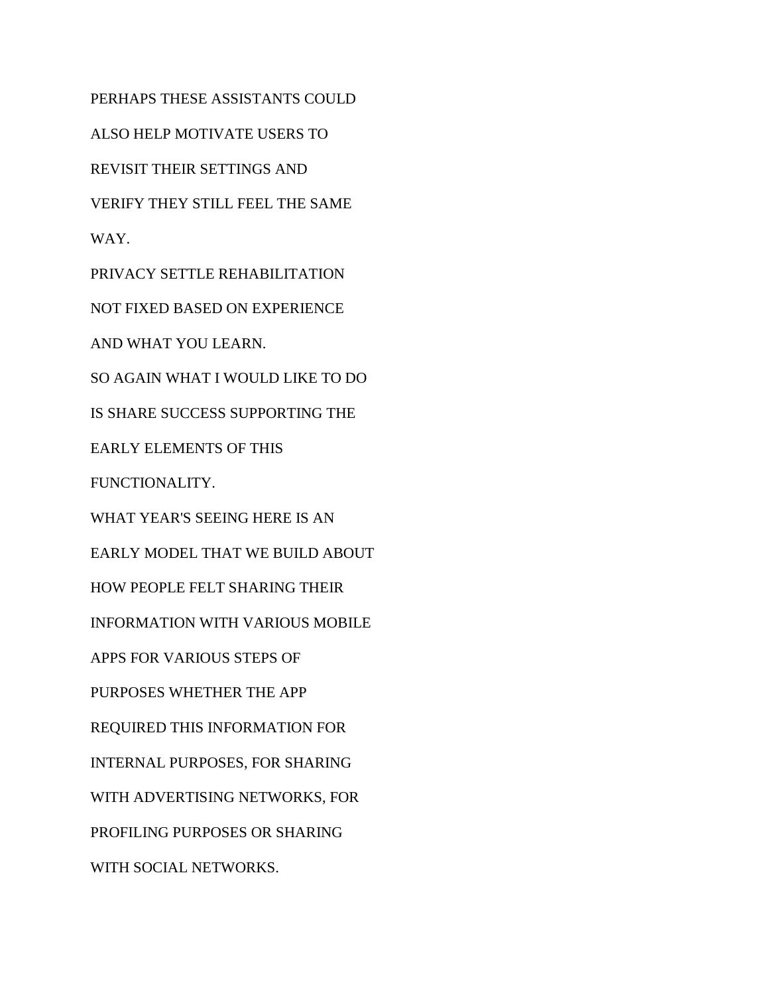ALSO HELP MOTIVATE USERS TO REVISIT THEIR SETTINGS AND VERIFY THEY STILL FEEL THE SAME WAY. PRIVACY SETTLE REHABILITATION NOT FIXED BASED ON EXPERIENCE AND WHAT YOU LEARN. SO AGAIN WHAT I WOULD LIKE TO DO IS SHARE SUCCESS SUPPORTING THE EARLY ELEMENTS OF THIS FUNCTIONALITY. WHAT YEAR'S SEEING HERE IS AN EARLY MODEL THAT WE BUILD ABOUT HOW PEOPLE FELT SHARING THEIR INFORMATION WITH VARIOUS MOBILE APPS FOR VARIOUS STEPS OF PURPOSES WHETHER THE APP REQUIRED THIS INFORMATION FOR INTERNAL PURPOSES, FOR SHARING WITH ADVERTISING NETWORKS, FOR PROFILING PURPOSES OR SHARING WITH SOCIAL NETWORKS.

PERHAPS THESE ASSISTANTS COULD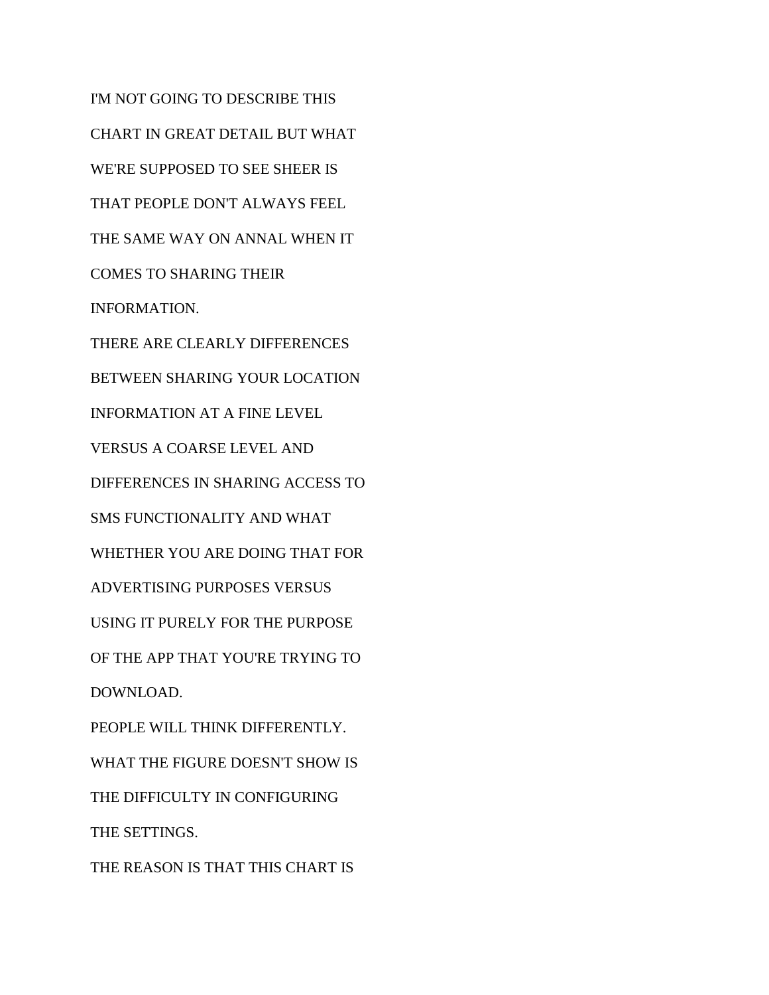I'M NOT GOING TO DESCRIBE THIS CHART IN GREAT DETAIL BUT WHAT WE'RE SUPPOSED TO SEE SHEER IS THAT PEOPLE DON'T ALWAYS FEEL THE SAME WAY ON ANNAL WHEN IT COMES TO SHARING THEIR INFORMATION. THERE ARE CLEARLY DIFFERENCES BETWEEN SHARING YOUR LOCATION INFORMATION AT A FINE LEVEL VERSUS A COARSE LEVEL AND DIFFERENCES IN SHARING ACCESS TO SMS FUNCTIONALITY AND WHAT WHETHER YOU ARE DOING THAT FOR ADVERTISING PURPOSES VERSUS USING IT PURELY FOR THE PURPOSE OF THE APP THAT YOU'RE TRYING TO DOWNLOAD. PEOPLE WILL THINK DIFFERENTLY. WHAT THE FIGURE DOESN'T SHOW IS THE DIFFICULTY IN CONFIGURING THE SETTINGS. THE REASON IS THAT THIS CHART IS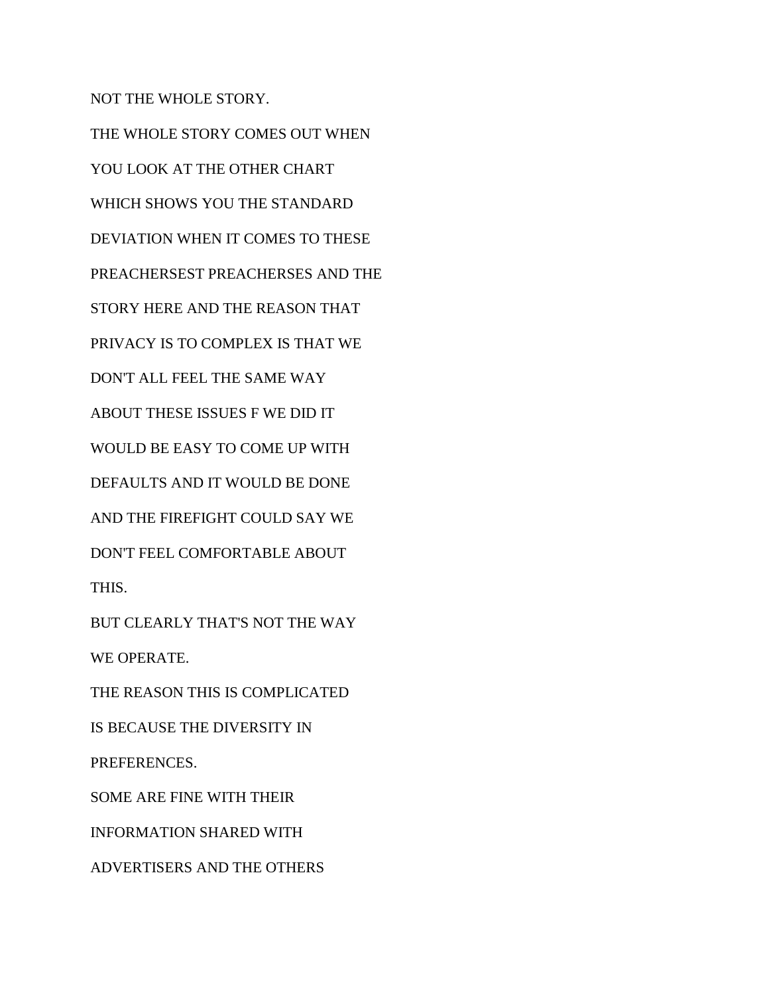NOT THE WHOLE STORY.

THE WHOLE STORY COMES OUT WHEN YOU LOOK AT THE OTHER CHART WHICH SHOWS YOU THE STANDARD DEVIATION WHEN IT COMES TO THESE PREACHERSEST PREACHERSES AND THE STORY HERE AND THE REASON THAT PRIVACY IS TO COMPLEX IS THAT WE DON'T ALL FEEL THE SAME WAY ABOUT THESE ISSUES F WE DID IT WOULD BE EASY TO COME UP WITH DEFAULTS AND IT WOULD BE DONE AND THE FIREFIGHT COULD SAY WE DON'T FEEL COMFORTABLE ABOUT THIS. BUT CLEARLY THAT'S NOT THE WAY WE OPERATE. THE REASON THIS IS COMPLICATED IS BECAUSE THE DIVERSITY IN PREFERENCES. SOME ARE FINE WITH THEIR

INFORMATION SHARED WITH

ADVERTISERS AND THE OTHERS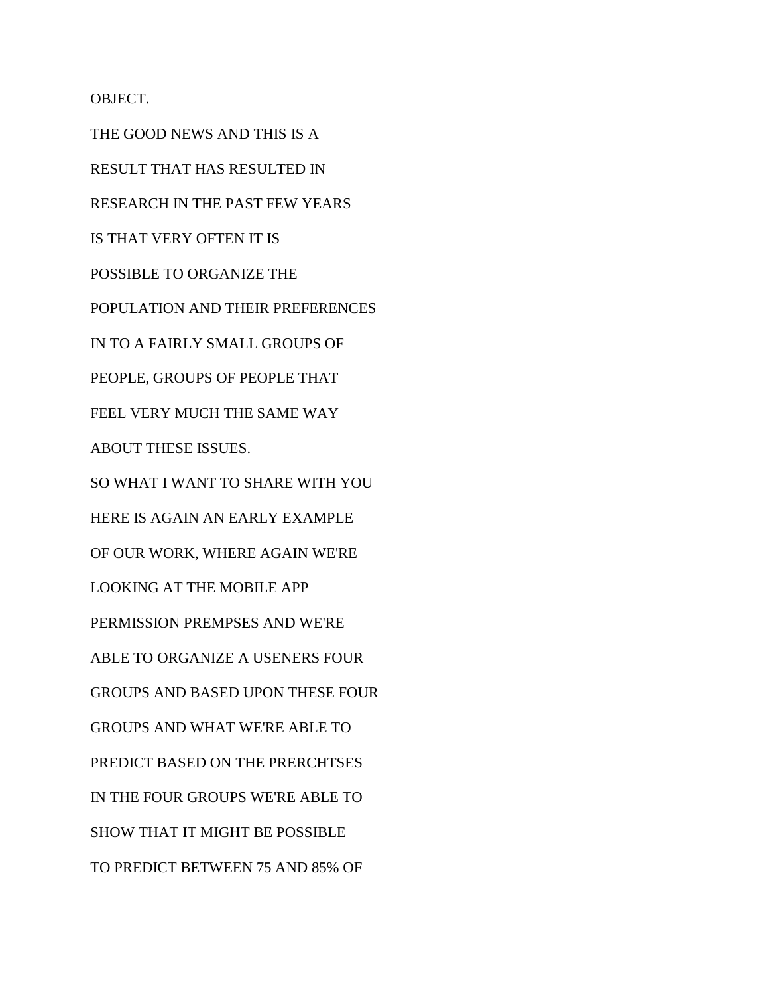OBJECT.

THE GOOD NEWS AND THIS IS A RESULT THAT HAS RESULTED IN RESEARCH IN THE PAST FEW YEARS IS THAT VERY OFTEN IT IS POSSIBLE TO ORGANIZE THE POPULATION AND THEIR PREFERENCES IN TO A FAIRLY SMALL GROUPS OF PEOPLE, GROUPS OF PEOPLE THAT FEEL VERY MUCH THE SAME WAY ABOUT THESE ISSUES. SO WHAT I WANT TO SHARE WITH YOU HERE IS AGAIN AN EARLY EXAMPLE OF OUR WORK, WHERE AGAIN WE'RE LOOKING AT THE MOBILE APP PERMISSION PREMPSES AND WE'RE ABLE TO ORGANIZE A USENERS FOUR GROUPS AND BASED UPON THESE FOUR GROUPS AND WHAT WE'RE ABLE TO PREDICT BASED ON THE PRERCHTSES IN THE FOUR GROUPS WE'RE ABLE TO SHOW THAT IT MIGHT BE POSSIBLE TO PREDICT BETWEEN 75 AND 85% OF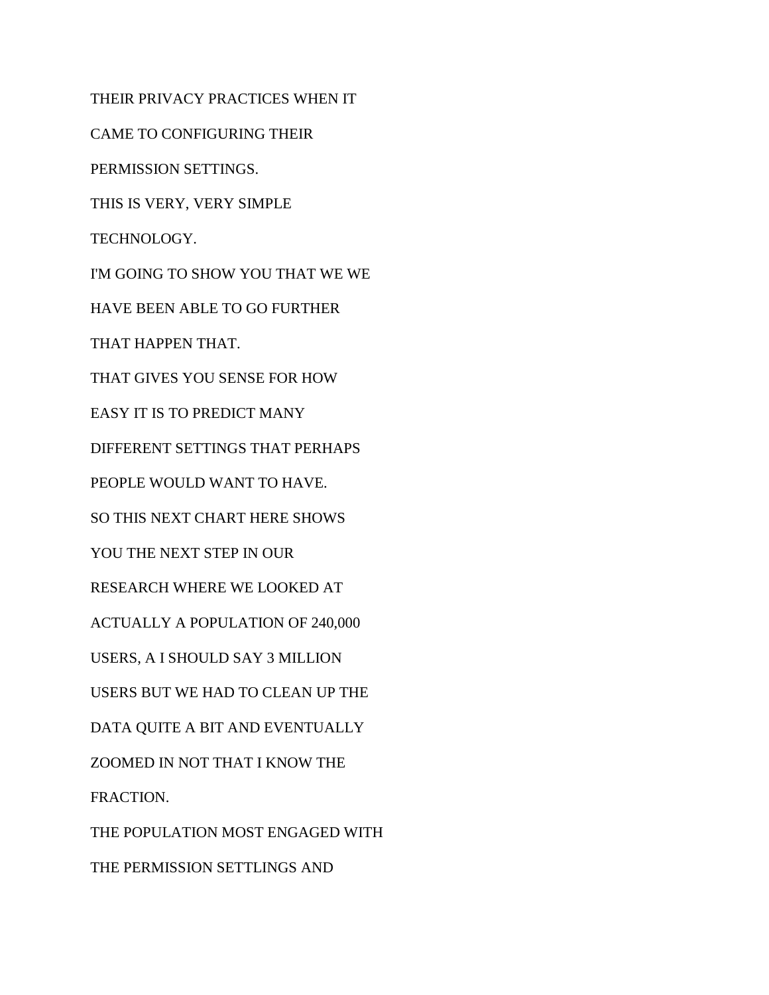THEIR PRIVACY PRACTICES WHEN IT CAME TO CONFIGURING THEIR PERMISSION SETTINGS. THIS IS VERY, VERY SIMPLE TECHNOLOGY. I'M GOING TO SHOW YOU THAT WE WE HAVE BEEN ABLE TO GO FURTHER THAT HAPPEN THAT. THAT GIVES YOU SENSE FOR HOW EASY IT IS TO PREDICT MANY DIFFERENT SETTINGS THAT PERHAPS PEOPLE WOULD WANT TO HAVE. SO THIS NEXT CHART HERE SHOWS YOU THE NEXT STEP IN OUR RESEARCH WHERE WE LOOKED AT ACTUALLY A POPULATION OF 240,000 USERS, A I SHOULD SAY 3 MILLION USERS BUT WE HAD TO CLEAN UP THE DATA QUITE A BIT AND EVENTUALLY ZOOMED IN NOT THAT I KNOW THE FRACTION. THE POPULATION MOST ENGAGED WITH THE PERMISSION SETTLINGS AND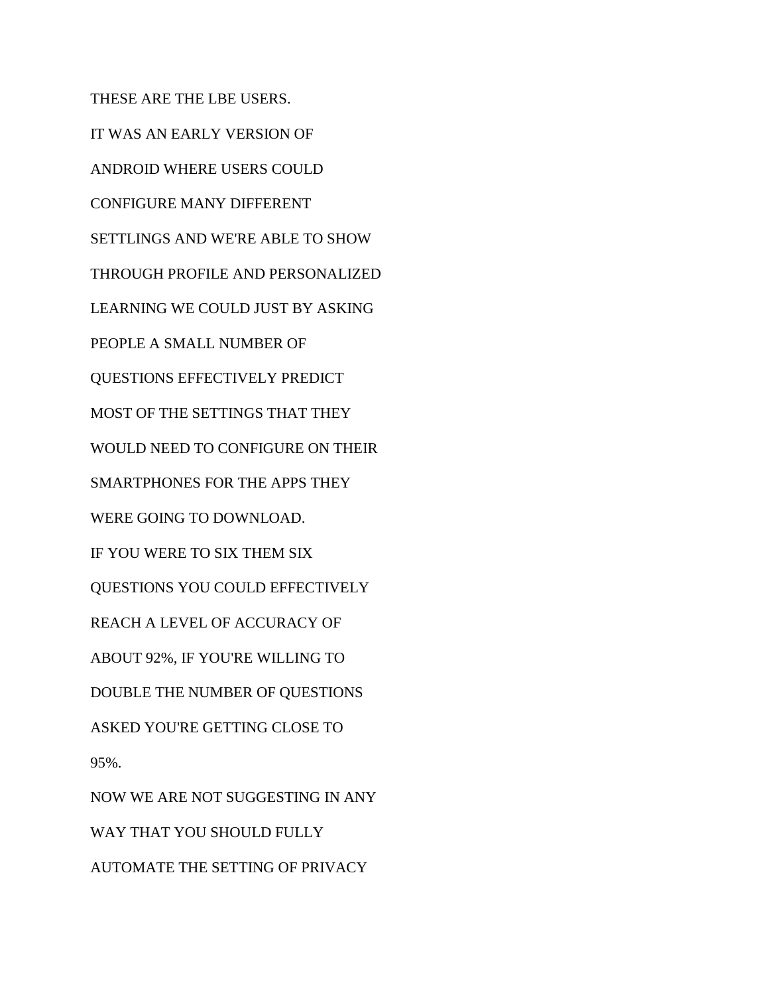THESE ARE THE LBE USERS. IT WAS AN EARLY VERSION OF ANDROID WHERE USERS COULD CONFIGURE MANY DIFFERENT SETTLINGS AND WE'RE ABLE TO SHOW THROUGH PROFILE AND PERSONALIZED LEARNING WE COULD JUST BY ASKING PEOPLE A SMALL NUMBER OF QUESTIONS EFFECTIVELY PREDICT MOST OF THE SETTINGS THAT THEY WOULD NEED TO CONFIGURE ON THEIR SMARTPHONES FOR THE APPS THEY WERE GOING TO DOWNLOAD. IF YOU WERE TO SIX THEM SIX QUESTIONS YOU COULD EFFECTIVELY REACH A LEVEL OF ACCURACY OF ABOUT 92%, IF YOU'RE WILLING TO DOUBLE THE NUMBER OF QUESTIONS ASKED YOU'RE GETTING CLOSE TO 95%. NOW WE ARE NOT SUGGESTING IN ANY WAY THAT YOU SHOULD FULLY

AUTOMATE THE SETTING OF PRIVACY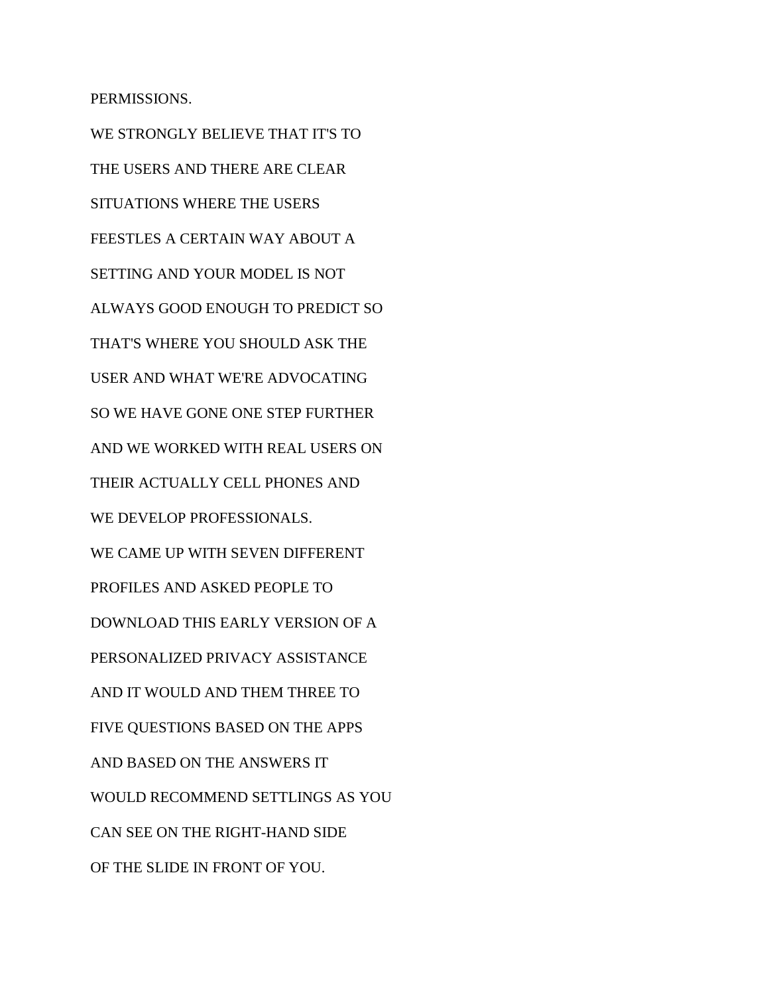PERMISSIONS.

WE STRONGLY BELIEVE THAT IT'S TO THE USERS AND THERE ARE CLEAR SITUATIONS WHERE THE USERS FEESTLES A CERTAIN WAY ABOUT A SETTING AND YOUR MODEL IS NOT ALWAYS GOOD ENOUGH TO PREDICT SO THAT'S WHERE YOU SHOULD ASK THE USER AND WHAT WE'RE ADVOCATING SO WE HAVE GONE ONE STEP FURTHER AND WE WORKED WITH REAL USERS ON THEIR ACTUALLY CELL PHONES AND WE DEVELOP PROFESSIONALS. WE CAME UP WITH SEVEN DIFFERENT PROFILES AND ASKED PEOPLE TO DOWNLOAD THIS EARLY VERSION OF A PERSONALIZED PRIVACY ASSISTANCE AND IT WOULD AND THEM THREE TO FIVE QUESTIONS BASED ON THE APPS AND BASED ON THE ANSWERS IT WOULD RECOMMEND SETTLINGS AS YOU CAN SEE ON THE RIGHT-HAND SIDE OF THE SLIDE IN FRONT OF YOU.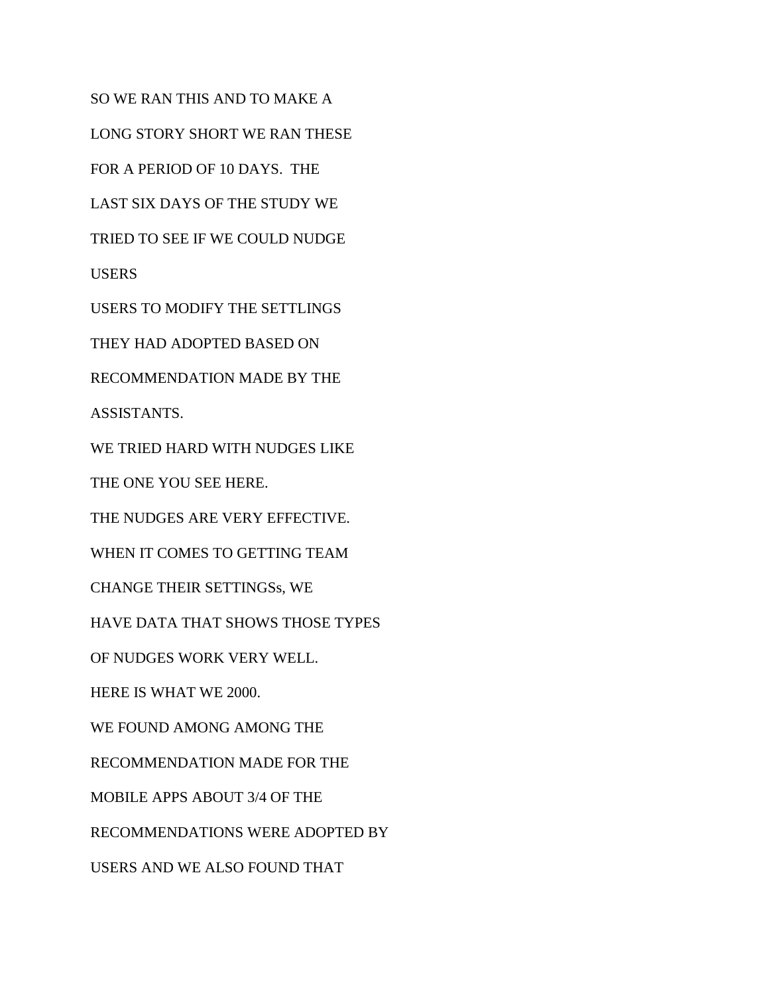SO WE RAN THIS AND TO MAKE A LONG STORY SHORT WE RAN THESE FOR A PERIOD OF 10 DAYS. THE LAST SIX DAYS OF THE STUDY WE TRIED TO SEE IF WE COULD NUDGE USERS USERS TO MODIFY THE SETTLINGS THEY HAD ADOPTED BASED ON RECOMMENDATION MADE BY THE ASSISTANTS. WE TRIED HARD WITH NUDGES LIKE THE ONE YOU SEE HERE. THE NUDGES ARE VERY EFFECTIVE. WHEN IT COMES TO GETTING TEAM CHANGE THEIR SETTINGSs, WE HAVE DATA THAT SHOWS THOSE TYPES OF NUDGES WORK VERY WELL. HERE IS WHAT WE 2000. WE FOUND AMONG AMONG THE RECOMMENDATION MADE FOR THE MOBILE APPS ABOUT 3/4 OF THE RECOMMENDATIONS WERE ADOPTED BY USERS AND WE ALSO FOUND THAT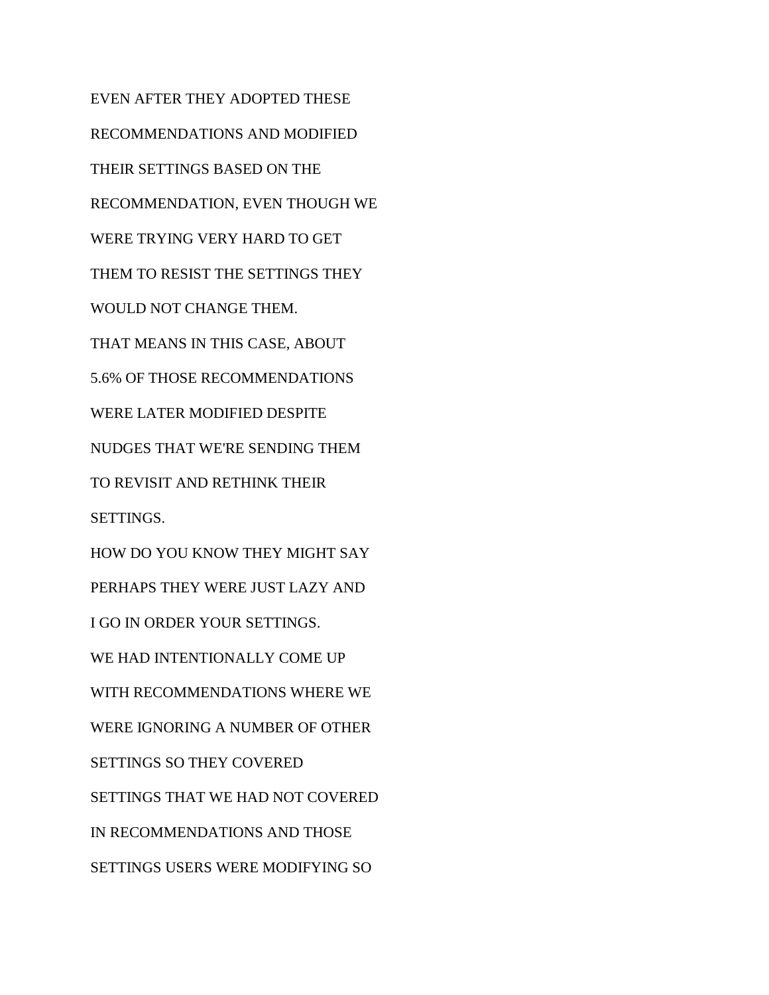EVEN AFTER THEY ADOPTED THESE RECOMMENDATIONS AND MODIFIED THEIR SETTINGS BASED ON THE RECOMMENDATION, EVEN THOUGH WE WERE TRYING VERY HARD TO GET THEM TO RESIST THE SETTINGS THEY WOULD NOT CHANGE THEM. THAT MEANS IN THIS CASE, ABOUT 5.6% OF THOSE RECOMMENDATIONS WERE LATER MODIFIED DESPITE NUDGES THAT WE'RE SENDING THEM TO REVISIT AND RETHINK THEIR SETTINGS. HOW DO YOU KNOW THEY MIGHT SAY PERHAPS THEY WERE JUST LAZY AND I GO IN ORDER YOUR SETTINGS. WE HAD INTENTIONALLY COME UP WITH RECOMMENDATIONS WHERE WE WERE IGNORING A NUMBER OF OTHER SETTINGS SO THEY COVERED SETTINGS THAT WE HAD NOT COVERED IN RECOMMENDATIONS AND THOSE SETTINGS USERS WERE MODIFYING SO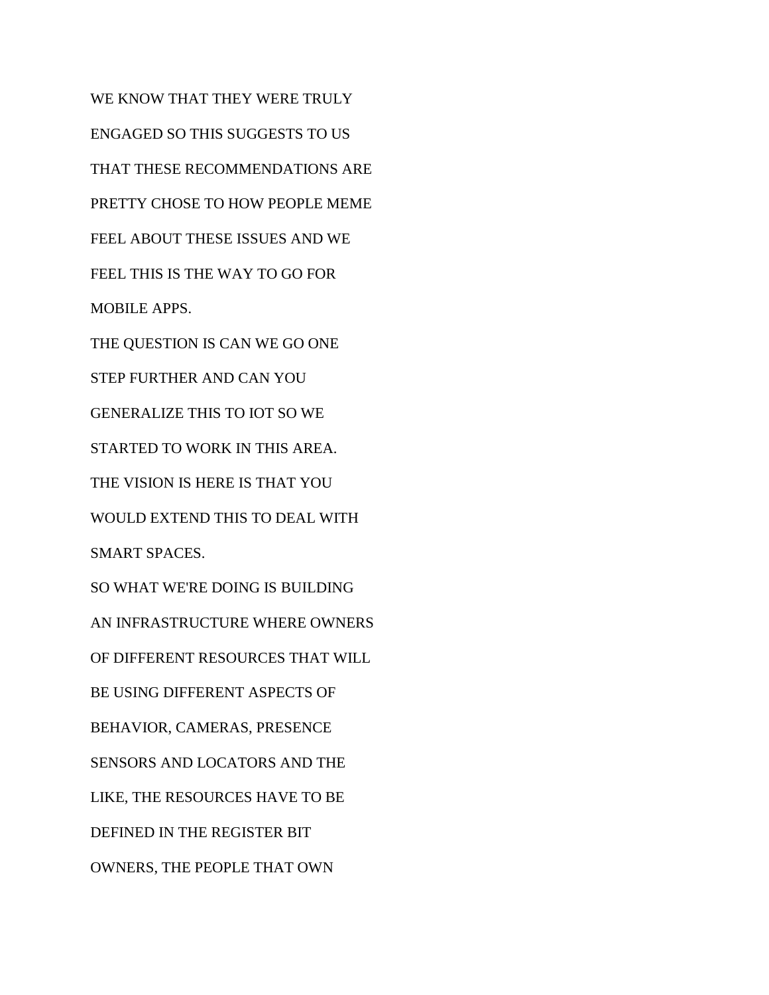WE KNOW THAT THEY WERE TRULY ENGAGED SO THIS SUGGESTS TO US THAT THESE RECOMMENDATIONS ARE PRETTY CHOSE TO HOW PEOPLE MEME FEEL ABOUT THESE ISSUES AND WE FEEL THIS IS THE WAY TO GO FOR MOBILE APPS. THE QUESTION IS CAN WE GO ONE STEP FURTHER AND CAN YOU GENERALIZE THIS TO IOT SO WE STARTED TO WORK IN THIS AREA. THE VISION IS HERE IS THAT YOU WOULD EXTEND THIS TO DEAL WITH SMART SPACES. SO WHAT WE'RE DOING IS BUILDING AN INFRASTRUCTURE WHERE OWNERS OF DIFFERENT RESOURCES THAT WILL BE USING DIFFERENT ASPECTS OF BEHAVIOR, CAMERAS, PRESENCE SENSORS AND LOCATORS AND THE LIKE, THE RESOURCES HAVE TO BE DEFINED IN THE REGISTER BIT OWNERS, THE PEOPLE THAT OWN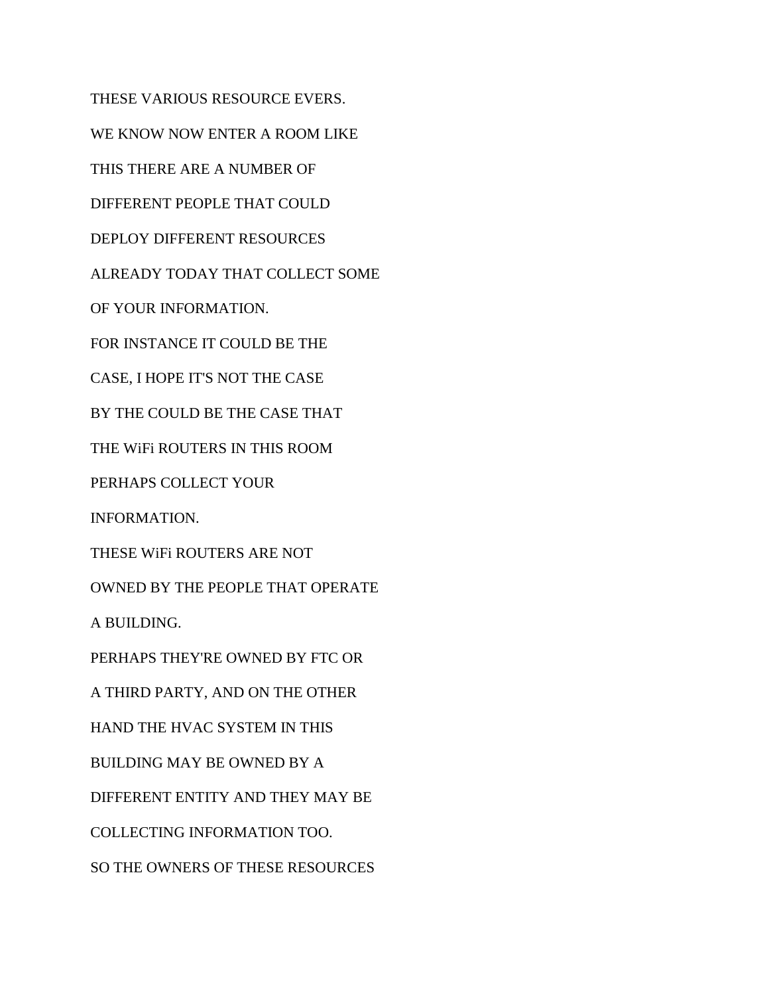THESE VARIOUS RESOURCE EVERS. WE KNOW NOW ENTER A ROOM LIKE THIS THERE ARE A NUMBER OF DIFFERENT PEOPLE THAT COULD DEPLOY DIFFERENT RESOURCES ALREADY TODAY THAT COLLECT SOME OF YOUR INFORMATION. FOR INSTANCE IT COULD BE THE CASE, I HOPE IT'S NOT THE CASE BY THE COULD BE THE CASE THAT THE WiFi ROUTERS IN THIS ROOM PERHAPS COLLECT YOUR INFORMATION. THESE WiFi ROUTERS ARE NOT OWNED BY THE PEOPLE THAT OPERATE A BUILDING. PERHAPS THEY'RE OWNED BY FTC OR A THIRD PARTY, AND ON THE OTHER HAND THE HVAC SYSTEM IN THIS BUILDING MAY BE OWNED BY A DIFFERENT ENTITY AND THEY MAY BE COLLECTING INFORMATION TOO. SO THE OWNERS OF THESE RESOURCES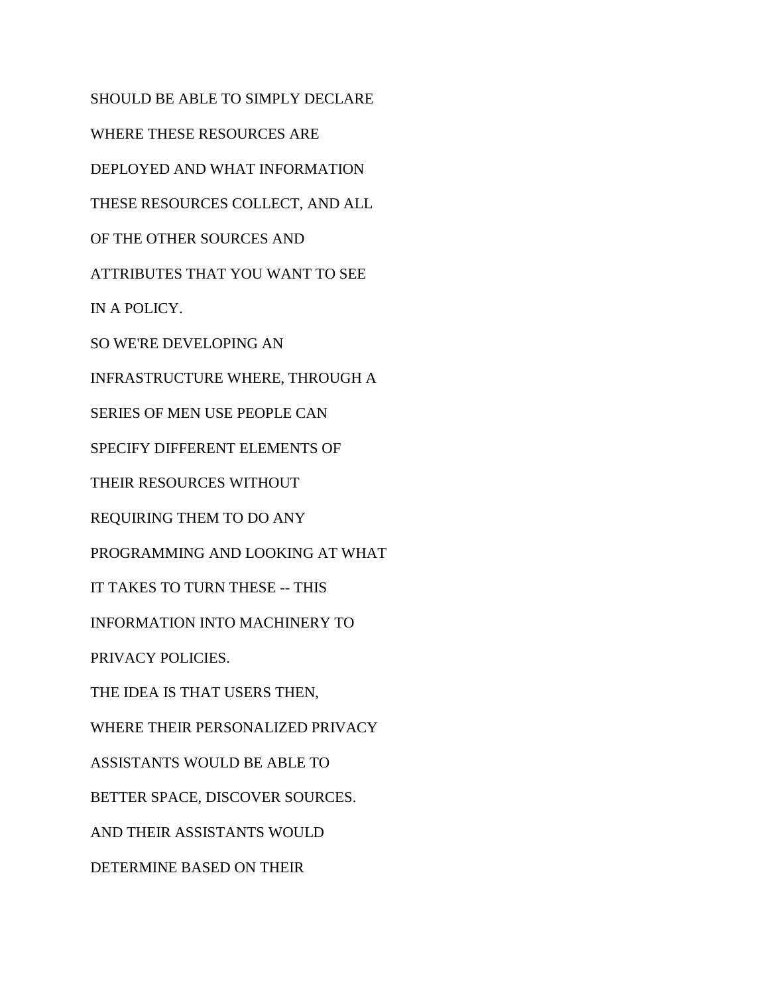SHOULD BE ABLE TO SIMPLY DECLARE WHERE THESE RESOURCES ARE DEPLOYED AND WHAT INFORMATION THESE RESOURCES COLLECT, AND ALL OF THE OTHER SOURCES AND ATTRIBUTES THAT YOU WANT TO SEE IN A POLICY. SO WE'RE DEVELOPING AN INFRASTRUCTURE WHERE, THROUGH A SERIES OF MEN USE PEOPLE CAN SPECIFY DIFFERENT ELEMENTS OF THEIR RESOURCES WITHOUT REQUIRING THEM TO DO ANY PROGRAMMING AND LOOKING AT WHAT IT TAKES TO TURN THESE -- THIS INFORMATION INTO MACHINERY TO PRIVACY POLICIES. THE IDEA IS THAT USERS THEN, WHERE THEIR PERSONALIZED PRIVACY ASSISTANTS WOULD BE ABLE TO BETTER SPACE, DISCOVER SOURCES. AND THEIR ASSISTANTS WOULD DETERMINE BASED ON THEIR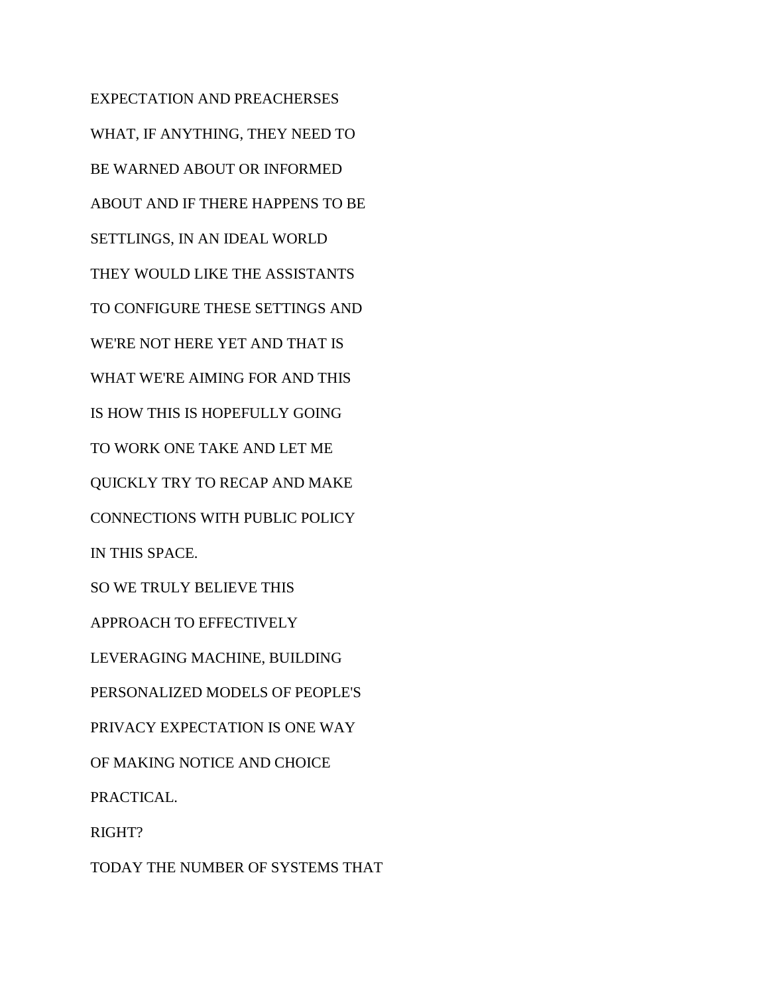EXPECTATION AND PREACHERSES WHAT, IF ANYTHING, THEY NEED TO BE WARNED ABOUT OR INFORMED ABOUT AND IF THERE HAPPENS TO BE SETTLINGS, IN AN IDEAL WORLD THEY WOULD LIKE THE ASSISTANTS TO CONFIGURE THESE SETTINGS AND WE'RE NOT HERE YET AND THAT IS WHAT WE'RE AIMING FOR AND THIS IS HOW THIS IS HOPEFULLY GOING TO WORK ONE TAKE AND LET ME QUICKLY TRY TO RECAP AND MAKE CONNECTIONS WITH PUBLIC POLICY IN THIS SPACE. SO WE TRULY BELIEVE THIS APPROACH TO EFFECTIVELY LEVERAGING MACHINE, BUILDING PERSONALIZED MODELS OF PEOPLE'S PRIVACY EXPECTATION IS ONE WAY OF MAKING NOTICE AND CHOICE PRACTICAL. RIGHT? TODAY THE NUMBER OF SYSTEMS THAT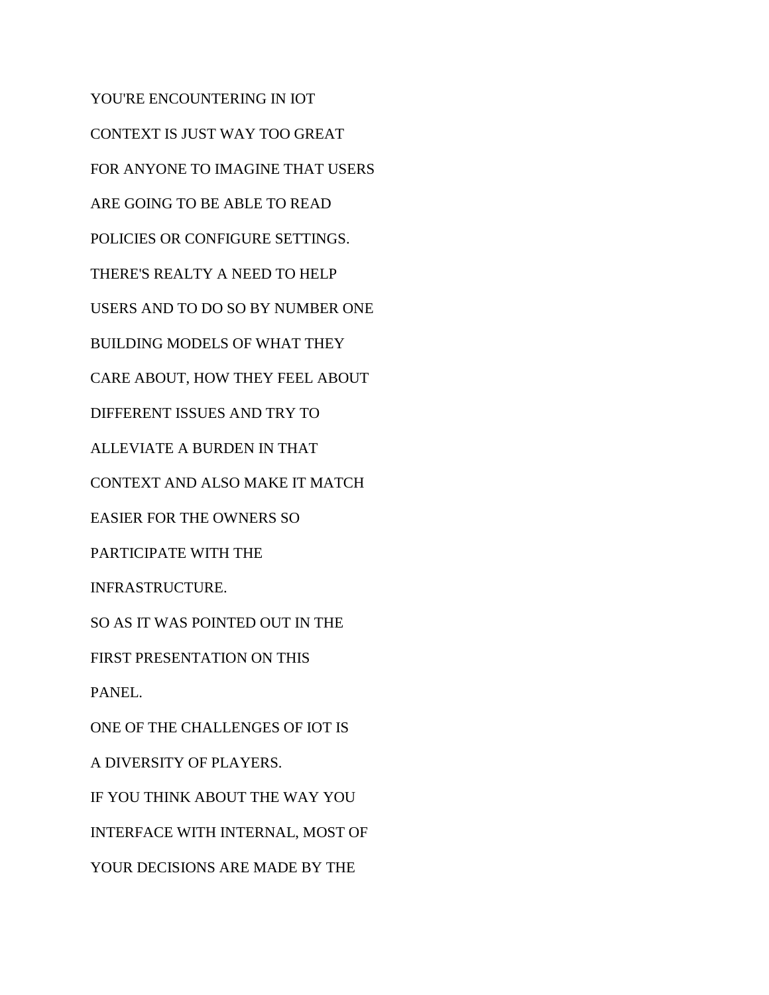YOU'RE ENCOUNTERING IN IOT CONTEXT IS JUST WAY TOO GREAT FOR ANYONE TO IMAGINE THAT USERS ARE GOING TO BE ABLE TO READ POLICIES OR CONFIGURE SETTINGS. THERE'S REALTY A NEED TO HELP USERS AND TO DO SO BY NUMBER ONE BUILDING MODELS OF WHAT THEY CARE ABOUT, HOW THEY FEEL ABOUT DIFFERENT ISSUES AND TRY TO ALLEVIATE A BURDEN IN THAT CONTEXT AND ALSO MAKE IT MATCH EASIER FOR THE OWNERS SO PARTICIPATE WITH THE INFRASTRUCTURE. SO AS IT WAS POINTED OUT IN THE FIRST PRESENTATION ON THIS PANEL. ONE OF THE CHALLENGES OF IOT IS A DIVERSITY OF PLAYERS. IF YOU THINK ABOUT THE WAY YOU INTERFACE WITH INTERNAL, MOST OF YOUR DECISIONS ARE MADE BY THE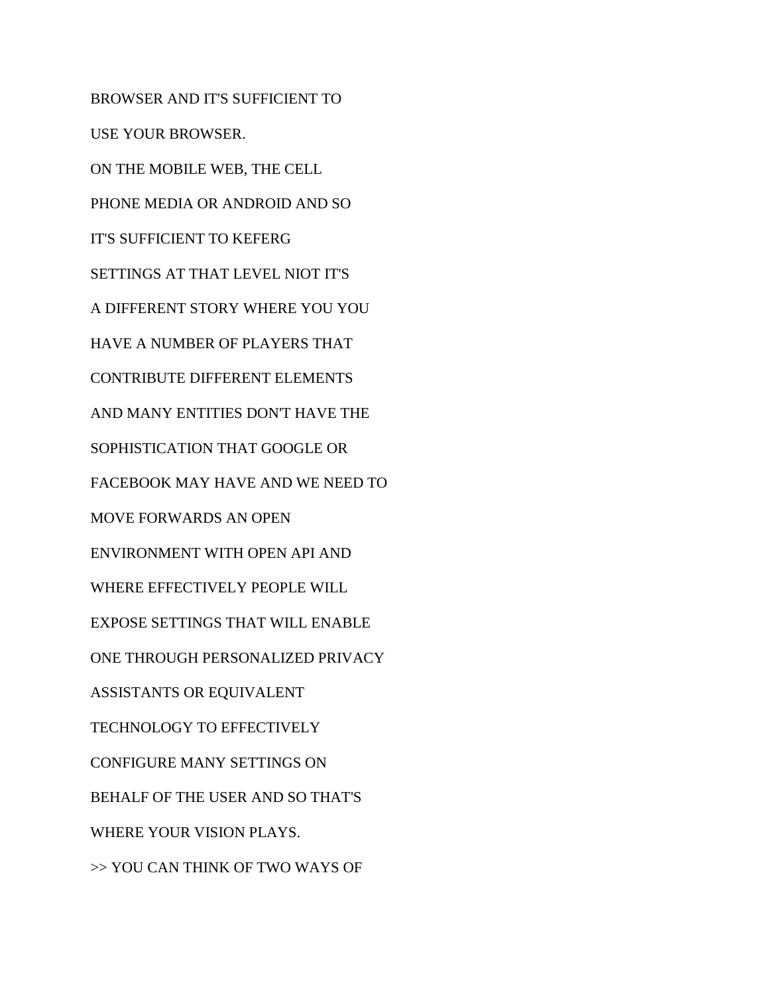BROWSER AND IT'S SUFFICIENT TO USE YOUR BROWSER. ON THE MOBILE WEB, THE CELL PHONE MEDIA OR ANDROID AND SO IT'S SUFFICIENT TO KEFERG SETTINGS AT THAT LEVEL NIOT IT'S A DIFFERENT STORY WHERE YOU YOU HAVE A NUMBER OF PLAYERS THAT CONTRIBUTE DIFFERENT ELEMENTS AND MANY ENTITIES DON'T HAVE THE SOPHISTICATION THAT GOOGLE OR FACEBOOK MAY HAVE AND WE NEED TO MOVE FORWARDS AN OPEN ENVIRONMENT WITH OPEN API AND WHERE EFFECTIVELY PEOPLE WILL EXPOSE SETTINGS THAT WILL ENABLE ONE THROUGH PERSONALIZED PRIVACY ASSISTANTS OR EQUIVALENT TECHNOLOGY TO EFFECTIVELY CONFIGURE MANY SETTINGS ON BEHALF OF THE USER AND SO THAT'S WHERE YOUR VISION PLAYS. >> YOU CAN THINK OF TWO WAYS OF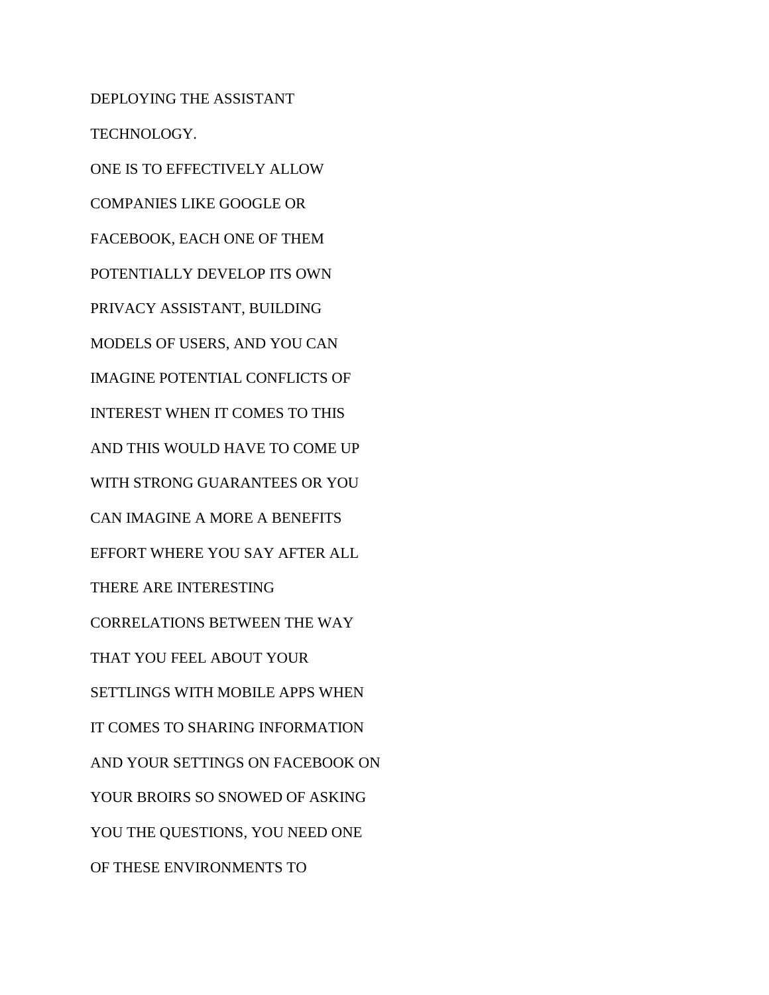DEPLOYING THE ASSISTANT TECHNOLOGY. ONE IS TO EFFECTIVELY ALLOW COMPANIES LIKE GOOGLE OR FACEBOOK, EACH ONE OF THEM POTENTIALLY DEVELOP ITS OWN PRIVACY ASSISTANT, BUILDING MODELS OF USERS, AND YOU CAN IMAGINE POTENTIAL CONFLICTS OF INTEREST WHEN IT COMES TO THIS AND THIS WOULD HAVE TO COME UP WITH STRONG GUARANTEES OR YOU CAN IMAGINE A MORE A BENEFITS EFFORT WHERE YOU SAY AFTER ALL THERE ARE INTERESTING CORRELATIONS BETWEEN THE WAY THAT YOU FEEL ABOUT YOUR SETTLINGS WITH MOBILE APPS WHEN IT COMES TO SHARING INFORMATION AND YOUR SETTINGS ON FACEBOOK ON YOUR BROIRS SO SNOWED OF ASKING YOU THE QUESTIONS, YOU NEED ONE OF THESE ENVIRONMENTS TO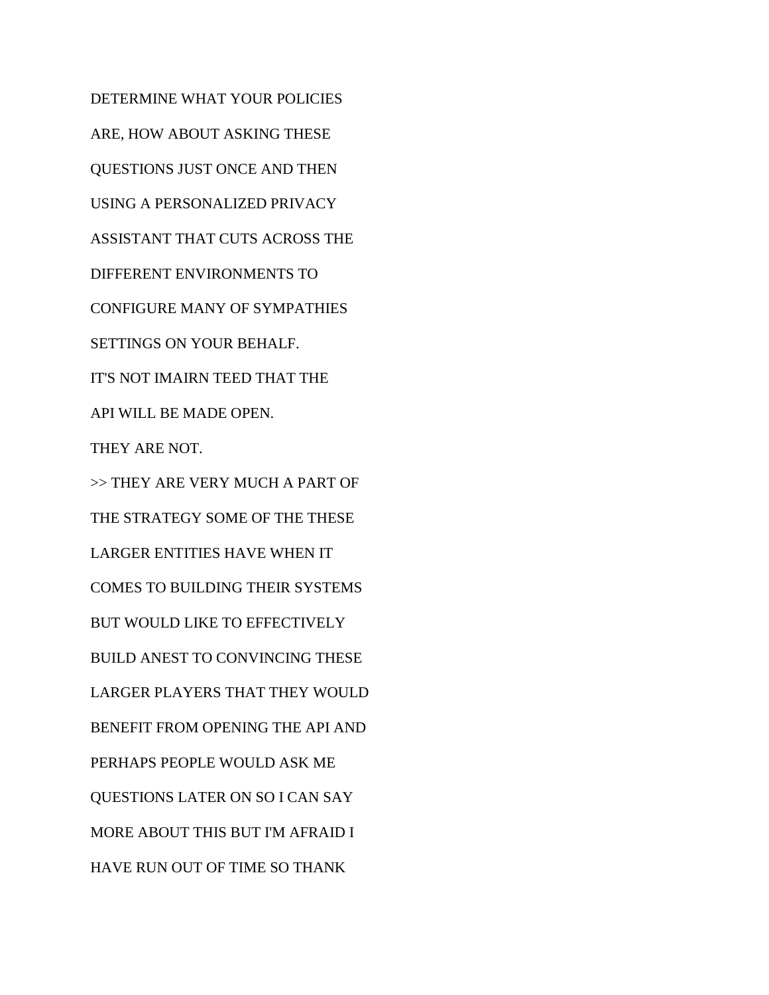DETERMINE WHAT YOUR POLICIES ARE, HOW ABOUT ASKING THESE QUESTIONS JUST ONCE AND THEN USING A PERSONALIZED PRIVACY ASSISTANT THAT CUTS ACROSS THE DIFFERENT ENVIRONMENTS TO CONFIGURE MANY OF SYMPATHIES SETTINGS ON YOUR BEHALF. IT'S NOT IMAIRN TEED THAT THE API WILL BE MADE OPEN. THEY ARE NOT. >> THEY ARE VERY MUCH A PART OF THE STRATEGY SOME OF THE THESE LARGER ENTITIES HAVE WHEN IT COMES TO BUILDING THEIR SYSTEMS BUT WOULD LIKE TO EFFECTIVELY BUILD ANEST TO CONVINCING THESE LARGER PLAYERS THAT THEY WOULD BENEFIT FROM OPENING THE API AND PERHAPS PEOPLE WOULD ASK ME QUESTIONS LATER ON SO I CAN SAY MORE ABOUT THIS BUT I'M AFRAID I HAVE RUN OUT OF TIME SO THANK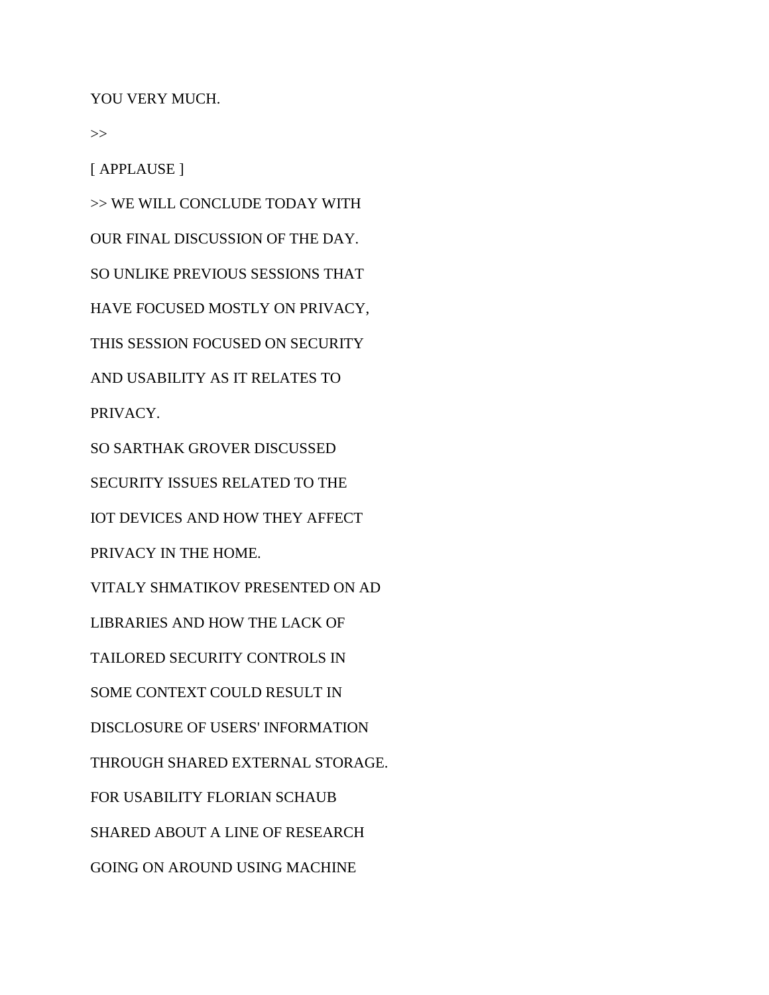YOU VERY MUCH.

```
>>
```
[ APPLAUSE ]

>> WE WILL CONCLUDE TODAY WITH OUR FINAL DISCUSSION OF THE DAY. SO UNLIKE PREVIOUS SESSIONS THAT HAVE FOCUSED MOSTLY ON PRIVACY, THIS SESSION FOCUSED ON SECURITY AND USABILITY AS IT RELATES TO PRIVACY. SO SARTHAK GROVER DISCUSSED SECURITY ISSUES RELATED TO THE IOT DEVICES AND HOW THEY AFFECT PRIVACY IN THE HOME. VITALY SHMATIKOV PRESENTED ON AD LIBRARIES AND HOW THE LACK OF TAILORED SECURITY CONTROLS IN SOME CONTEXT COULD RESULT IN DISCLOSURE OF USERS' INFORMATION THROUGH SHARED EXTERNAL STORAGE. FOR USABILITY FLORIAN SCHAUB SHARED ABOUT A LINE OF RESEARCH GOING ON AROUND USING MACHINE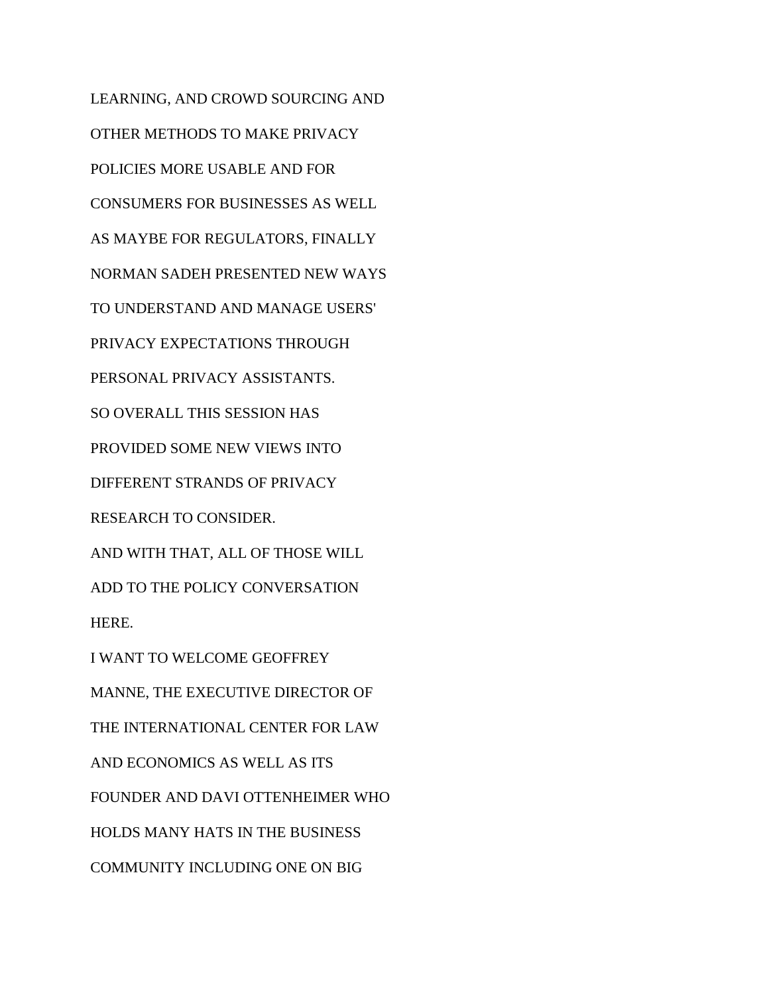LEARNING, AND CROWD SOURCING AND OTHER METHODS TO MAKE PRIVACY POLICIES MORE USABLE AND FOR CONSUMERS FOR BUSINESSES AS WELL AS MAYBE FOR REGULATORS, FINALLY NORMAN SADEH PRESENTED NEW WAYS TO UNDERSTAND AND MANAGE USERS' PRIVACY EXPECTATIONS THROUGH PERSONAL PRIVACY ASSISTANTS. SO OVERALL THIS SESSION HAS PROVIDED SOME NEW VIEWS INTO DIFFERENT STRANDS OF PRIVACY RESEARCH TO CONSIDER. AND WITH THAT, ALL OF THOSE WILL ADD TO THE POLICY CONVERSATION HERE. I WANT TO WELCOME GEOFFREY MANNE, THE EXECUTIVE DIRECTOR OF THE INTERNATIONAL CENTER FOR LAW AND ECONOMICS AS WELL AS ITS FOUNDER AND DAVI OTTENHEIMER WHO HOLDS MANY HATS IN THE BUSINESS COMMUNITY INCLUDING ONE ON BIG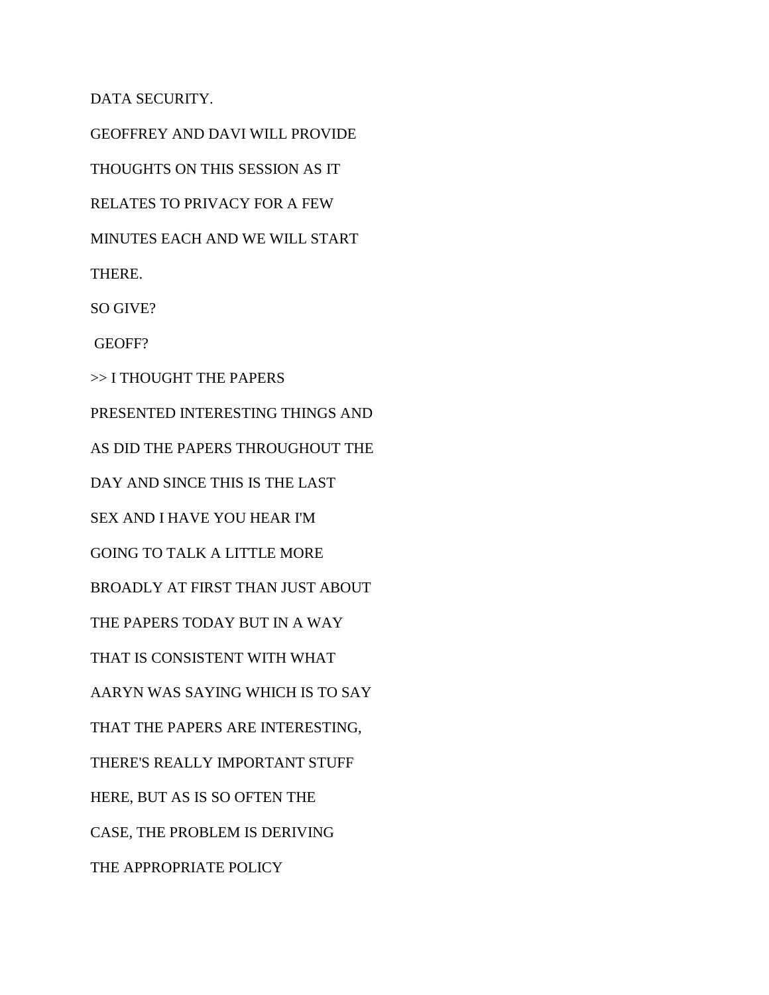DATA SECURITY.

GEOFFREY AND DAVI WILL PROVIDE THOUGHTS ON THIS SESSION AS IT RELATES TO PRIVACY FOR A FEW MINUTES EACH AND WE WILL START THERE. SO GIVE? GEOFF? >> I THOUGHT THE PAPERS PRESENTED INTERESTING THINGS AND AS DID THE PAPERS THROUGHOUT THE DAY AND SINCE THIS IS THE LAST SEX AND I HAVE YOU HEAR I'M GOING TO TALK A LITTLE MORE BROADLY AT FIRST THAN JUST ABOUT THE PAPERS TODAY BUT IN A WAY THAT IS CONSISTENT WITH WHAT AARYN WAS SAYING WHICH IS TO SAY THAT THE PAPERS ARE INTERESTING, THERE'S REALLY IMPORTANT STUFF HERE, BUT AS IS SO OFTEN THE CASE, THE PROBLEM IS DERIVING THE APPROPRIATE POLICY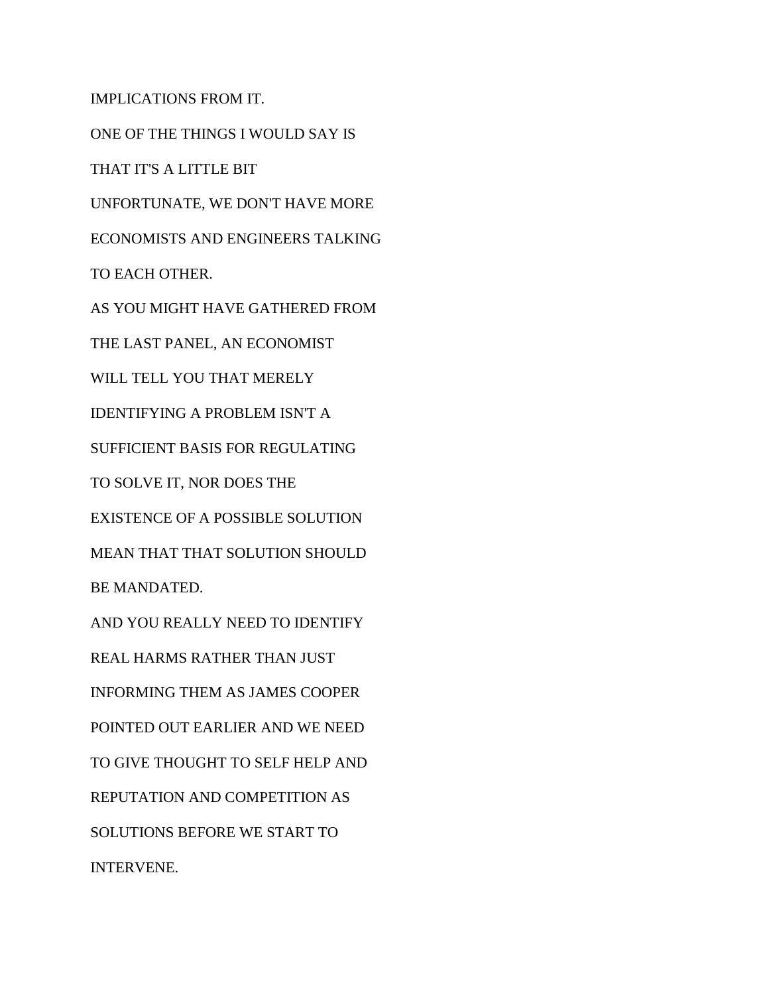IMPLICATIONS FROM IT. ONE OF THE THINGS I WOULD SAY IS THAT IT'S A LITTLE BIT UNFORTUNATE, WE DON'T HAVE MORE ECONOMISTS AND ENGINEERS TALKING TO EACH OTHER. AS YOU MIGHT HAVE GATHERED FROM THE LAST PANEL, AN ECONOMIST WILL TELL YOU THAT MERELY IDENTIFYING A PROBLEM ISN'T A SUFFICIENT BASIS FOR REGULATING TO SOLVE IT, NOR DOES THE EXISTENCE OF A POSSIBLE SOLUTION MEAN THAT THAT SOLUTION SHOULD BE MANDATED. AND YOU REALLY NEED TO IDENTIFY REAL HARMS RATHER THAN JUST INFORMING THEM AS JAMES COOPER POINTED OUT EARLIER AND WE NEED TO GIVE THOUGHT TO SELF HELP AND REPUTATION AND COMPETITION AS SOLUTIONS BEFORE WE START TO INTERVENE.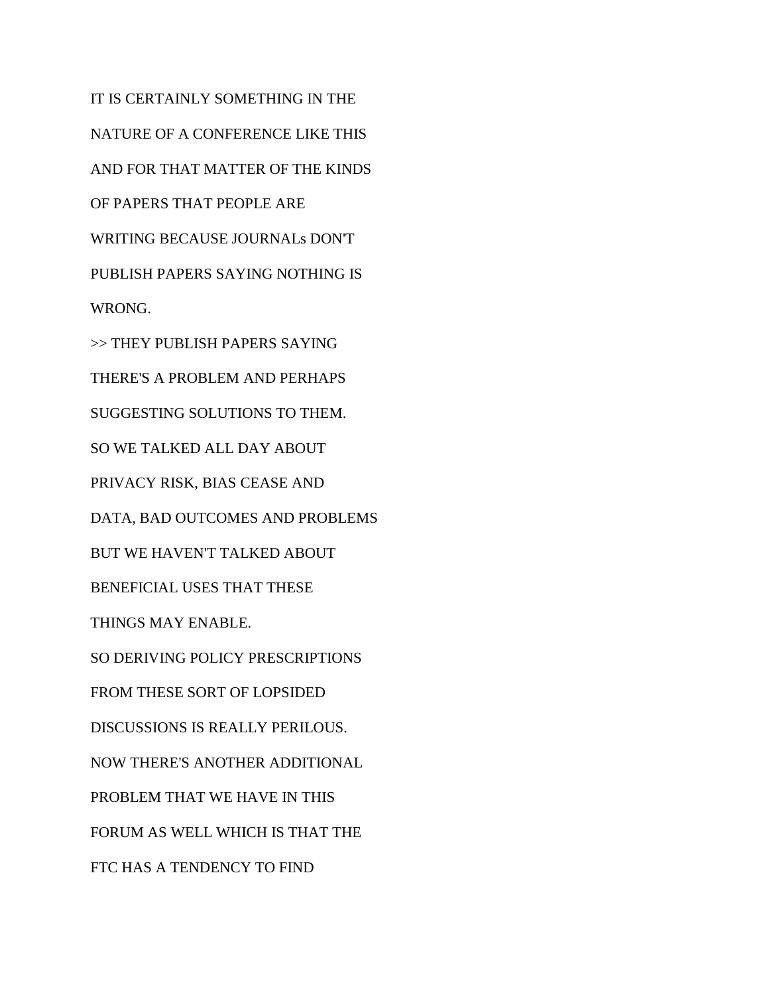IT IS CERTAINLY SOMETHING IN THE NATURE OF A CONFERENCE LIKE THIS AND FOR THAT MATTER OF THE KINDS OF PAPERS THAT PEOPLE ARE WRITING BECAUSE JOURNALs DON'T PUBLISH PAPERS SAYING NOTHING IS WRONG. >> THEY PUBLISH PAPERS SAYING THERE'S A PROBLEM AND PERHAPS SUGGESTING SOLUTIONS TO THEM. SO WE TALKED ALL DAY ABOUT PRIVACY RISK, BIAS CEASE AND DATA, BAD OUTCOMES AND PROBLEMS BUT WE HAVEN'T TALKED ABOUT BENEFICIAL USES THAT THESE THINGS MAY ENABLE. SO DERIVING POLICY PRESCRIPTIONS FROM THESE SORT OF LOPSIDED DISCUSSIONS IS REALLY PERILOUS. NOW THERE'S ANOTHER ADDITIONAL PROBLEM THAT WE HAVE IN THIS FORUM AS WELL WHICH IS THAT THE FTC HAS A TENDENCY TO FIND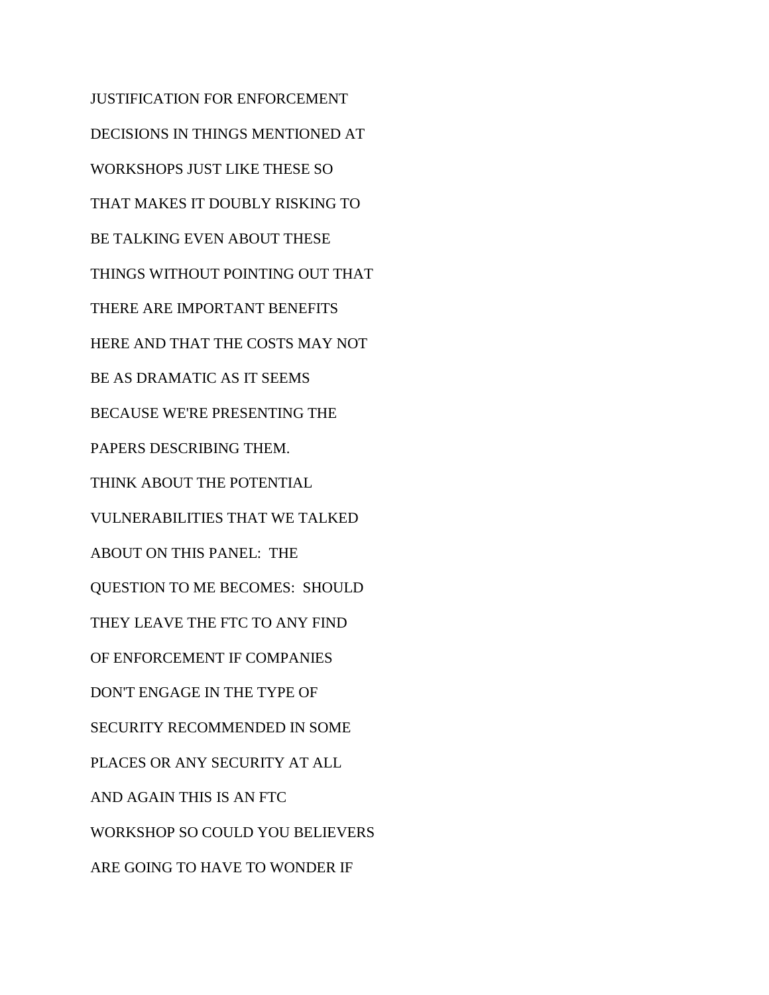JUSTIFICATION FOR ENFORCEMENT DECISIONS IN THINGS MENTIONED AT WORKSHOPS JUST LIKE THESE SO THAT MAKES IT DOUBLY RISKING TO BE TALKING EVEN ABOUT THESE THINGS WITHOUT POINTING OUT THAT THERE ARE IMPORTANT BENEFITS HERE AND THAT THE COSTS MAY NOT BE AS DRAMATIC AS IT SEEMS BECAUSE WE'RE PRESENTING THE PAPERS DESCRIBING THEM. THINK ABOUT THE POTENTIAL VULNERABILITIES THAT WE TALKED ABOUT ON THIS PANEL: THE QUESTION TO ME BECOMES: SHOULD THEY LEAVE THE FTC TO ANY FIND OF ENFORCEMENT IF COMPANIES DON'T ENGAGE IN THE TYPE OF SECURITY RECOMMENDED IN SOME PLACES OR ANY SECURITY AT ALL AND AGAIN THIS IS AN FTC WORKSHOP SO COULD YOU BELIEVERS ARE GOING TO HAVE TO WONDER IF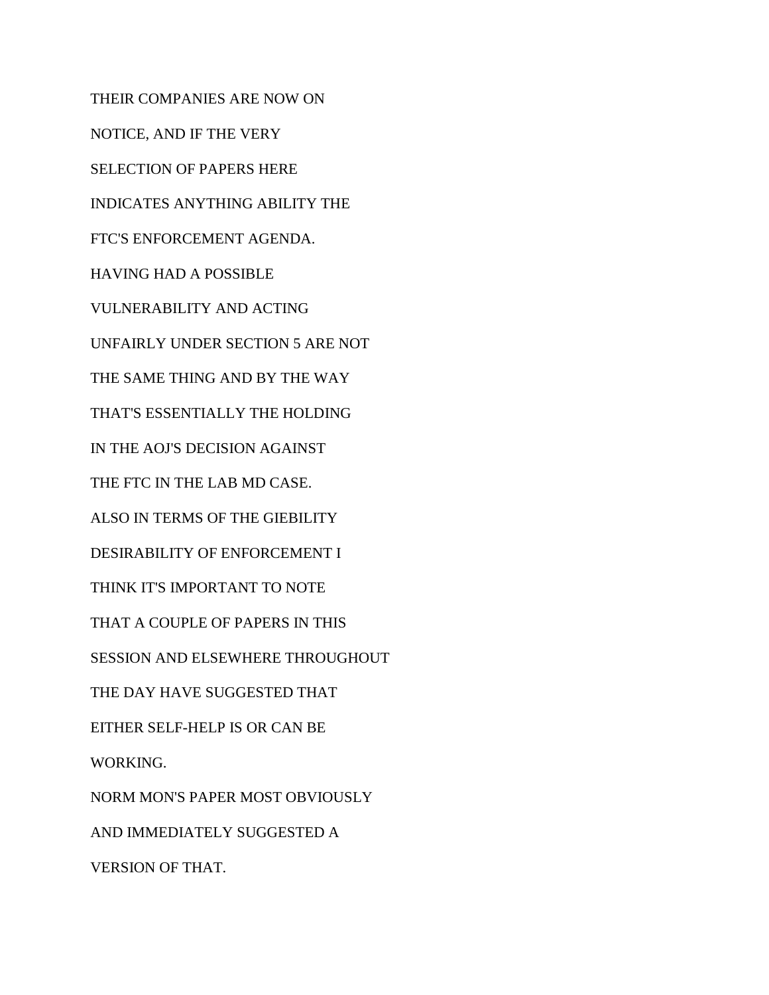THEIR COMPANIES ARE NOW ON NOTICE, AND IF THE VERY SELECTION OF PAPERS HERE INDICATES ANYTHING ABILITY THE FTC'S ENFORCEMENT AGENDA. HAVING HAD A POSSIBLE VULNERABILITY AND ACTING UNFAIRLY UNDER SECTION 5 ARE NOT THE SAME THING AND BY THE WAY THAT'S ESSENTIALLY THE HOLDING IN THE AOJ'S DECISION AGAINST THE FTC IN THE LAB MD CASE. ALSO IN TERMS OF THE GIEBILITY DESIRABILITY OF ENFORCEMENT I THINK IT'S IMPORTANT TO NOTE THAT A COUPLE OF PAPERS IN THIS SESSION AND ELSEWHERE THROUGHOUT THE DAY HAVE SUGGESTED THAT EITHER SELF-HELP IS OR CAN BE WORKING. NORM MON'S PAPER MOST OBVIOUSLY AND IMMEDIATELY SUGGESTED A VERSION OF THAT.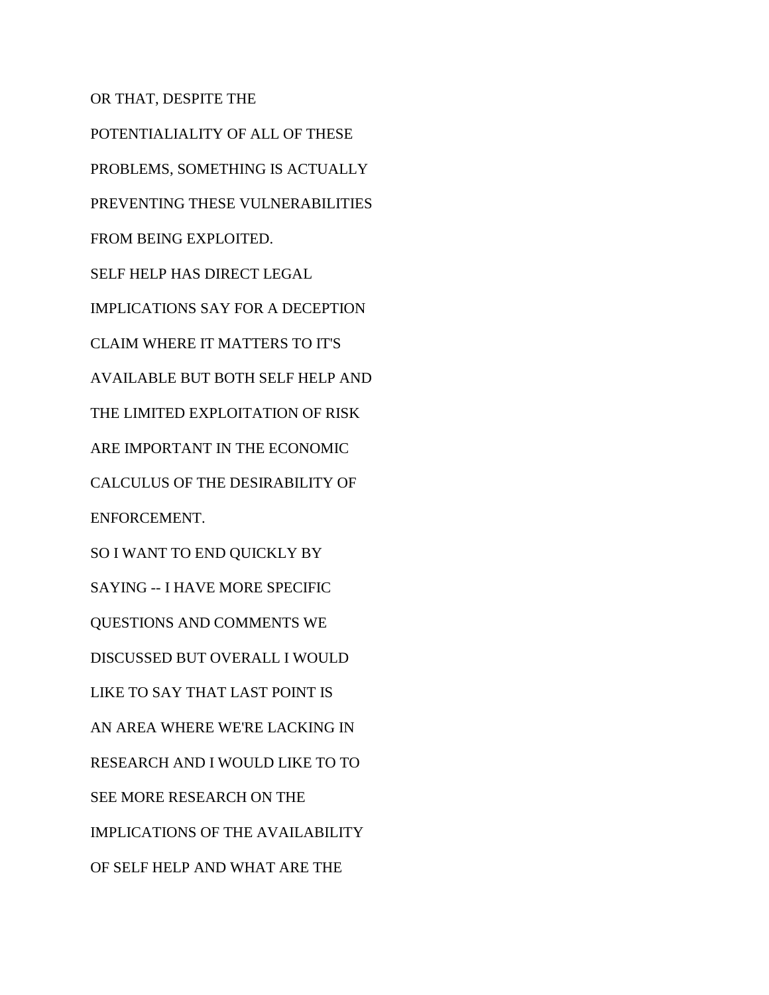## OR THAT, DESPITE THE

POTENTIALIALITY OF ALL OF THESE PROBLEMS, SOMETHING IS ACTUALLY PREVENTING THESE VULNERABILITIES FROM BEING EXPLOITED. SELF HELP HAS DIRECT LEGAL IMPLICATIONS SAY FOR A DECEPTION CLAIM WHERE IT MATTERS TO IT'S AVAILABLE BUT BOTH SELF HELP AND THE LIMITED EXPLOITATION OF RISK ARE IMPORTANT IN THE ECONOMIC CALCULUS OF THE DESIRABILITY OF ENFORCEMENT. SO I WANT TO END QUICKLY BY SAYING -- I HAVE MORE SPECIFIC QUESTIONS AND COMMENTS WE DISCUSSED BUT OVERALL I WOULD LIKE TO SAY THAT LAST POINT IS AN AREA WHERE WE'RE LACKING IN RESEARCH AND I WOULD LIKE TO TO SEE MORE RESEARCH ON THE IMPLICATIONS OF THE AVAILABILITY OF SELF HELP AND WHAT ARE THE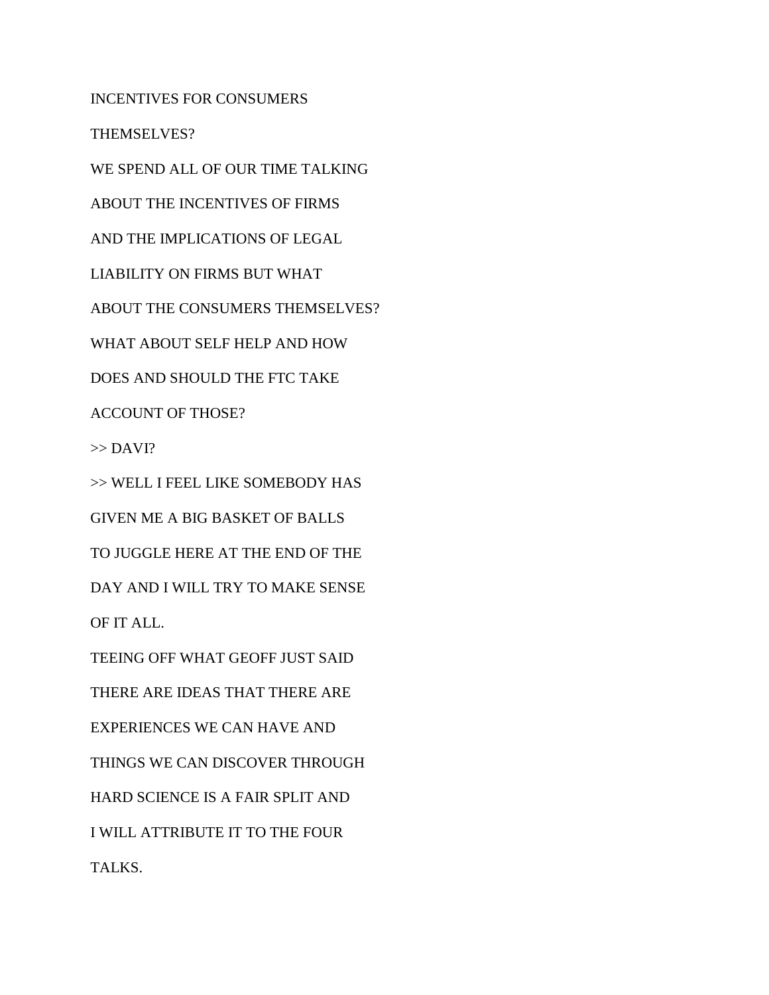INCENTIVES FOR CONSUMERS THEMSELVES? WE SPEND ALL OF OUR TIME TALKING ABOUT THE INCENTIVES OF FIRMS AND THE IMPLICATIONS OF LEGAL LIABILITY ON FIRMS BUT WHAT ABOUT THE CONSUMERS THEMSELVES? WHAT ABOUT SELF HELP AND HOW DOES AND SHOULD THE FTC TAKE ACCOUNT OF THOSE?  $>>$  DAVI? >> WELL I FEEL LIKE SOMEBODY HAS GIVEN ME A BIG BASKET OF BALLS TO JUGGLE HERE AT THE END OF THE DAY AND I WILL TRY TO MAKE SENSE OF IT ALL. TEEING OFF WHAT GEOFF JUST SAID THERE ARE IDEAS THAT THERE ARE EXPERIENCES WE CAN HAVE AND THINGS WE CAN DISCOVER THROUGH HARD SCIENCE IS A FAIR SPLIT AND I WILL ATTRIBUTE IT TO THE FOUR

TALKS.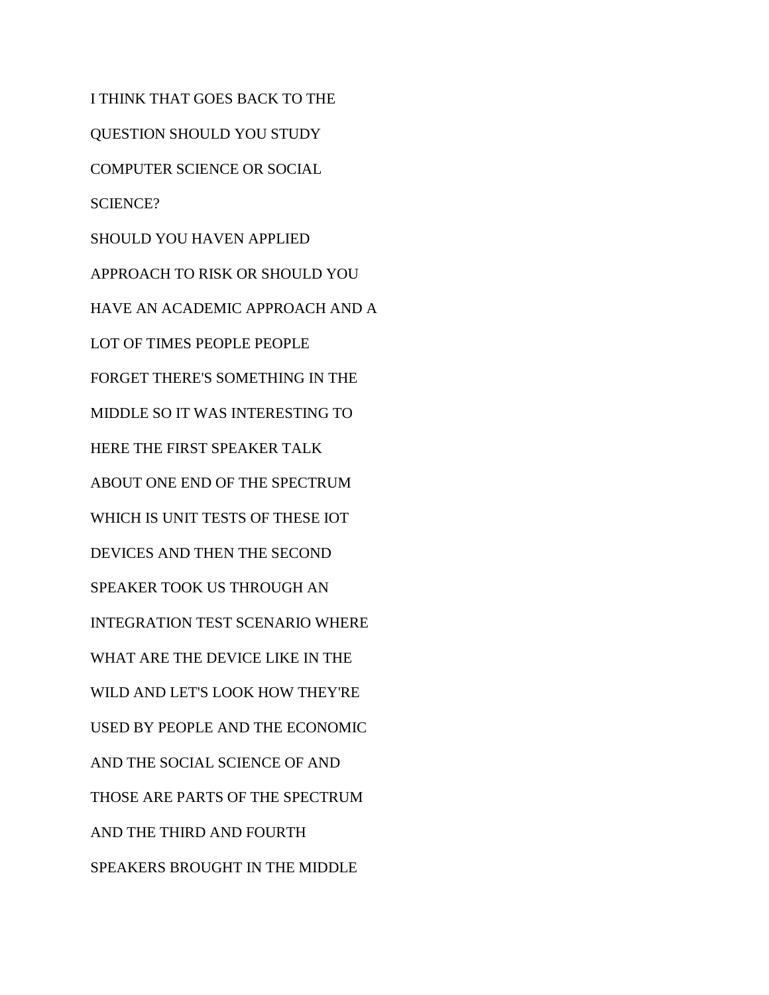I THINK THAT GOES BACK TO THE QUESTION SHOULD YOU STUDY COMPUTER SCIENCE OR SOCIAL SCIENCE? SHOULD YOU HAVEN APPLIED APPROACH TO RISK OR SHOULD YOU HAVE AN ACADEMIC APPROACH AND A LOT OF TIMES PEOPLE PEOPLE FORGET THERE'S SOMETHING IN THE MIDDLE SO IT WAS INTERESTING TO HERE THE FIRST SPEAKER TALK ABOUT ONE END OF THE SPECTRUM WHICH IS UNIT TESTS OF THESE IOT DEVICES AND THEN THE SECOND SPEAKER TOOK US THROUGH AN INTEGRATION TEST SCENARIO WHERE WHAT ARE THE DEVICE LIKE IN THE WILD AND LET'S LOOK HOW THEY'RE USED BY PEOPLE AND THE ECONOMIC AND THE SOCIAL SCIENCE OF AND THOSE ARE PARTS OF THE SPECTRUM AND THE THIRD AND FOURTH SPEAKERS BROUGHT IN THE MIDDLE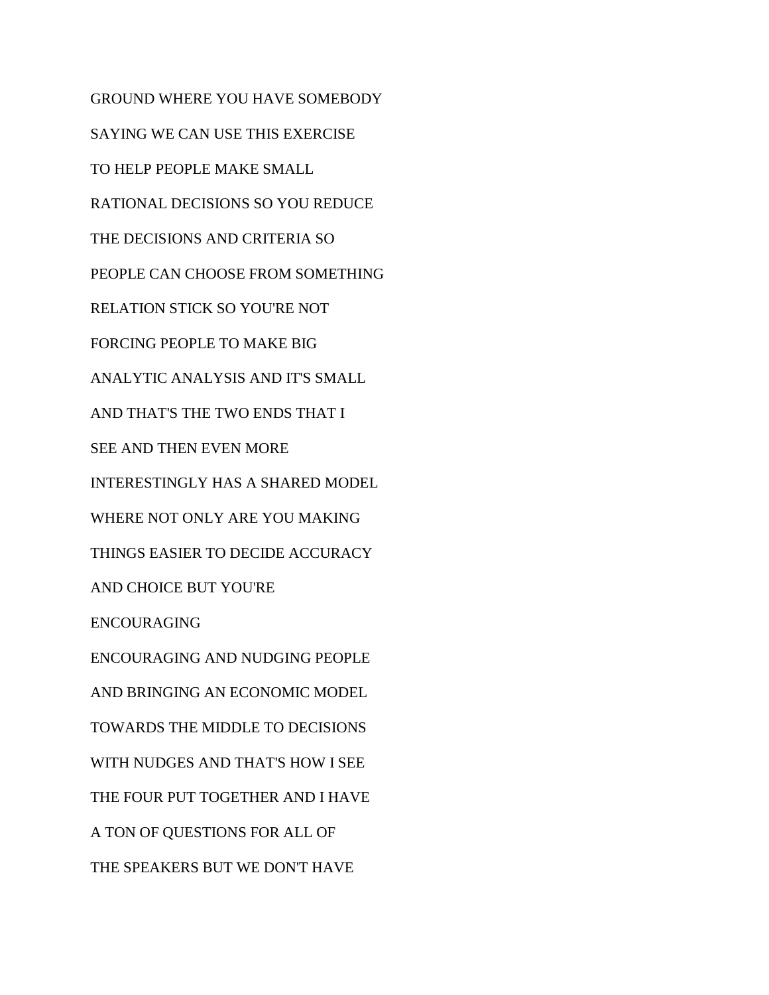GROUND WHERE YOU HAVE SOMEBODY SAYING WE CAN USE THIS EXERCISE TO HELP PEOPLE MAKE SMALL RATIONAL DECISIONS SO YOU REDUCE THE DECISIONS AND CRITERIA SO PEOPLE CAN CHOOSE FROM SOMETHING RELATION STICK SO YOU'RE NOT FORCING PEOPLE TO MAKE BIG ANALYTIC ANALYSIS AND IT'S SMALL AND THAT'S THE TWO ENDS THAT I SEE AND THEN EVEN MORE INTERESTINGLY HAS A SHARED MODEL WHERE NOT ONLY ARE YOU MAKING THINGS EASIER TO DECIDE ACCURACY AND CHOICE BUT YOU'RE ENCOURAGING ENCOURAGING AND NUDGING PEOPLE AND BRINGING AN ECONOMIC MODEL TOWARDS THE MIDDLE TO DECISIONS WITH NUDGES AND THAT'S HOW I SEE THE FOUR PUT TOGETHER AND I HAVE A TON OF QUESTIONS FOR ALL OF THE SPEAKERS BUT WE DON'T HAVE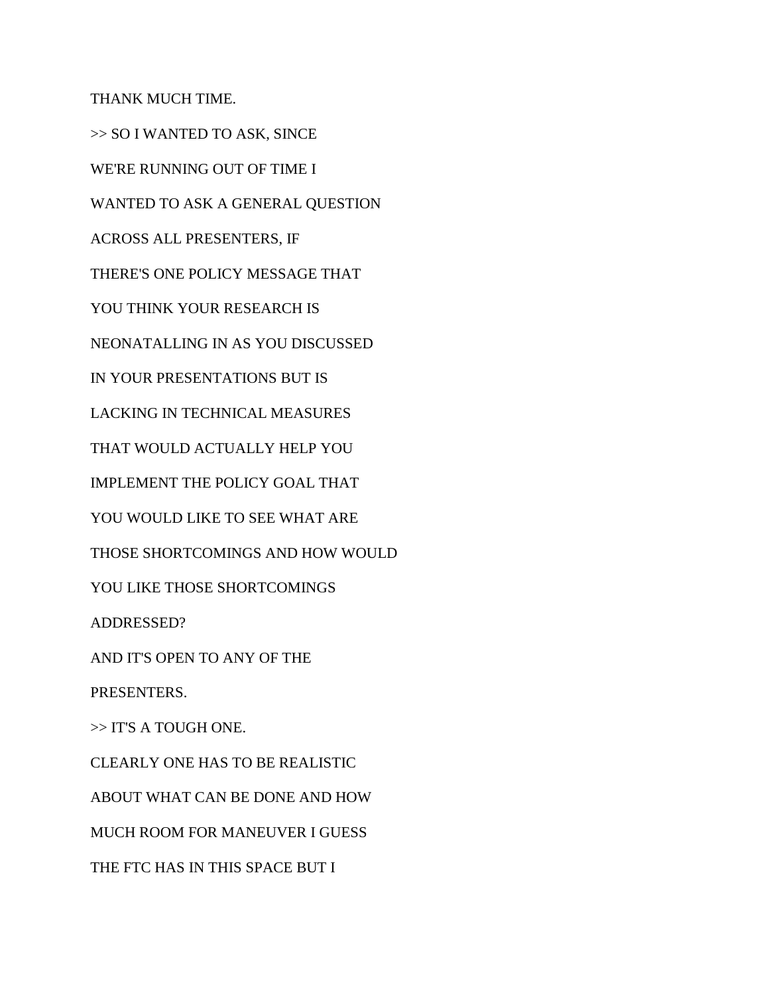THANK MUCH TIME.

>> SO I WANTED TO ASK, SINCE

WE'RE RUNNING OUT OF TIME I WANTED TO ASK A GENERAL QUESTION ACROSS ALL PRESENTERS, IF THERE'S ONE POLICY MESSAGE THAT YOU THINK YOUR RESEARCH IS NEONATALLING IN AS YOU DISCUSSED IN YOUR PRESENTATIONS BUT IS LACKING IN TECHNICAL MEASURES THAT WOULD ACTUALLY HELP YOU IMPLEMENT THE POLICY GOAL THAT YOU WOULD LIKE TO SEE WHAT ARE THOSE SHORTCOMINGS AND HOW WOULD YOU LIKE THOSE SHORTCOMINGS ADDRESSED? AND IT'S OPEN TO ANY OF THE PRESENTERS. >> IT'S A TOUGH ONE. CLEARLY ONE HAS TO BE REALISTIC ABOUT WHAT CAN BE DONE AND HOW MUCH ROOM FOR MANEUVER I GUESS THE FTC HAS IN THIS SPACE BUT I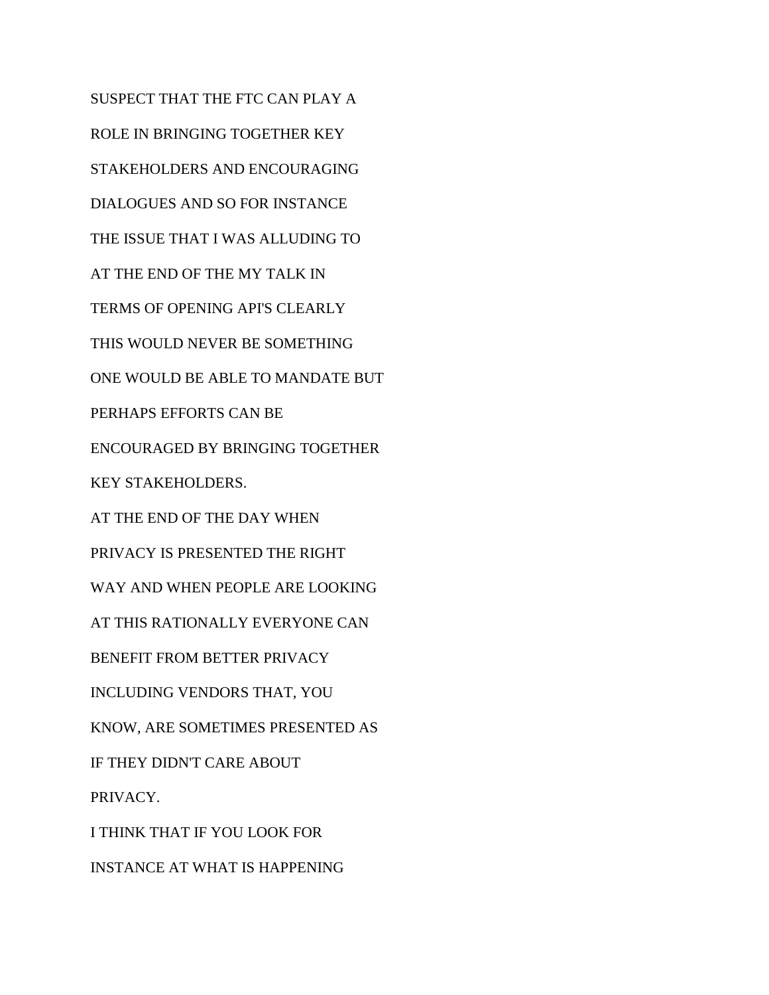SUSPECT THAT THE FTC CAN PLAY A ROLE IN BRINGING TOGETHER KEY STAKEHOLDERS AND ENCOURAGING DIALOGUES AND SO FOR INSTANCE THE ISSUE THAT I WAS ALLUDING TO AT THE END OF THE MY TALK IN TERMS OF OPENING API'S CLEARLY THIS WOULD NEVER BE SOMETHING ONE WOULD BE ABLE TO MANDATE BUT PERHAPS EFFORTS CAN BE ENCOURAGED BY BRINGING TOGETHER KEY STAKEHOLDERS. AT THE END OF THE DAY WHEN PRIVACY IS PRESENTED THE RIGHT WAY AND WHEN PEOPLE ARE LOOKING AT THIS RATIONALLY EVERYONE CAN BENEFIT FROM BETTER PRIVACY INCLUDING VENDORS THAT, YOU KNOW, ARE SOMETIMES PRESENTED AS IF THEY DIDN'T CARE ABOUT PRIVACY. I THINK THAT IF YOU LOOK FOR INSTANCE AT WHAT IS HAPPENING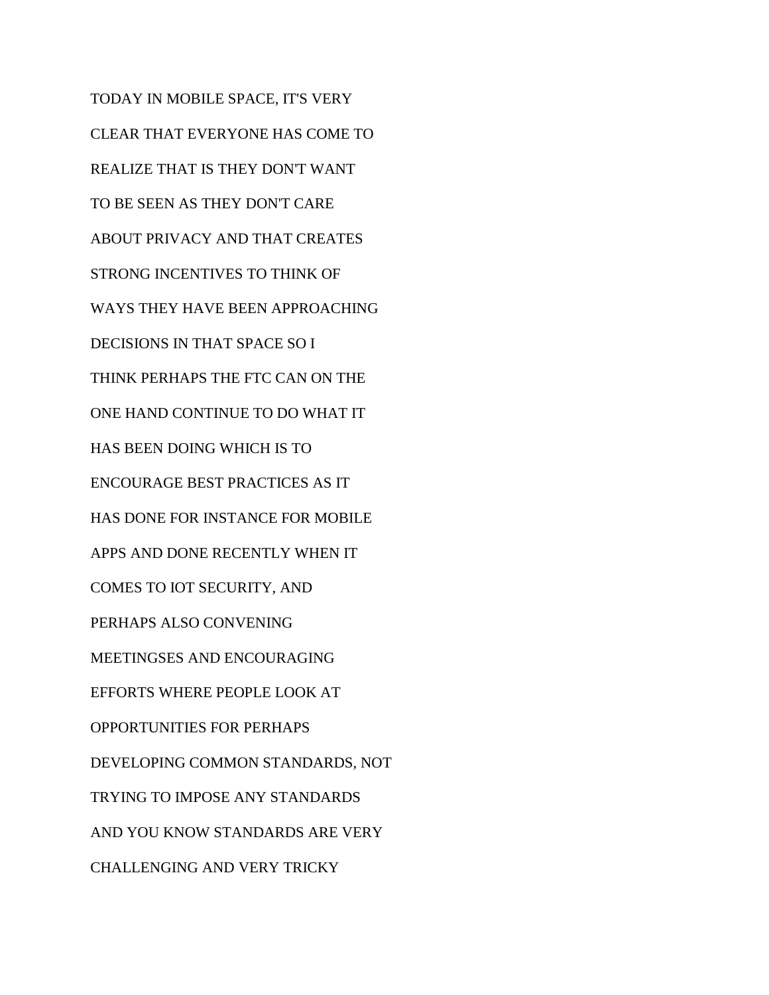TODAY IN MOBILE SPACE, IT'S VERY CLEAR THAT EVERYONE HAS COME TO REALIZE THAT IS THEY DON'T WANT TO BE SEEN AS THEY DON'T CARE ABOUT PRIVACY AND THAT CREATES STRONG INCENTIVES TO THINK OF WAYS THEY HAVE BEEN APPROACHING DECISIONS IN THAT SPACE SO I THINK PERHAPS THE FTC CAN ON THE ONE HAND CONTINUE TO DO WHAT IT HAS BEEN DOING WHICH IS TO ENCOURAGE BEST PRACTICES AS IT HAS DONE FOR INSTANCE FOR MOBILE APPS AND DONE RECENTLY WHEN IT COMES TO IOT SECURITY, AND PERHAPS ALSO CONVENING MEETINGSES AND ENCOURAGING EFFORTS WHERE PEOPLE LOOK AT OPPORTUNITIES FOR PERHAPS DEVELOPING COMMON STANDARDS, NOT TRYING TO IMPOSE ANY STANDARDS AND YOU KNOW STANDARDS ARE VERY CHALLENGING AND VERY TRICKY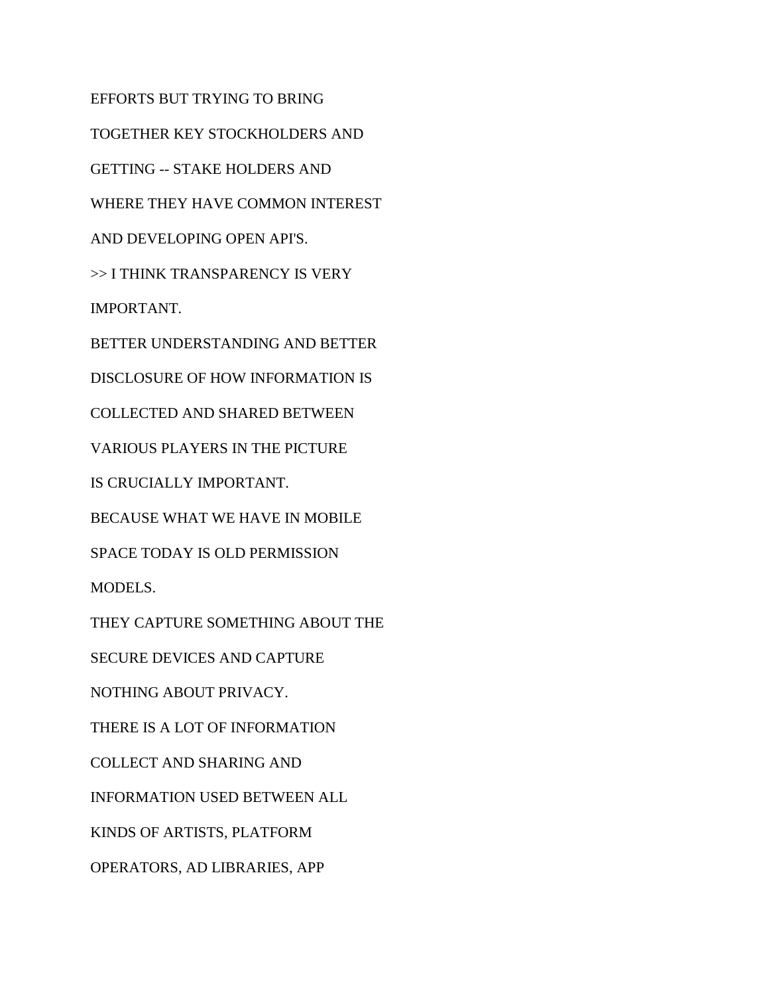EFFORTS BUT TRYING TO BRING TOGETHER KEY STOCKHOLDERS AND GETTING -- STAKE HOLDERS AND WHERE THEY HAVE COMMON INTEREST AND DEVELOPING OPEN API'S. >> I THINK TRANSPARENCY IS VERY IMPORTANT. BETTER UNDERSTANDING AND BETTER DISCLOSURE OF HOW INFORMATION IS COLLECTED AND SHARED BETWEEN VARIOUS PLAYERS IN THE PICTURE IS CRUCIALLY IMPORTANT. BECAUSE WHAT WE HAVE IN MOBILE SPACE TODAY IS OLD PERMISSION MODELS. THEY CAPTURE SOMETHING ABOUT THE SECURE DEVICES AND CAPTURE NOTHING ABOUT PRIVACY. THERE IS A LOT OF INFORMATION COLLECT AND SHARING AND INFORMATION USED BETWEEN ALL KINDS OF ARTISTS, PLATFORM OPERATORS, AD LIBRARIES, APP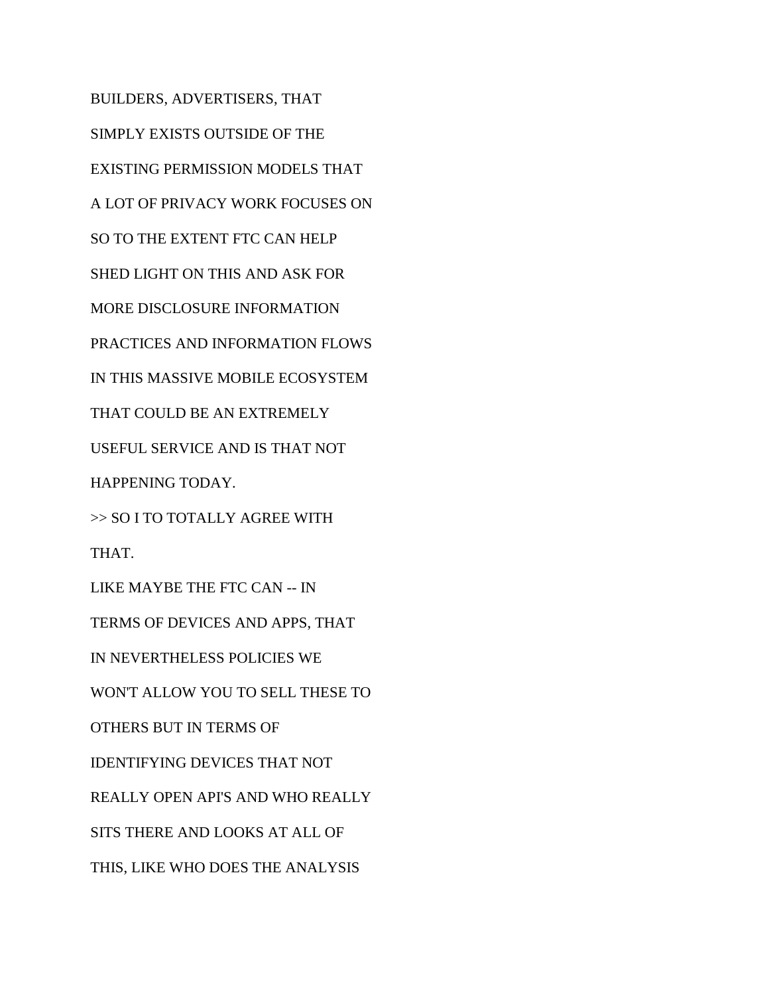BUILDERS, ADVERTISERS, THAT SIMPLY EXISTS OUTSIDE OF THE EXISTING PERMISSION MODELS THAT A LOT OF PRIVACY WORK FOCUSES ON SO TO THE EXTENT FTC CAN HELP SHED LIGHT ON THIS AND ASK FOR MORE DISCLOSURE INFORMATION PRACTICES AND INFORMATION FLOWS IN THIS MASSIVE MOBILE ECOSYSTEM THAT COULD BE AN EXTREMELY USEFUL SERVICE AND IS THAT NOT HAPPENING TODAY. >> SO I TO TOTALLY AGREE WITH THAT. LIKE MAYBE THE FTC CAN -- IN TERMS OF DEVICES AND APPS, THAT IN NEVERTHELESS POLICIES WE WON'T ALLOW YOU TO SELL THESE TO OTHERS BUT IN TERMS OF IDENTIFYING DEVICES THAT NOT REALLY OPEN API'S AND WHO REALLY SITS THERE AND LOOKS AT ALL OF THIS, LIKE WHO DOES THE ANALYSIS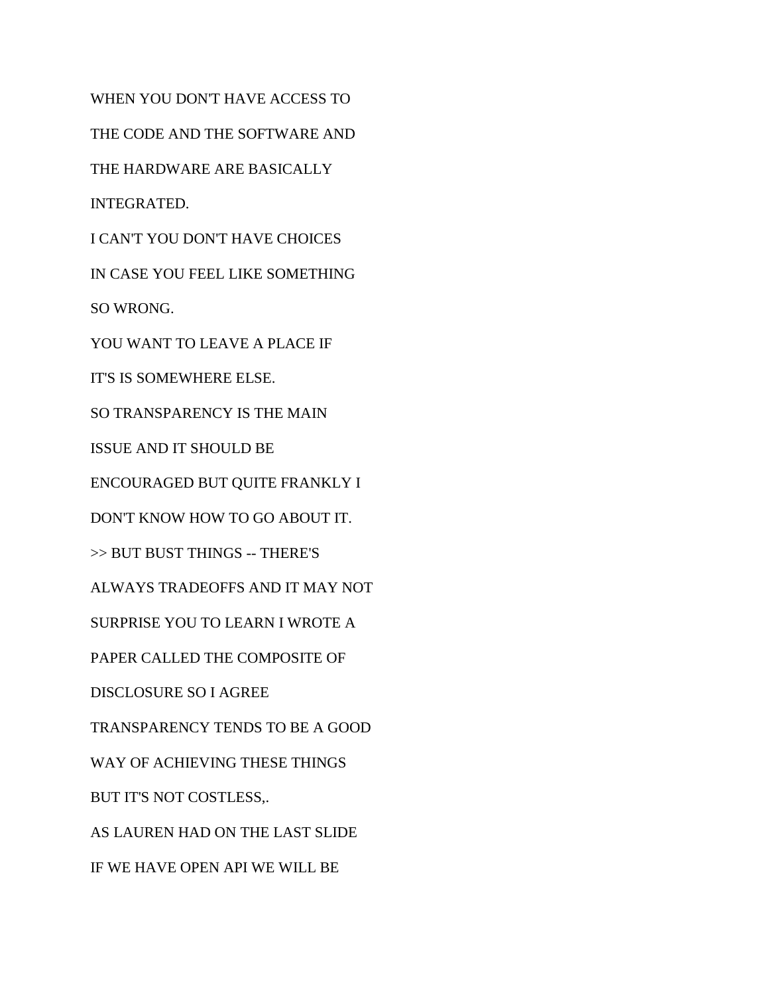WHEN YOU DON'T HAVE ACCESS TO THE CODE AND THE SOFTWARE AND THE HARDWARE ARE BASICALLY INTEGRATED. I CAN'T YOU DON'T HAVE CHOICES IN CASE YOU FEEL LIKE SOMETHING SO WRONG. YOU WANT TO LEAVE A PLACE IF IT'S IS SOMEWHERE ELSE. SO TRANSPARENCY IS THE MAIN ISSUE AND IT SHOULD BE ENCOURAGED BUT QUITE FRANKLY I DON'T KNOW HOW TO GO ABOUT IT. >> BUT BUST THINGS -- THERE'S ALWAYS TRADEOFFS AND IT MAY NOT SURPRISE YOU TO LEARN I WROTE A PAPER CALLED THE COMPOSITE OF DISCLOSURE SO I AGREE TRANSPARENCY TENDS TO BE A GOOD WAY OF ACHIEVING THESE THINGS BUT IT'S NOT COSTLESS,. AS LAUREN HAD ON THE LAST SLIDE IF WE HAVE OPEN API WE WILL BE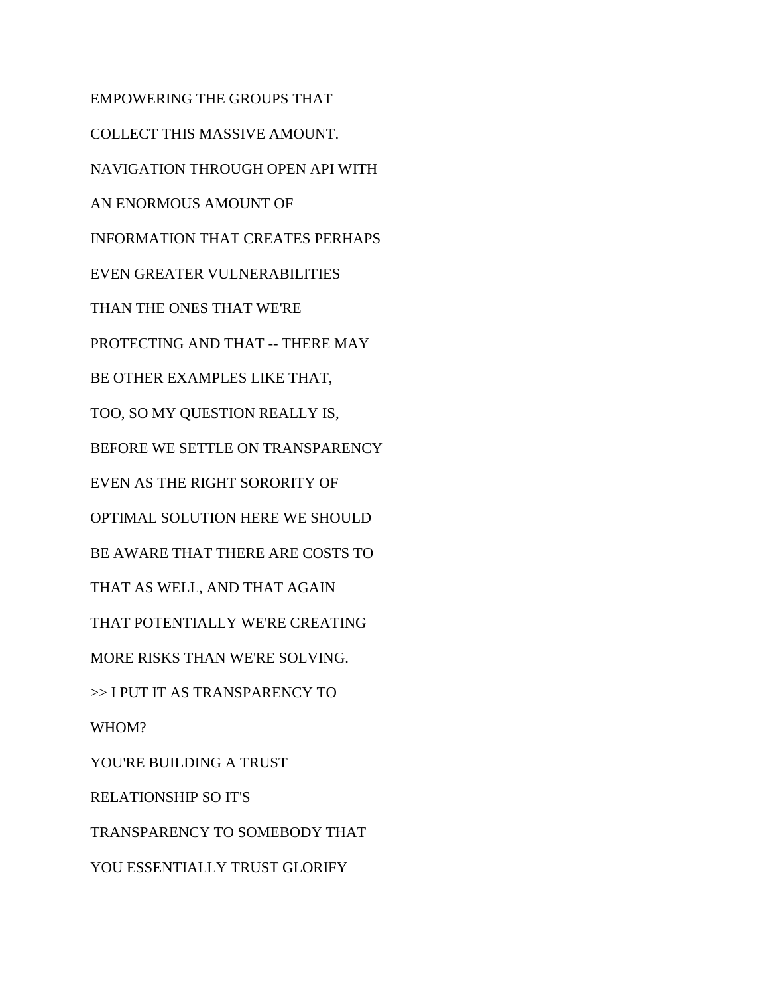EMPOWERING THE GROUPS THAT COLLECT THIS MASSIVE AMOUNT. NAVIGATION THROUGH OPEN API WITH AN ENORMOUS AMOUNT OF INFORMATION THAT CREATES PERHAPS EVEN GREATER VULNERABILITIES THAN THE ONES THAT WE'RE PROTECTING AND THAT -- THERE MAY BE OTHER EXAMPLES LIKE THAT, TOO, SO MY QUESTION REALLY IS, BEFORE WE SETTLE ON TRANSPARENCY EVEN AS THE RIGHT SORORITY OF OPTIMAL SOLUTION HERE WE SHOULD BE AWARE THAT THERE ARE COSTS TO THAT AS WELL, AND THAT AGAIN THAT POTENTIALLY WE'RE CREATING MORE RISKS THAN WE'RE SOLVING. >> I PUT IT AS TRANSPARENCY TO WHOM? YOU'RE BUILDING A TRUST RELATIONSHIP SO IT'S TRANSPARENCY TO SOMEBODY THAT YOU ESSENTIALLY TRUST GLORIFY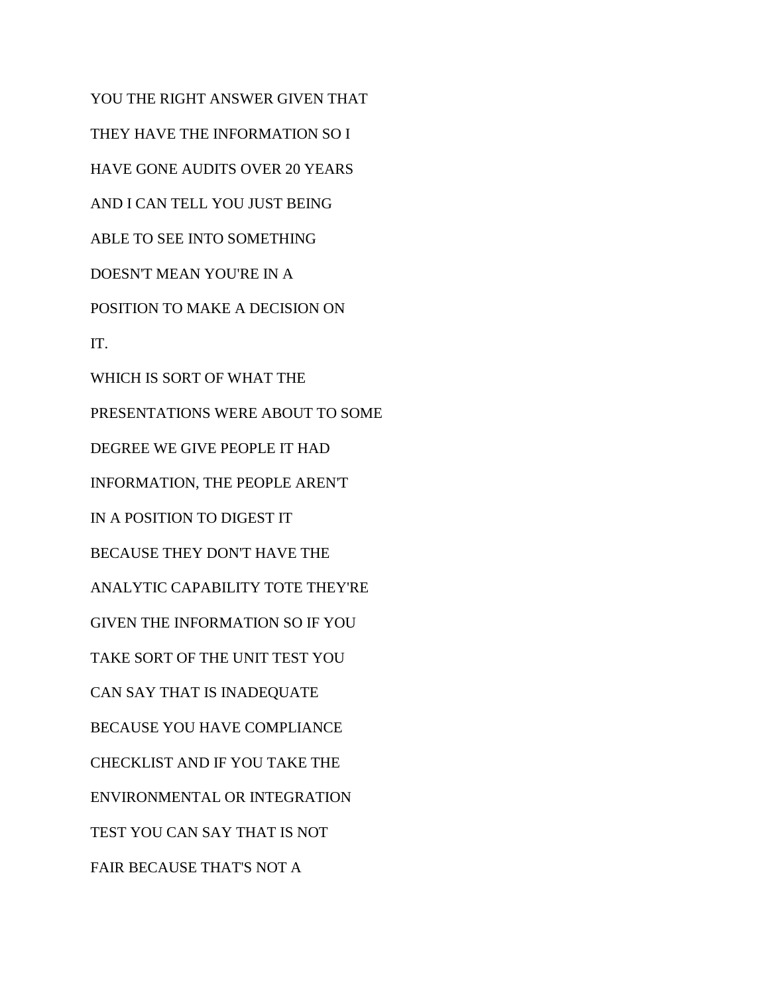YOU THE RIGHT ANSWER GIVEN THAT THEY HAVE THE INFORMATION SO I HAVE GONE AUDITS OVER 20 YEARS AND I CAN TELL YOU JUST BEING ABLE TO SEE INTO SOMETHING DOESN'T MEAN YOU'RE IN A POSITION TO MAKE A DECISION ON IT. WHICH IS SORT OF WHAT THE PRESENTATIONS WERE ABOUT TO SOME DEGREE WE GIVE PEOPLE IT HAD INFORMATION, THE PEOPLE AREN'T IN A POSITION TO DIGEST IT BECAUSE THEY DON'T HAVE THE ANALYTIC CAPABILITY TOTE THEY'RE GIVEN THE INFORMATION SO IF YOU TAKE SORT OF THE UNIT TEST YOU CAN SAY THAT IS INADEQUATE BECAUSE YOU HAVE COMPLIANCE CHECKLIST AND IF YOU TAKE THE ENVIRONMENTAL OR INTEGRATION TEST YOU CAN SAY THAT IS NOT FAIR BECAUSE THAT'S NOT A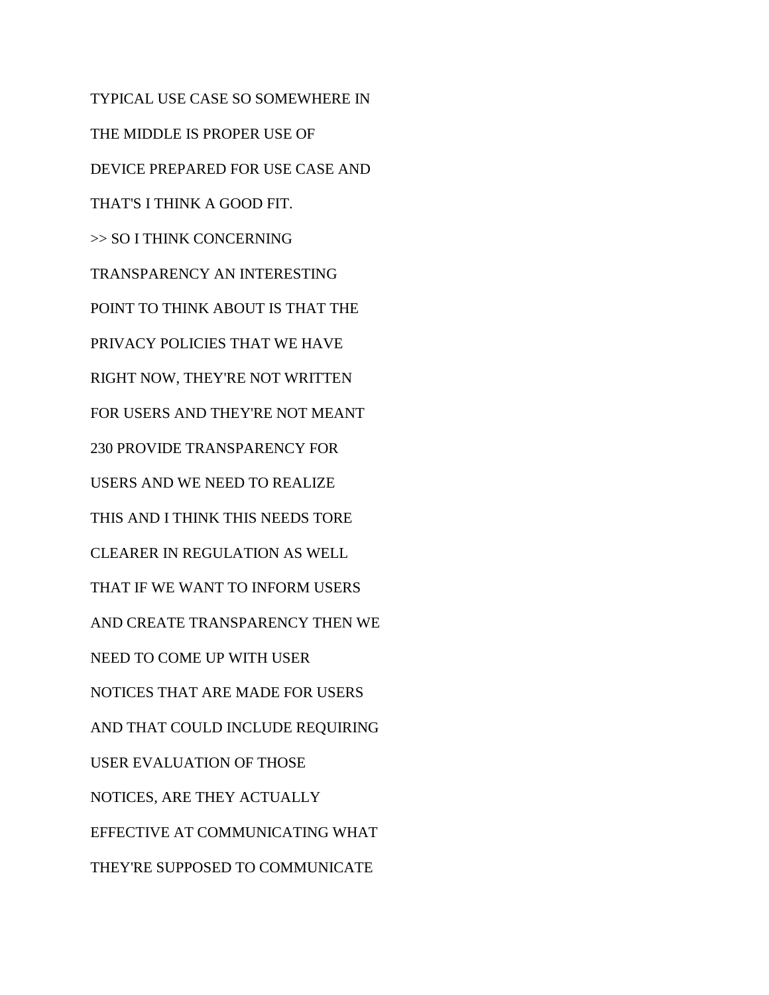TYPICAL USE CASE SO SOMEWHERE IN THE MIDDLE IS PROPER USE OF DEVICE PREPARED FOR USE CASE AND THAT'S I THINK A GOOD FIT. >> SO I THINK CONCERNING TRANSPARENCY AN INTERESTING POINT TO THINK ABOUT IS THAT THE PRIVACY POLICIES THAT WE HAVE RIGHT NOW, THEY'RE NOT WRITTEN FOR USERS AND THEY'RE NOT MEANT 230 PROVIDE TRANSPARENCY FOR USERS AND WE NEED TO REALIZE THIS AND I THINK THIS NEEDS TORE CLEARER IN REGULATION AS WELL THAT IF WE WANT TO INFORM USERS AND CREATE TRANSPARENCY THEN WE NEED TO COME UP WITH USER NOTICES THAT ARE MADE FOR USERS AND THAT COULD INCLUDE REQUIRING USER EVALUATION OF THOSE NOTICES, ARE THEY ACTUALLY EFFECTIVE AT COMMUNICATING WHAT THEY'RE SUPPOSED TO COMMUNICATE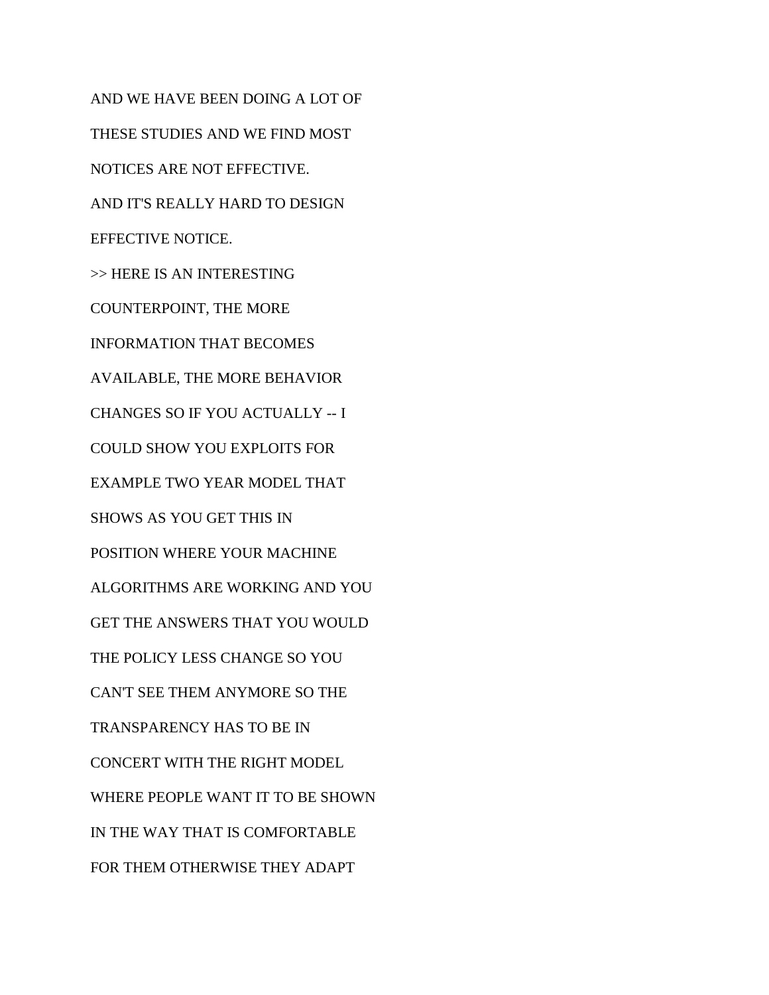AND WE HAVE BEEN DOING A LOT OF THESE STUDIES AND WE FIND MOST NOTICES ARE NOT EFFECTIVE. AND IT'S REALLY HARD TO DESIGN EFFECTIVE NOTICE. >> HERE IS AN INTERESTING COUNTERPOINT, THE MORE INFORMATION THAT BECOMES AVAILABLE, THE MORE BEHAVIOR CHANGES SO IF YOU ACTUALLY -- I COULD SHOW YOU EXPLOITS FOR EXAMPLE TWO YEAR MODEL THAT SHOWS AS YOU GET THIS IN POSITION WHERE YOUR MACHINE ALGORITHMS ARE WORKING AND YOU GET THE ANSWERS THAT YOU WOULD THE POLICY LESS CHANGE SO YOU CAN'T SEE THEM ANYMORE SO THE TRANSPARENCY HAS TO BE IN CONCERT WITH THE RIGHT MODEL WHERE PEOPLE WANT IT TO BE SHOWN IN THE WAY THAT IS COMFORTABLE FOR THEM OTHERWISE THEY ADAPT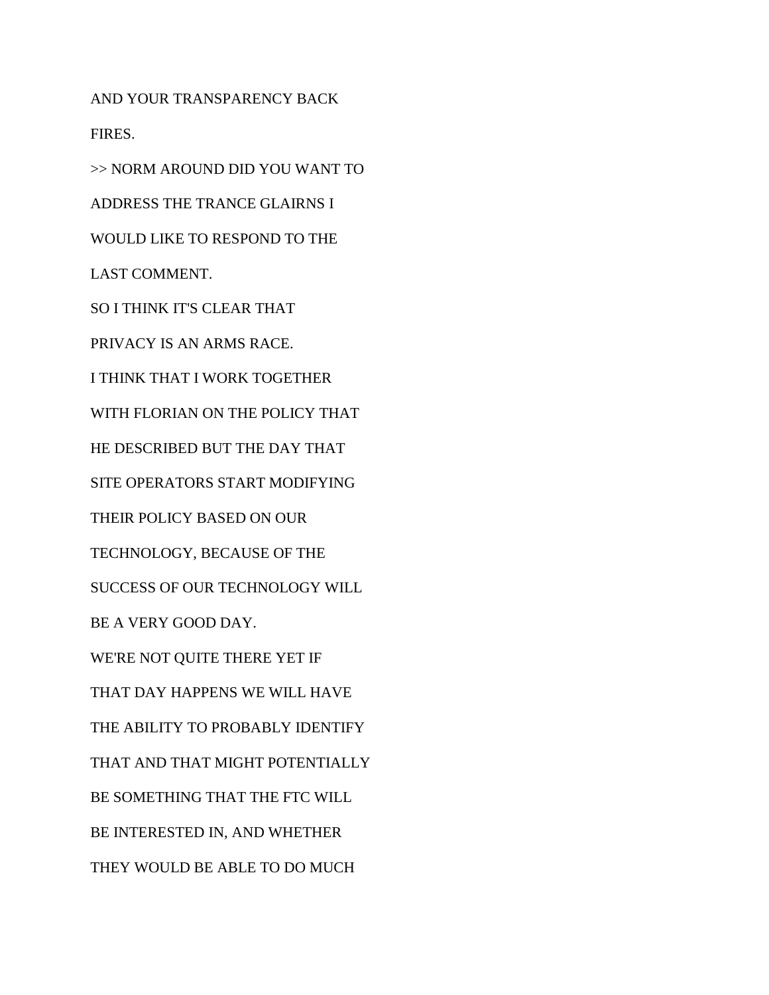AND YOUR TRANSPARENCY BACK FIRES.

>> NORM AROUND DID YOU WANT TO ADDRESS THE TRANCE GLAIRNS I WOULD LIKE TO RESPOND TO THE LAST COMMENT. SO I THINK IT'S CLEAR THAT PRIVACY IS AN ARMS RACE. I THINK THAT I WORK TOGETHER WITH FLORIAN ON THE POLICY THAT HE DESCRIBED BUT THE DAY THAT SITE OPERATORS START MODIFYING THEIR POLICY BASED ON OUR TECHNOLOGY, BECAUSE OF THE SUCCESS OF OUR TECHNOLOGY WILL BE A VERY GOOD DAY. WE'RE NOT QUITE THERE YET IF THAT DAY HAPPENS WE WILL HAVE THE ABILITY TO PROBABLY IDENTIFY THAT AND THAT MIGHT POTENTIALLY BE SOMETHING THAT THE FTC WILL BE INTERESTED IN, AND WHETHER THEY WOULD BE ABLE TO DO MUCH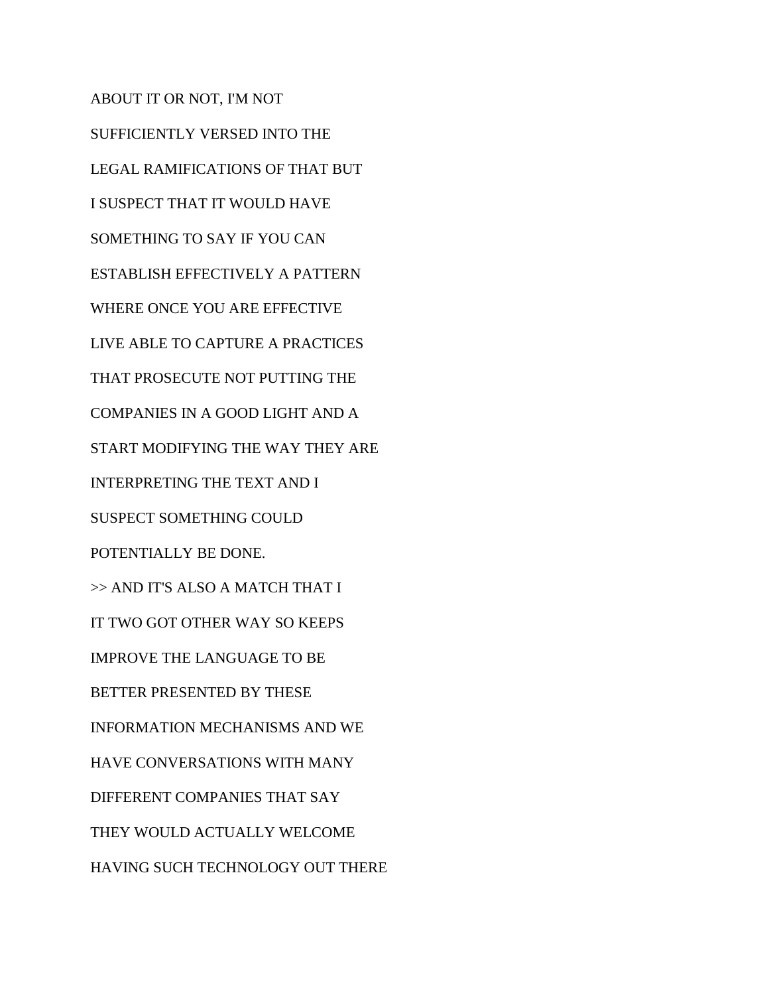ABOUT IT OR NOT, I'M NOT SUFFICIENTLY VERSED INTO THE LEGAL RAMIFICATIONS OF THAT BUT I SUSPECT THAT IT WOULD HAVE SOMETHING TO SAY IF YOU CAN ESTABLISH EFFECTIVELY A PATTERN WHERE ONCE YOU ARE EFFECTIVE LIVE ABLE TO CAPTURE A PRACTICES THAT PROSECUTE NOT PUTTING THE COMPANIES IN A GOOD LIGHT AND A START MODIFYING THE WAY THEY ARE INTERPRETING THE TEXT AND I SUSPECT SOMETHING COULD POTENTIALLY BE DONE. >> AND IT'S ALSO A MATCH THAT I IT TWO GOT OTHER WAY SO KEEPS IMPROVE THE LANGUAGE TO BE BETTER PRESENTED BY THESE INFORMATION MECHANISMS AND WE HAVE CONVERSATIONS WITH MANY DIFFERENT COMPANIES THAT SAY THEY WOULD ACTUALLY WELCOME HAVING SUCH TECHNOLOGY OUT THERE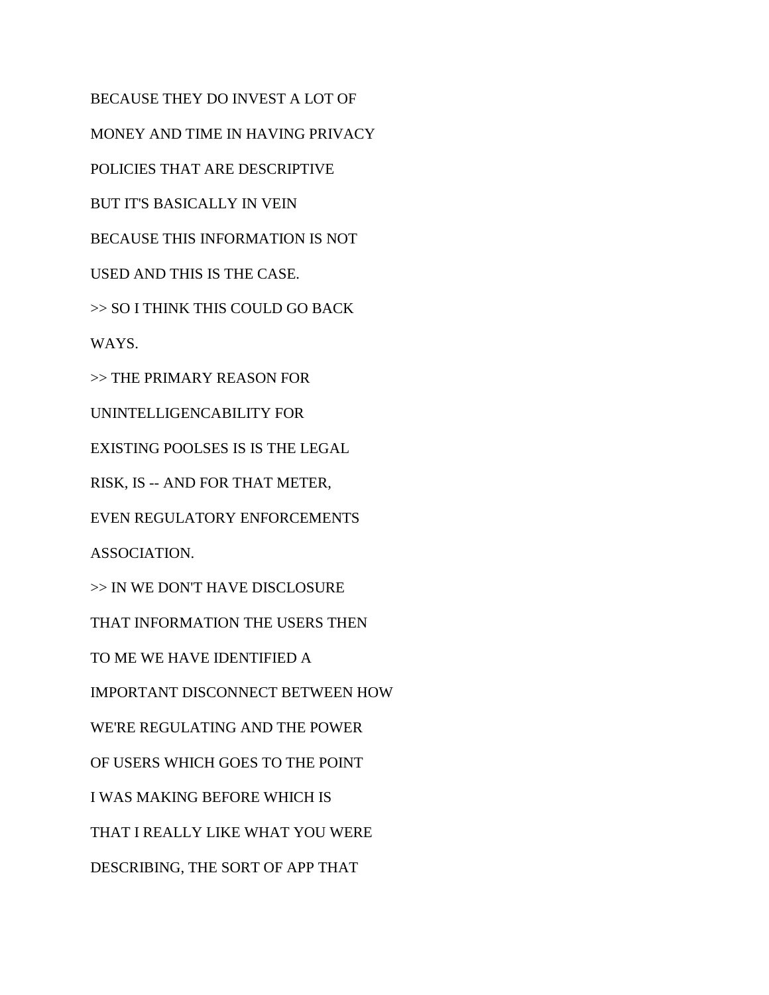BECAUSE THEY DO INVEST A LOT OF MONEY AND TIME IN HAVING PRIVACY POLICIES THAT ARE DESCRIPTIVE BUT IT'S BASICALLY IN VEIN BECAUSE THIS INFORMATION IS NOT USED AND THIS IS THE CASE. >> SO I THINK THIS COULD GO BACK WAYS. >> THE PRIMARY REASON FOR UNINTELLIGENCABILITY FOR EXISTING POOLSES IS IS THE LEGAL RISK, IS -- AND FOR THAT METER, EVEN REGULATORY ENFORCEMENTS ASSOCIATION. >> IN WE DON'T HAVE DISCLOSURE THAT INFORMATION THE USERS THEN TO ME WE HAVE IDENTIFIED A IMPORTANT DISCONNECT BETWEEN HOW WE'RE REGULATING AND THE POWER OF USERS WHICH GOES TO THE POINT I WAS MAKING BEFORE WHICH IS THAT I REALLY LIKE WHAT YOU WERE DESCRIBING, THE SORT OF APP THAT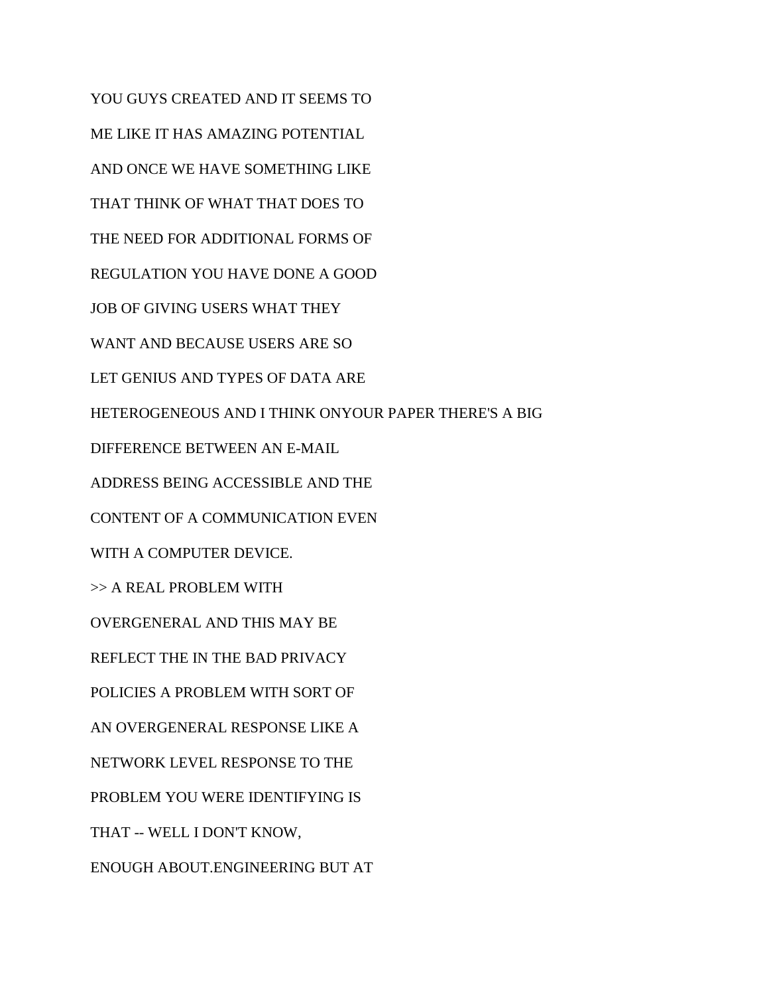YOU GUYS CREATED AND IT SEEMS TO ME LIKE IT HAS AMAZING POTENTIAL AND ONCE WE HAVE SOMETHING LIKE THAT THINK OF WHAT THAT DOES TO THE NEED FOR ADDITIONAL FORMS OF REGULATION YOU HAVE DONE A GOOD JOB OF GIVING USERS WHAT THEY WANT AND BECAUSE USERS ARE SO LET GENIUS AND TYPES OF DATA ARE HETEROGENEOUS AND I THINK ONYOUR PAPER THERE'S A BIG DIFFERENCE BETWEEN AN E-MAIL ADDRESS BEING ACCESSIBLE AND THE CONTENT OF A COMMUNICATION EVEN WITH A COMPUTER DEVICE. >> A REAL PROBLEM WITH OVERGENERAL AND THIS MAY BE REFLECT THE IN THE BAD PRIVACY POLICIES A PROBLEM WITH SORT OF AN OVERGENERAL RESPONSE LIKE A NETWORK LEVEL RESPONSE TO THE PROBLEM YOU WERE IDENTIFYING IS THAT -- WELL I DON'T KNOW, ENOUGH ABOUT.ENGINEERING BUT AT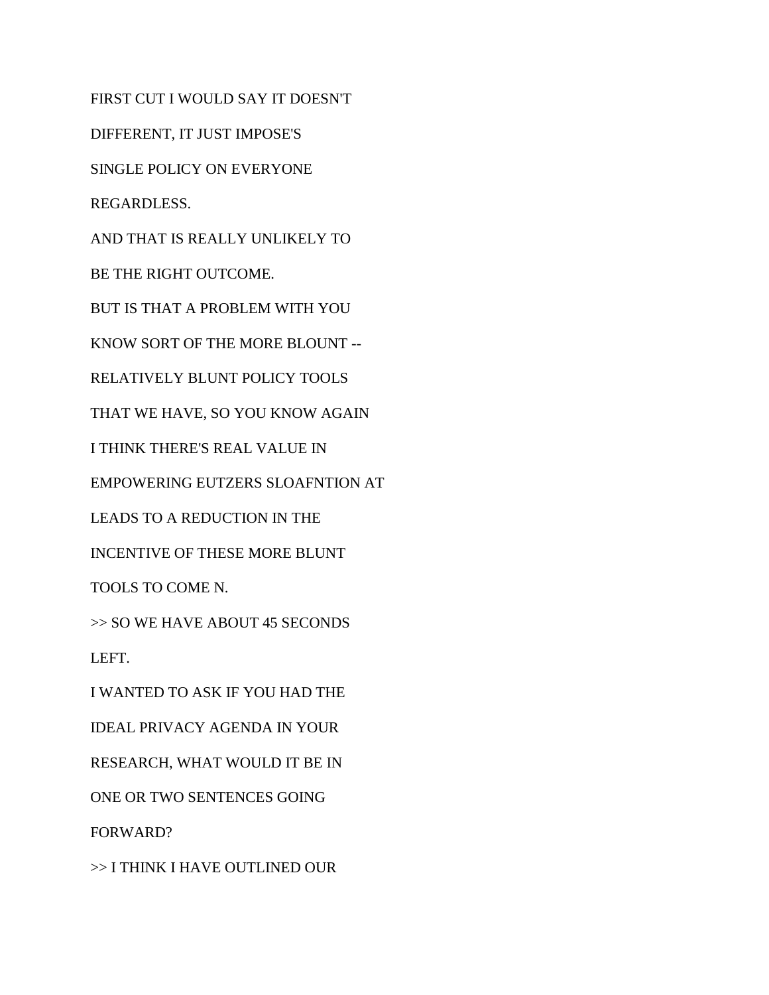FIRST CUT I WOULD SAY IT DOESN'T DIFFERENT, IT JUST IMPOSE'S SINGLE POLICY ON EVERYONE REGARDLESS. AND THAT IS REALLY UNLIKELY TO BE THE RIGHT OUTCOME. BUT IS THAT A PROBLEM WITH YOU KNOW SORT OF THE MORE BLOUNT -- RELATIVELY BLUNT POLICY TOOLS THAT WE HAVE, SO YOU KNOW AGAIN I THINK THERE'S REAL VALUE IN EMPOWERING EUTZERS SLOAFNTION AT LEADS TO A REDUCTION IN THE INCENTIVE OF THESE MORE BLUNT TOOLS TO COME N. >> SO WE HAVE ABOUT 45 SECONDS LEFT. I WANTED TO ASK IF YOU HAD THE IDEAL PRIVACY AGENDA IN YOUR RESEARCH, WHAT WOULD IT BE IN ONE OR TWO SENTENCES GOING FORWARD? >> I THINK I HAVE OUTLINED OUR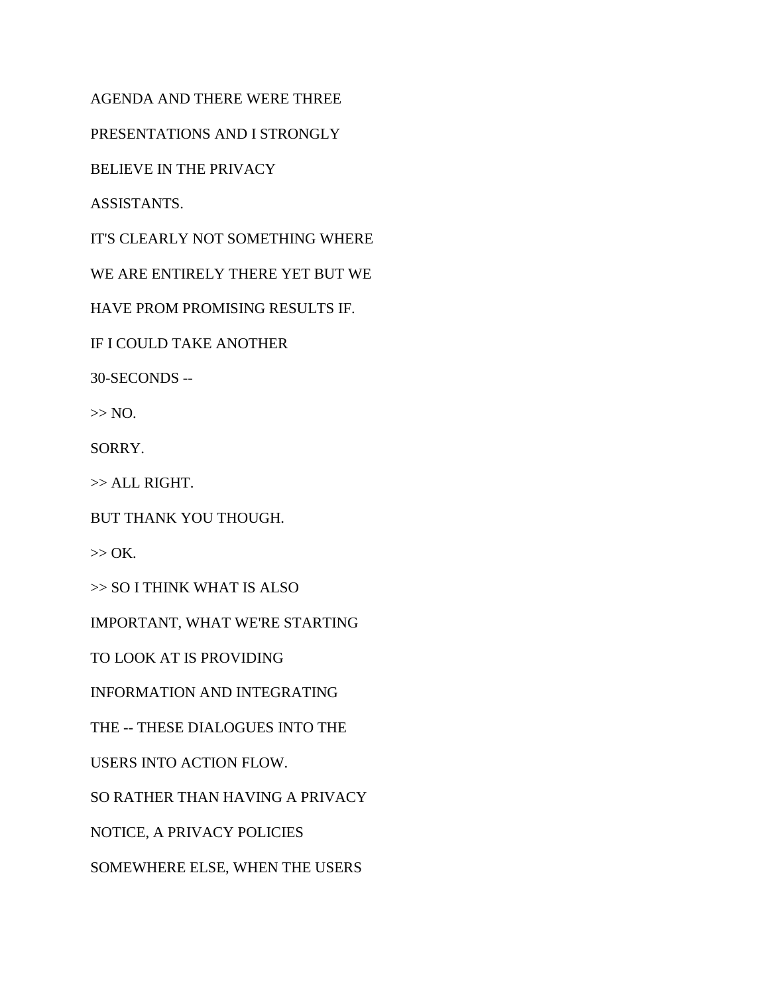AGENDA AND THERE WERE THREE

PRESENTATIONS AND I STRONGLY

BELIEVE IN THE PRIVACY

ASSISTANTS.

IT'S CLEARLY NOT SOMETHING WHERE

WE ARE ENTIRELY THERE YET BUT WE

HAVE PROM PROMISING RESULTS IF.

IF I COULD TAKE ANOTHER

30-SECONDS --

 $>> NO.$ 

SORRY.

>> ALL RIGHT.

BUT THANK YOU THOUGH.

 $>> OK.$ 

>> SO I THINK WHAT IS ALSO

IMPORTANT, WHAT WE'RE STARTING

TO LOOK AT IS PROVIDING

INFORMATION AND INTEGRATING

THE -- THESE DIALOGUES INTO THE

USERS INTO ACTION FLOW.

SO RATHER THAN HAVING A PRIVACY

NOTICE, A PRIVACY POLICIES

SOMEWHERE ELSE, WHEN THE USERS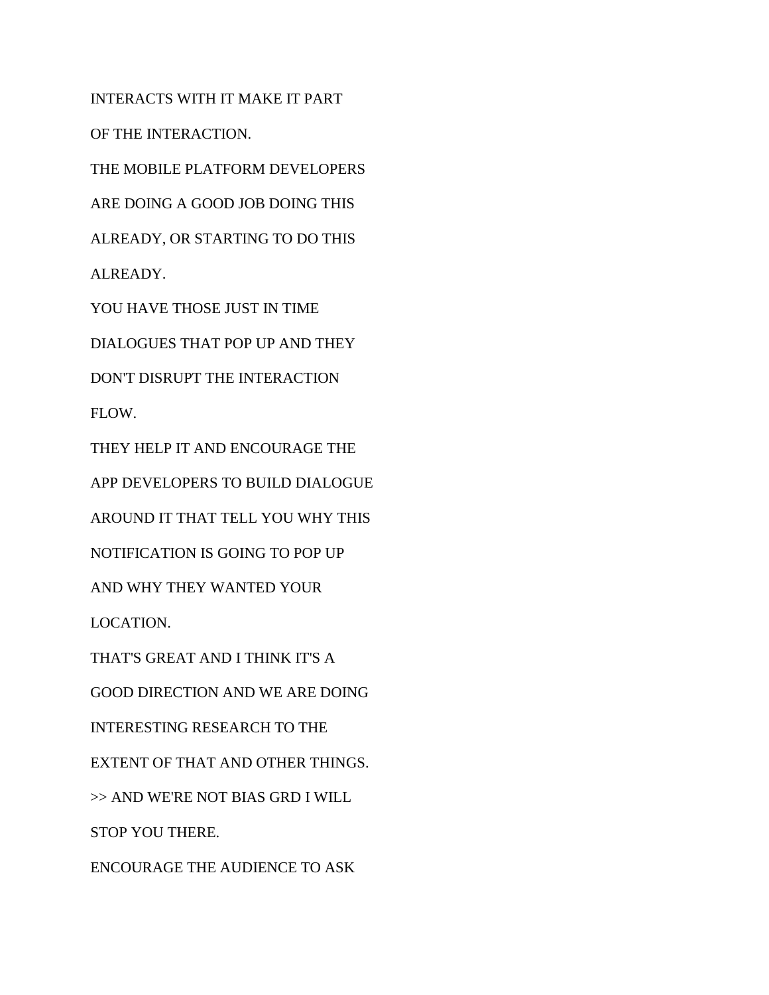INTERACTS WITH IT MAKE IT PART OF THE INTERACTION. THE MOBILE PLATFORM DEVELOPERS ARE DOING A GOOD JOB DOING THIS ALREADY, OR STARTING TO DO THIS ALREADY. YOU HAVE THOSE JUST IN TIME DIALOGUES THAT POP UP AND THEY DON'T DISRUPT THE INTERACTION

FLOW.

THEY HELP IT AND ENCOURAGE THE

APP DEVELOPERS TO BUILD DIALOGUE

AROUND IT THAT TELL YOU WHY THIS

NOTIFICATION IS GOING TO POP UP

AND WHY THEY WANTED YOUR

LOCATION.

THAT'S GREAT AND I THINK IT'S A

GOOD DIRECTION AND WE ARE DOING

INTERESTING RESEARCH TO THE

EXTENT OF THAT AND OTHER THINGS.

>> AND WE'RE NOT BIAS GRD I WILL

STOP YOU THERE.

ENCOURAGE THE AUDIENCE TO ASK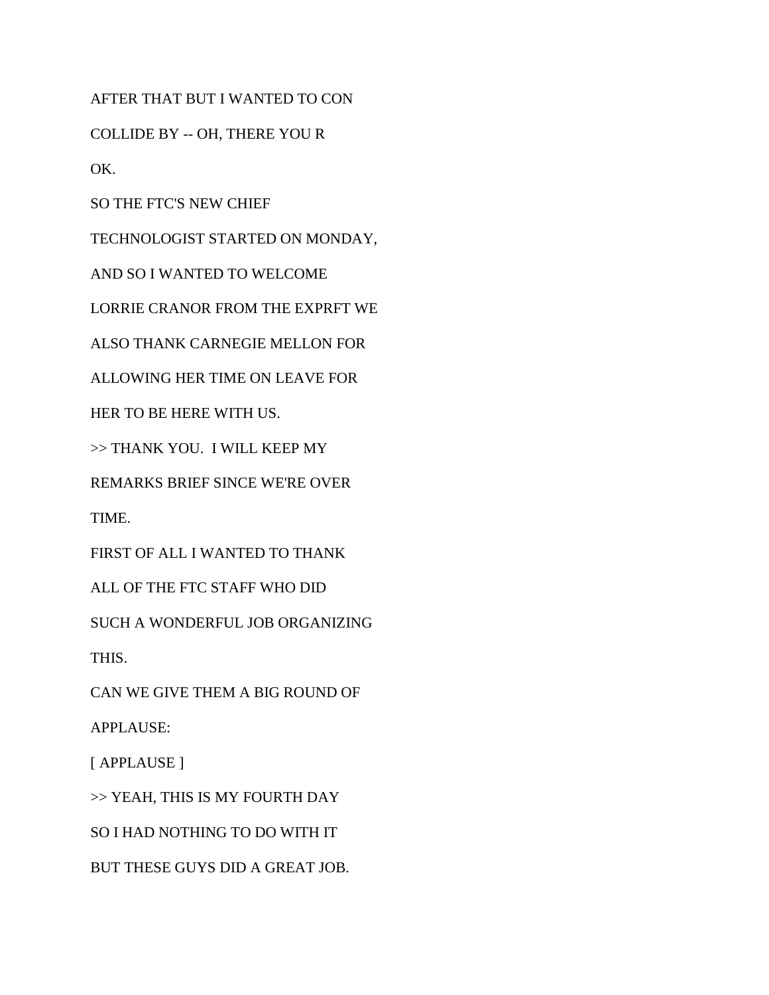AFTER THAT BUT I WANTED TO CON

COLLIDE BY -- OH, THERE YOU R

OK.

SO THE FTC'S NEW CHIEF

TECHNOLOGIST STARTED ON MONDAY,

AND SO I WANTED TO WELCOME

LORRIE CRANOR FROM THE EXPRFT WE

ALSO THANK CARNEGIE MELLON FOR

ALLOWING HER TIME ON LEAVE FOR

HER TO BE HERE WITH US.

>> THANK YOU. I WILL KEEP MY

REMARKS BRIEF SINCE WE'RE OVER

TIME.

FIRST OF ALL I WANTED TO THANK

ALL OF THE FTC STAFF WHO DID

SUCH A WONDERFUL JOB ORGANIZING

THIS.

CAN WE GIVE THEM A BIG ROUND OF

APPLAUSE:

[ APPLAUSE ]

>> YEAH, THIS IS MY FOURTH DAY

SO I HAD NOTHING TO DO WITH IT

BUT THESE GUYS DID A GREAT JOB.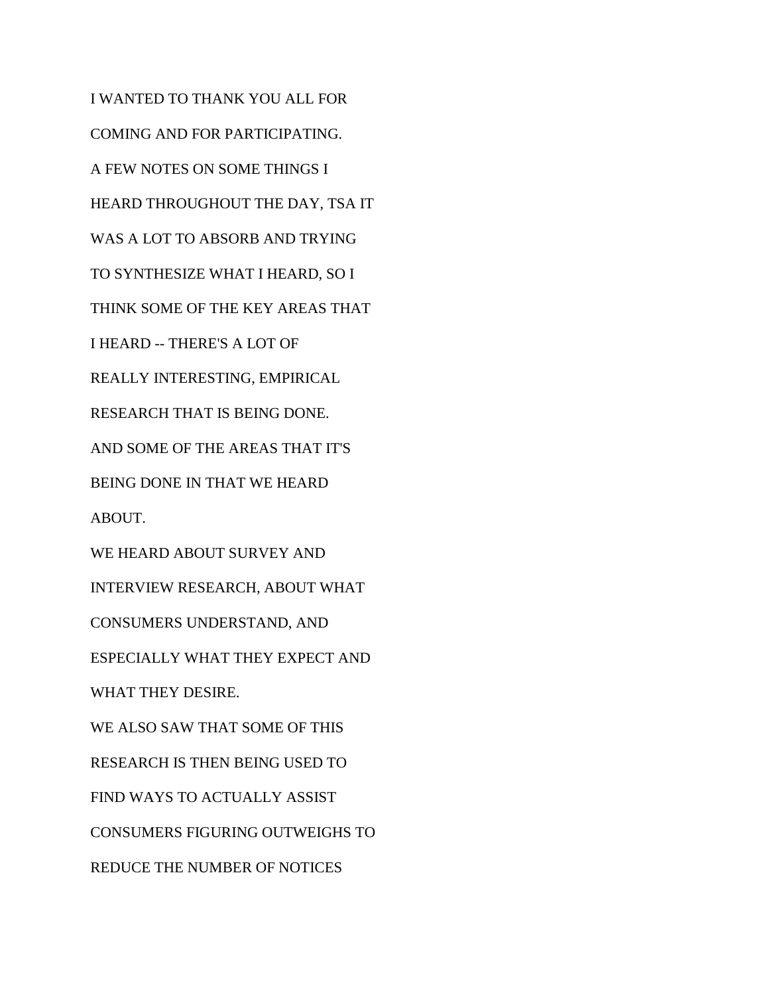I WANTED TO THANK YOU ALL FOR COMING AND FOR PARTICIPATING. A FEW NOTES ON SOME THINGS I HEARD THROUGHOUT THE DAY, TSA IT WAS A LOT TO ABSORB AND TRYING TO SYNTHESIZE WHAT I HEARD, SO I THINK SOME OF THE KEY AREAS THAT I HEARD -- THERE'S A LOT OF REALLY INTERESTING, EMPIRICAL RESEARCH THAT IS BEING DONE. AND SOME OF THE AREAS THAT IT'S BEING DONE IN THAT WE HEARD ABOUT. WE HEARD ABOUT SURVEY AND INTERVIEW RESEARCH, ABOUT WHAT CONSUMERS UNDERSTAND, AND ESPECIALLY WHAT THEY EXPECT AND WHAT THEY DESIRE. WE ALSO SAW THAT SOME OF THIS RESEARCH IS THEN BEING USED TO FIND WAYS TO ACTUALLY ASSIST CONSUMERS FIGURING OUTWEIGHS TO REDUCE THE NUMBER OF NOTICES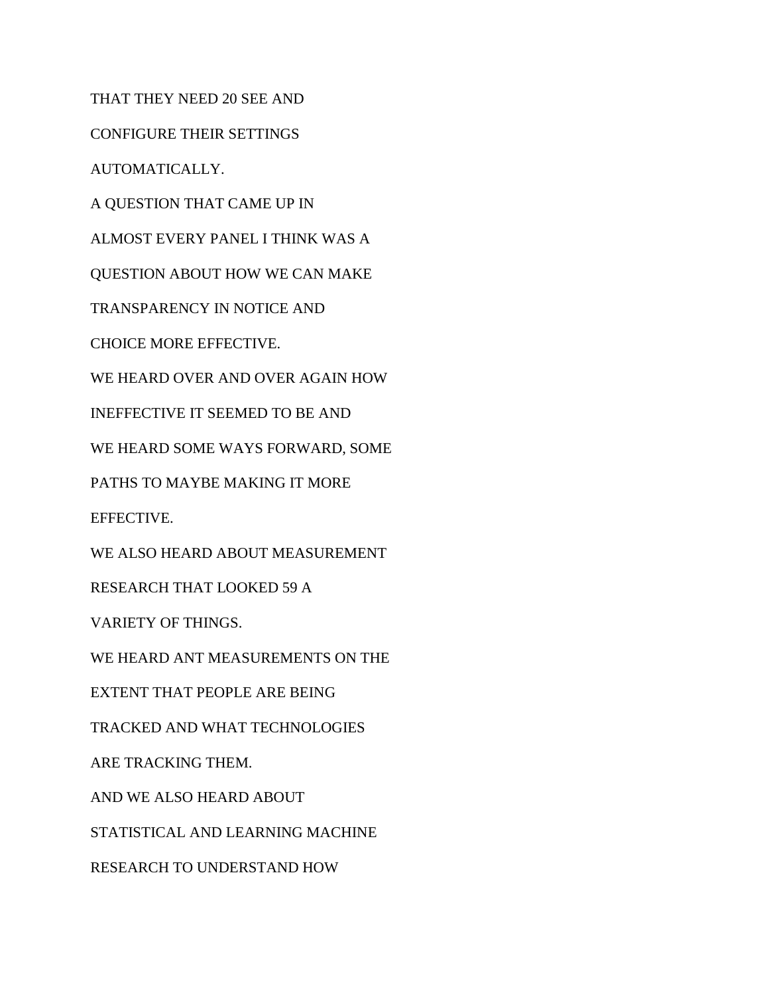THAT THEY NEED 20 SEE AND

CONFIGURE THEIR SETTINGS

AUTOMATICALLY.

A QUESTION THAT CAME UP IN

ALMOST EVERY PANEL I THINK WAS A

QUESTION ABOUT HOW WE CAN MAKE

TRANSPARENCY IN NOTICE AND

CHOICE MORE EFFECTIVE.

WE HEARD OVER AND OVER AGAIN HOW

INEFFECTIVE IT SEEMED TO BE AND

WE HEARD SOME WAYS FORWARD, SOME

PATHS TO MAYBE MAKING IT MORE

EFFECTIVE.

WE ALSO HEARD ABOUT MEASUREMENT

RESEARCH THAT LOOKED 59 A

VARIETY OF THINGS.

WE HEARD ANT MEASUREMENTS ON THE

EXTENT THAT PEOPLE ARE BEING

TRACKED AND WHAT TECHNOLOGIES

ARE TRACKING THEM.

AND WE ALSO HEARD ABOUT

STATISTICAL AND LEARNING MACHINE

RESEARCH TO UNDERSTAND HOW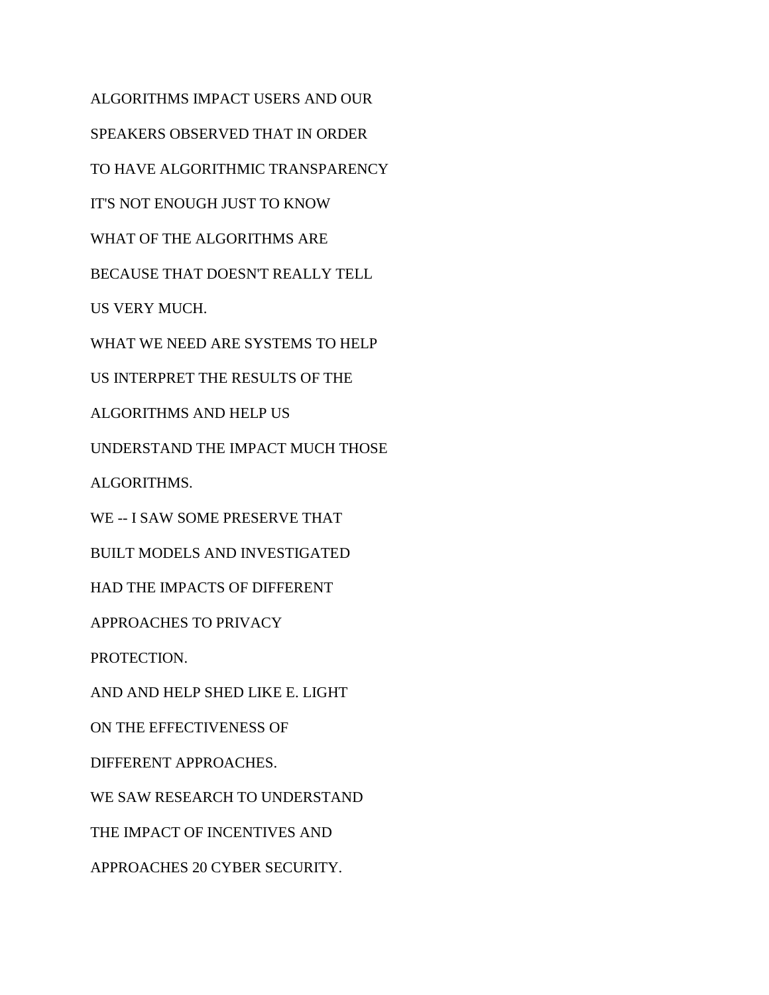ALGORITHMS IMPACT USERS AND OUR SPEAKERS OBSERVED THAT IN ORDER TO HAVE ALGORITHMIC TRANSPARENCY IT'S NOT ENOUGH JUST TO KNOW WHAT OF THE ALGORITHMS ARE BECAUSE THAT DOESN'T REALLY TELL US VERY MUCH. WHAT WE NEED ARE SYSTEMS TO HELP US INTERPRET THE RESULTS OF THE ALGORITHMS AND HELP US UNDERSTAND THE IMPACT MUCH THOSE ALGORITHMS. WE -- I SAW SOME PRESERVE THAT BUILT MODELS AND INVESTIGATED HAD THE IMPACTS OF DIFFERENT APPROACHES TO PRIVACY PROTECTION. AND AND HELP SHED LIKE E. LIGHT ON THE EFFECTIVENESS OF DIFFERENT APPROACHES. WE SAW RESEARCH TO UNDERSTAND THE IMPACT OF INCENTIVES AND APPROACHES 20 CYBER SECURITY.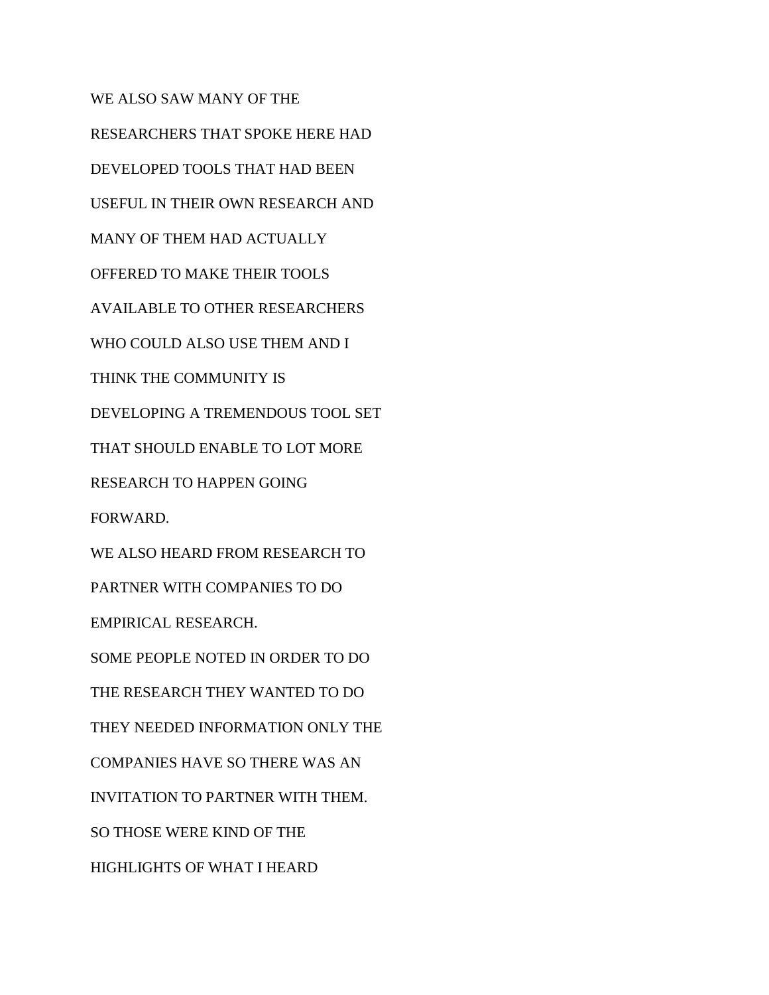WE ALSO SAW MANY OF THE RESEARCHERS THAT SPOKE HERE HAD DEVELOPED TOOLS THAT HAD BEEN USEFUL IN THEIR OWN RESEARCH AND MANY OF THEM HAD ACTUALLY OFFERED TO MAKE THEIR TOOLS AVAILABLE TO OTHER RESEARCHERS WHO COULD ALSO USE THEM AND I THINK THE COMMUNITY IS DEVELOPING A TREMENDOUS TOOL SET THAT SHOULD ENABLE TO LOT MORE RESEARCH TO HAPPEN GOING FORWARD. WE ALSO HEARD FROM RESEARCH TO PARTNER WITH COMPANIES TO DO EMPIRICAL RESEARCH. SOME PEOPLE NOTED IN ORDER TO DO THE RESEARCH THEY WANTED TO DO THEY NEEDED INFORMATION ONLY THE COMPANIES HAVE SO THERE WAS AN INVITATION TO PARTNER WITH THEM. SO THOSE WERE KIND OF THE HIGHLIGHTS OF WHAT I HEARD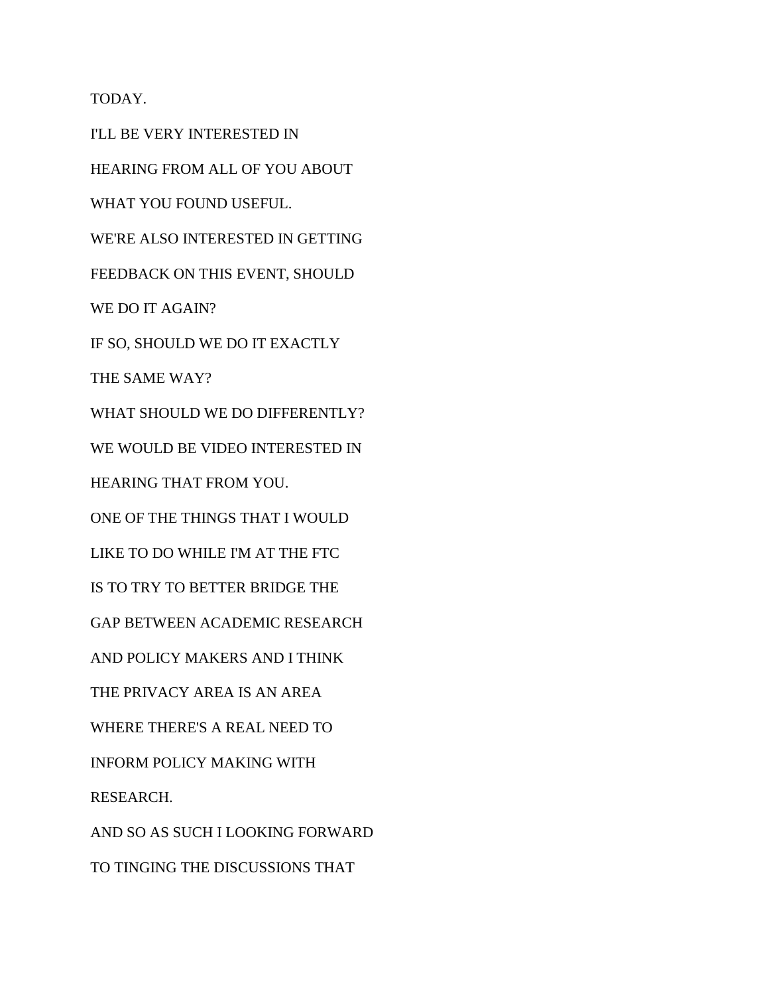TODAY.

I'LL BE VERY INTERESTED IN HEARING FROM ALL OF YOU ABOUT WHAT YOU FOUND USEFUL. WE'RE ALSO INTERESTED IN GETTING FEEDBACK ON THIS EVENT, SHOULD WE DO IT AGAIN? IF SO, SHOULD WE DO IT EXACTLY THE SAME WAY? WHAT SHOULD WE DO DIFFERENTLY? WE WOULD BE VIDEO INTERESTED IN HEARING THAT FROM YOU. ONE OF THE THINGS THAT I WOULD LIKE TO DO WHILE I'M AT THE FTC IS TO TRY TO BETTER BRIDGE THE GAP BETWEEN ACADEMIC RESEARCH AND POLICY MAKERS AND I THINK THE PRIVACY AREA IS AN AREA WHERE THERE'S A REAL NEED TO INFORM POLICY MAKING WITH RESEARCH. AND SO AS SUCH I LOOKING FORWARD TO TINGING THE DISCUSSIONS THAT